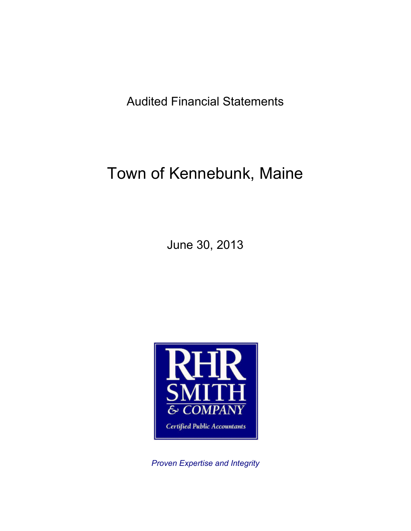Audited Financial Statements

# Town of Kennebunk, Maine

June 30, 2013



*Proven Expertise and Integrity*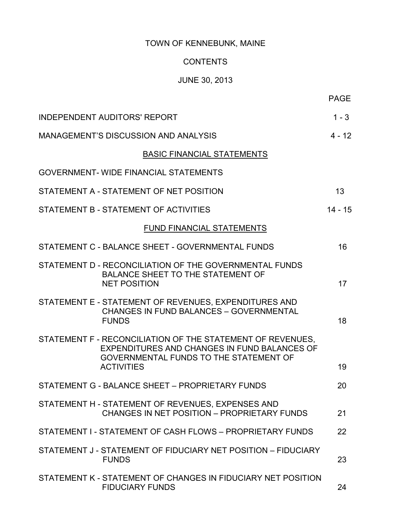# **CONTENTS**

# JUNE 30, 2013

|                                                                                                                                                                           | <b>PAGE</b> |
|---------------------------------------------------------------------------------------------------------------------------------------------------------------------------|-------------|
| <b>INDEPENDENT AUDITORS' REPORT</b>                                                                                                                                       | $1 - 3$     |
| <b>MANAGEMENT'S DISCUSSION AND ANALYSIS</b>                                                                                                                               | $4 - 12$    |
| <b>BASIC FINANCIAL STATEMENTS</b>                                                                                                                                         |             |
| <b>GOVERNMENT-WIDE FINANCIAL STATEMENTS</b>                                                                                                                               |             |
| STATEMENT A - STATEMENT OF NET POSITION                                                                                                                                   | 13          |
| STATEMENT B - STATEMENT OF ACTIVITIES                                                                                                                                     | $14 - 15$   |
| <b>FUND FINANCIAL STATEMENTS</b>                                                                                                                                          |             |
| STATEMENT C - BALANCE SHEET - GOVERNMENTAL FUNDS                                                                                                                          | 16          |
| STATEMENT D - RECONCILIATION OF THE GOVERNMENTAL FUNDS<br><b>BALANCE SHEET TO THE STATEMENT OF</b><br><b>NET POSITION</b>                                                 | 17          |
| STATEMENT E - STATEMENT OF REVENUES, EXPENDITURES AND<br><b>CHANGES IN FUND BALANCES - GOVERNMENTAL</b><br><b>FUNDS</b>                                                   | 18          |
| STATEMENT F - RECONCILIATION OF THE STATEMENT OF REVENUES.<br>EXPENDITURES AND CHANGES IN FUND BALANCES OF<br>GOVERNMENTAL FUNDS TO THE STATEMENT OF<br><b>ACTIVITIES</b> | 19          |
| STATEMENT G - BALANCE SHEET - PROPRIETARY FUNDS                                                                                                                           | 20          |
| STATEMENT H - STATEMENT OF REVENUES, EXPENSES AND<br><b>CHANGES IN NET POSITION - PROPRIETARY FUNDS</b>                                                                   | 21          |
| STATEMENT I - STATEMENT OF CASH FLOWS - PROPRIETARY FUNDS                                                                                                                 | 22          |
| STATEMENT J - STATEMENT OF FIDUCIARY NET POSITION - FIDUCIARY<br><b>FUNDS</b>                                                                                             | 23          |
| STATEMENT K - STATEMENT OF CHANGES IN FIDUCIARY NET POSITION<br><b>FIDUCIARY FUNDS</b>                                                                                    | 24          |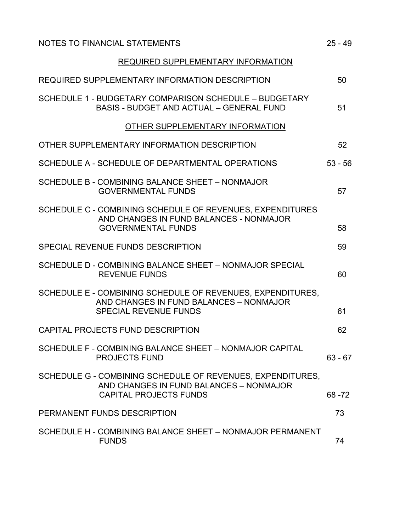| NOTES TO FINANCIAL STATEMENTS                                                                                                          | $25 - 49$ |  |  |  |  |
|----------------------------------------------------------------------------------------------------------------------------------------|-----------|--|--|--|--|
| <b>REQUIRED SUPPLEMENTARY INFORMATION</b>                                                                                              |           |  |  |  |  |
| REQUIRED SUPPLEMENTARY INFORMATION DESCRIPTION                                                                                         | 50        |  |  |  |  |
| SCHEDULE 1 - BUDGETARY COMPARISON SCHEDULE - BUDGETARY<br><b>BASIS - BUDGET AND ACTUAL - GENERAL FUND</b>                              | 51        |  |  |  |  |
| OTHER SUPPLEMENTARY INFORMATION                                                                                                        |           |  |  |  |  |
| OTHER SUPPLEMENTARY INFORMATION DESCRIPTION                                                                                            | 52        |  |  |  |  |
| SCHEDULE A - SCHEDULE OF DEPARTMENTAL OPERATIONS                                                                                       | $53 - 56$ |  |  |  |  |
| SCHEDULE B - COMBINING BALANCE SHEET - NONMAJOR<br><b>GOVERNMENTAL FUNDS</b>                                                           | 57        |  |  |  |  |
| SCHEDULE C - COMBINING SCHEDULE OF REVENUES, EXPENDITURES<br>AND CHANGES IN FUND BALANCES - NONMAJOR<br><b>GOVERNMENTAL FUNDS</b>      | 58        |  |  |  |  |
| SPECIAL REVENUE FUNDS DESCRIPTION                                                                                                      |           |  |  |  |  |
| SCHEDULE D - COMBINING BALANCE SHEET - NONMAJOR SPECIAL<br><b>REVENUE FUNDS</b>                                                        | 60        |  |  |  |  |
| SCHEDULE E - COMBINING SCHEDULE OF REVENUES, EXPENDITURES,<br>AND CHANGES IN FUND BALANCES - NONMAJOR<br><b>SPECIAL REVENUE FUNDS</b>  | 61        |  |  |  |  |
| CAPITAL PROJECTS FUND DESCRIPTION                                                                                                      | 62        |  |  |  |  |
| SCHEDULE F - COMBINING BALANCE SHEET - NONMAJOR CAPITAL<br><b>PROJECTS FUND</b>                                                        | $63 - 67$ |  |  |  |  |
| SCHEDULE G - COMBINING SCHEDULE OF REVENUES, EXPENDITURES,<br>AND CHANGES IN FUND BALANCES - NONMAJOR<br><b>CAPITAL PROJECTS FUNDS</b> | 68 - 72   |  |  |  |  |
| PERMANENT FUNDS DESCRIPTION                                                                                                            | 73        |  |  |  |  |
| SCHEDULE H - COMBINING BALANCE SHEET - NONMAJOR PERMANENT<br><b>FUNDS</b>                                                              | 74        |  |  |  |  |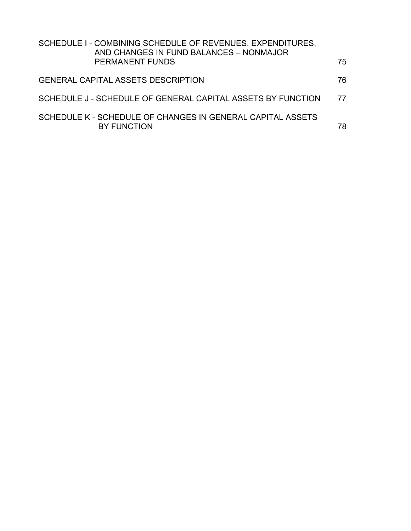| SCHEDULE I - COMBINING SCHEDULE OF REVENUES, EXPENDITURES,<br>AND CHANGES IN FUND BALANCES - NONMAJOR<br><b>PERMANENT FUNDS</b> | 75 |
|---------------------------------------------------------------------------------------------------------------------------------|----|
| <b>GENERAL CAPITAL ASSETS DESCRIPTION</b>                                                                                       | 76 |
| SCHEDULE J - SCHEDULE OF GENERAL CAPITAL ASSETS BY FUNCTION                                                                     | 77 |
| SCHEDULE K - SCHEDULE OF CHANGES IN GENERAL CAPITAL ASSETS<br><b>BY FUNCTION</b>                                                | 78 |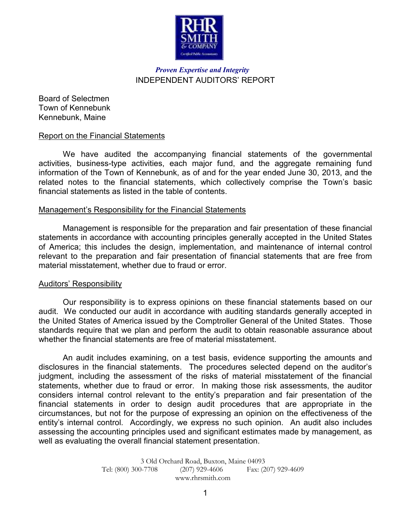

# INDEPENDENT AUDITORS' REPORT *Proven Expertise and Integrity*

Board of Selectmen Town of Kennebunk Kennebunk, Maine

### Report on the Financial Statements

 We have audited the accompanying financial statements of the governmental activities, business-type activities, each major fund, and the aggregate remaining fund information of the Town of Kennebunk, as of and for the year ended June 30, 2013, and the related notes to the financial statements, which collectively comprise the Town's basic financial statements as listed in the table of contents.

### Management's Responsibility for the Financial Statements

Management is responsible for the preparation and fair presentation of these financial statements in accordance with accounting principles generally accepted in the United States of America; this includes the design, implementation, and maintenance of internal control relevant to the preparation and fair presentation of financial statements that are free from material misstatement, whether due to fraud or error.

### Auditors' Responsibility

 Our responsibility is to express opinions on these financial statements based on our audit. We conducted our audit in accordance with auditing standards generally accepted in the United States of America issued by the Comptroller General of the United States. Those standards require that we plan and perform the audit to obtain reasonable assurance about whether the financial statements are free of material misstatement.

An audit includes examining, on a test basis, evidence supporting the amounts and disclosures in the financial statements. The procedures selected depend on the auditor's judgment, including the assessment of the risks of material misstatement of the financial statements, whether due to fraud or error. In making those risk assessments, the auditor considers internal control relevant to the entity's preparation and fair presentation of the financial statements in order to design audit procedures that are appropriate in the circumstances, but not for the purpose of expressing an opinion on the effectiveness of the entity's internal control. Accordingly, we express no such opinion. An audit also includes assessing the accounting principles used and significant estimates made by management, as well as evaluating the overall financial statement presentation.

> 3 Old Orchard Road, Buxton, Maine 04093 Tel: (800) 300-7708 (207) 929-4606 Fax: (207) 929-4609 www.rhrsmith.com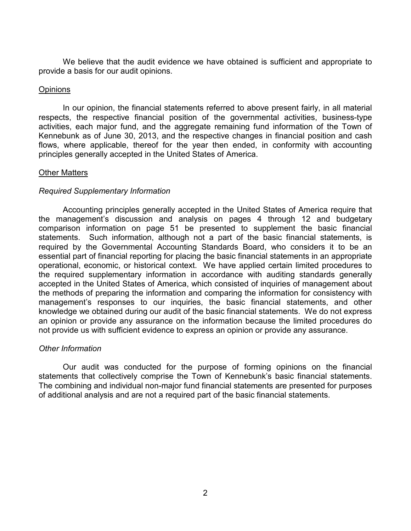We believe that the audit evidence we have obtained is sufficient and appropriate to provide a basis for our audit opinions.

### **Opinions**

In our opinion, the financial statements referred to above present fairly, in all material respects, the respective financial position of the governmental activities, business-type activities, each major fund, and the aggregate remaining fund information of the Town of Kennebunk as of June 30, 2013, and the respective changes in financial position and cash flows, where applicable, thereof for the year then ended, in conformity with accounting principles generally accepted in the United States of America.

### **Other Matters**

### *Required Supplementary Information*

Accounting principles generally accepted in the United States of America require that the management's discussion and analysis on pages 4 through 12 and budgetary comparison information on page 51 be presented to supplement the basic financial statements. Such information, although not a part of the basic financial statements, is required by the Governmental Accounting Standards Board, who considers it to be an essential part of financial reporting for placing the basic financial statements in an appropriate operational, economic, or historical context. We have applied certain limited procedures to the required supplementary information in accordance with auditing standards generally accepted in the United States of America, which consisted of inquiries of management about the methods of preparing the information and comparing the information for consistency with management's responses to our inquiries, the basic financial statements, and other knowledge we obtained during our audit of the basic financial statements. We do not express an opinion or provide any assurance on the information because the limited procedures do not provide us with sufficient evidence to express an opinion or provide any assurance.

### *Other Information*

Our audit was conducted for the purpose of forming opinions on the financial statements that collectively comprise the Town of Kennebunk's basic financial statements. The combining and individual non-major fund financial statements are presented for purposes of additional analysis and are not a required part of the basic financial statements.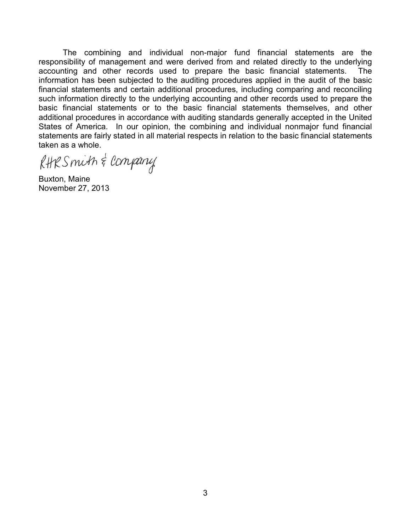The combining and individual non-major fund financial statements are the responsibility of management and were derived from and related directly to the underlying accounting and other records used to prepare the basic financial statements. The information has been subjected to the auditing procedures applied in the audit of the basic financial statements and certain additional procedures, including comparing and reconciling such information directly to the underlying accounting and other records used to prepare the basic financial statements or to the basic financial statements themselves, and other additional procedures in accordance with auditing standards generally accepted in the United States of America. In our opinion, the combining and individual nonmajor fund financial statements are fairly stated in all material respects in relation to the basic financial statements taken as a whole.

RHRSmith & Company

Buxton, Maine November 27, 2013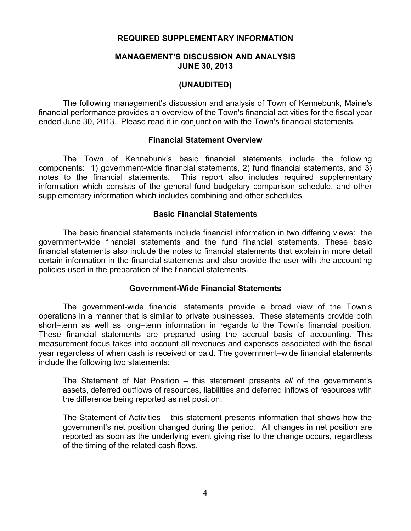### **REQUIRED SUPPLEMENTARY INFORMATION**

### **MANAGEMENT'S DISCUSSION AND ANALYSIS JUNE 30, 2013**

### **(UNAUDITED)**

 The following management's discussion and analysis of Town of Kennebunk, Maine's financial performance provides an overview of the Town's financial activities for the fiscal year ended June 30, 2013. Please read it in conjunction with the Town's financial statements.

### **Financial Statement Overview**

 The Town of Kennebunk's basic financial statements include the following components: 1) government-wide financial statements, 2) fund financial statements, and 3) notes to the financial statements. This report also includes required supplementary information which consists of the general fund budgetary comparison schedule, and other supplementary information which includes combining and other schedules.

### **Basic Financial Statements**

 The basic financial statements include financial information in two differing views: the government-wide financial statements and the fund financial statements. These basic financial statements also include the notes to financial statements that explain in more detail certain information in the financial statements and also provide the user with the accounting policies used in the preparation of the financial statements.

### **Government-Wide Financial Statements**

 The government-wide financial statements provide a broad view of the Town's operations in a manner that is similar to private businesses. These statements provide both short–term as well as long–term information in regards to the Town's financial position. These financial statements are prepared using the accrual basis of accounting. This measurement focus takes into account all revenues and expenses associated with the fiscal year regardless of when cash is received or paid. The government–wide financial statements include the following two statements:

The Statement of Net Position – this statement presents *all* of the government's assets, deferred outflows of resources, liabilities and deferred inflows of resources with the difference being reported as net position.

The Statement of Activities – this statement presents information that shows how the government's net position changed during the period. All changes in net position are reported as soon as the underlying event giving rise to the change occurs, regardless of the timing of the related cash flows.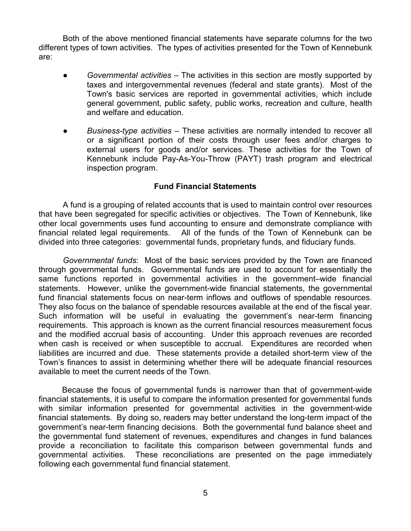Both of the above mentioned financial statements have separate columns for the two different types of town activities. The types of activities presented for the Town of Kennebunk are:

- *Governmental activities* The activities in this section are mostly supported by taxes and intergovernmental revenues (federal and state grants). Most of the Town's basic services are reported in governmental activities, which include general government, public safety, public works, recreation and culture, health and welfare and education.
- *Business-type activities* These activities are normally intended to recover all or a significant portion of their costs through user fees and/or charges to external users for goods and/or services. These activities for the Town of Kennebunk include Pay-As-You-Throw (PAYT) trash program and electrical inspection program.

# **Fund Financial Statements**

A fund is a grouping of related accounts that is used to maintain control over resources that have been segregated for specific activities or objectives. The Town of Kennebunk, like other local governments uses fund accounting to ensure and demonstrate compliance with financial related legal requirements. All of the funds of the Town of Kennebunk can be divided into three categories: governmental funds, proprietary funds, and fiduciary funds.

*Governmental funds*: Most of the basic services provided by the Town are financed through governmental funds. Governmental funds are used to account for essentially the same functions reported in governmental activities in the government–wide financial statements. However, unlike the government-wide financial statements, the governmental fund financial statements focus on near-term inflows and outflows of spendable resources. They also focus on the balance of spendable resources available at the end of the fiscal year. Such information will be useful in evaluating the government's near-term financing requirements. This approach is known as the current financial resources measurement focus and the modified accrual basis of accounting. Under this approach revenues are recorded when cash is received or when susceptible to accrual. Expenditures are recorded when liabilities are incurred and due. These statements provide a detailed short-term view of the Town's finances to assist in determining whether there will be adequate financial resources available to meet the current needs of the Town.

 Because the focus of governmental funds is narrower than that of government-wide financial statements, it is useful to compare the information presented for governmental funds with similar information presented for governmental activities in the government-wide financial statements. By doing so, readers may better understand the long-term impact of the government's near-term financing decisions. Both the governmental fund balance sheet and the governmental fund statement of revenues, expenditures and changes in fund balances provide a reconciliation to facilitate this comparison between governmental funds and governmental activities. These reconciliations are presented on the page immediately following each governmental fund financial statement.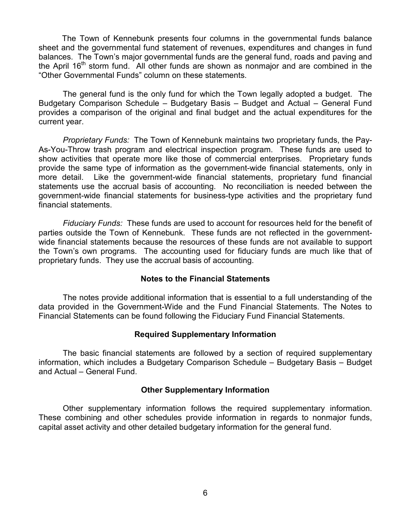The Town of Kennebunk presents four columns in the governmental funds balance sheet and the governmental fund statement of revenues, expenditures and changes in fund balances. The Town's major governmental funds are the general fund, roads and paving and the April  $16<sup>th</sup>$  storm fund. All other funds are shown as nonmajor and are combined in the "Other Governmental Funds" column on these statements.

 The general fund is the only fund for which the Town legally adopted a budget. The Budgetary Comparison Schedule – Budgetary Basis – Budget and Actual – General Fund provides a comparison of the original and final budget and the actual expenditures for the current year.

*Proprietary Funds:* The Town of Kennebunk maintains two proprietary funds, the Pay-As-You-Throw trash program and electrical inspection program. These funds are used to show activities that operate more like those of commercial enterprises. Proprietary funds provide the same type of information as the government-wide financial statements, only in more detail. Like the government-wide financial statements, proprietary fund financial statements use the accrual basis of accounting. No reconciliation is needed between the government-wide financial statements for business-type activities and the proprietary fund financial statements.

*Fiduciary Funds:* These funds are used to account for resources held for the benefit of parties outside the Town of Kennebunk. These funds are not reflected in the governmentwide financial statements because the resources of these funds are not available to support the Town's own programs. The accounting used for fiduciary funds are much like that of proprietary funds. They use the accrual basis of accounting.

### **Notes to the Financial Statements**

The notes provide additional information that is essential to a full understanding of the data provided in the Government-Wide and the Fund Financial Statements. The Notes to Financial Statements can be found following the Fiduciary Fund Financial Statements.

### **Required Supplementary Information**

 The basic financial statements are followed by a section of required supplementary information, which includes a Budgetary Comparison Schedule – Budgetary Basis – Budget and Actual – General Fund.

### **Other Supplementary Information**

 Other supplementary information follows the required supplementary information. These combining and other schedules provide information in regards to nonmajor funds, capital asset activity and other detailed budgetary information for the general fund.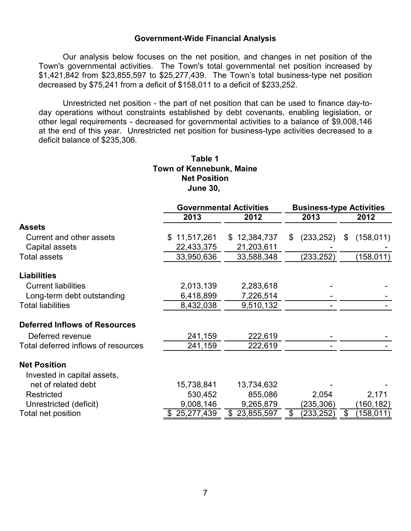### **Government-Wide Financial Analysis**

Our analysis below focuses on the net position, and changes in net position of the Town's governmental activities. The Town's total governmental net position increased by \$1,421,842 from \$23,855,597 to \$25,277,439. The Town's total business-type net position decreased by \$75,241 from a deficit of \$158,011 to a deficit of \$233,252.

Unrestricted net position - the part of net position that can be used to finance day-today operations without constraints established by debt covenants, enabling legislation, or other legal requirements - decreased for governmental activities to a balance of \$9,008,146 at the end of this year. Unrestricted net position for business-type activities decreased to a deficit balance of \$235,306.

# **Table 1 Town of Kennebunk, Maine Net Position June 30,**

|                                      |                  | <b>Governmental Activities</b> | <b>Business-type Activities</b> |                  |  |  |  |  |
|--------------------------------------|------------------|--------------------------------|---------------------------------|------------------|--|--|--|--|
|                                      | 2013             | 2012                           | 2013                            | 2012             |  |  |  |  |
| <b>Assets</b>                        |                  |                                |                                 |                  |  |  |  |  |
| Current and other assets             | 11,517,261<br>\$ | \$12,384,737                   | (233, 252)<br>\$                | (158, 011)<br>\$ |  |  |  |  |
| Capital assets                       | 22,433,375       | 21,203,611                     |                                 |                  |  |  |  |  |
| <b>Total assets</b>                  | 33,950,636       | 33,588,348                     | (233, 252)                      | (158, 011)       |  |  |  |  |
| <b>Liabilities</b>                   |                  |                                |                                 |                  |  |  |  |  |
| <b>Current liabilities</b>           | 2,013,139        | 2,283,618                      |                                 |                  |  |  |  |  |
| Long-term debt outstanding           | 6,418,899        | 7,226,514                      |                                 |                  |  |  |  |  |
| <b>Total liabilities</b>             | 8,432,038        | 9,510,132                      |                                 |                  |  |  |  |  |
| <b>Deferred Inflows of Resources</b> |                  |                                |                                 |                  |  |  |  |  |
| Deferred revenue                     | 241,159          | 222,619                        |                                 |                  |  |  |  |  |
| Total deferred inflows of resources  | 241,159          | 222,619                        |                                 |                  |  |  |  |  |
| <b>Net Position</b>                  |                  |                                |                                 |                  |  |  |  |  |
| Invested in capital assets,          |                  |                                |                                 |                  |  |  |  |  |
| net of related debt                  | 15,738,841       | 13,734,632                     |                                 |                  |  |  |  |  |
| Restricted                           | 530,452          | 855,086                        | 2,054                           | 2,171            |  |  |  |  |
| Unrestricted (deficit)               | 9,008,146        | 9,265,879                      | (235,306)                       | (160,182)        |  |  |  |  |
| Total net position                   | \$25,277,439     | \$23,855,597                   | \$<br>(233, 252)                | \$<br>(158, 011) |  |  |  |  |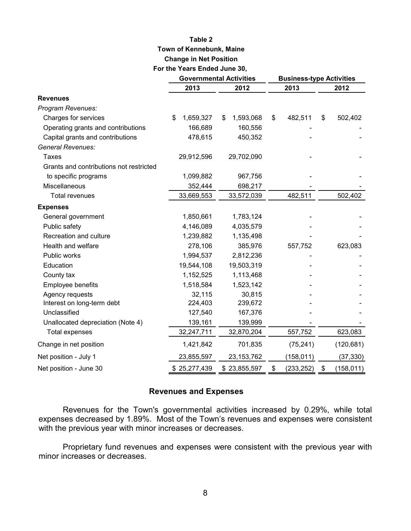#### **Table 2**

### **Town of Kennebunk, Maine Change in Net Position For the Years Ended June 30,**

|                                         |                 | <b>Governmental Activities</b> | <b>Business-type Activities</b> |                  |  |  |  |  |
|-----------------------------------------|-----------------|--------------------------------|---------------------------------|------------------|--|--|--|--|
|                                         | 2013            | 2012                           | 2013                            | 2012             |  |  |  |  |
| <b>Revenues</b>                         |                 |                                |                                 |                  |  |  |  |  |
| Program Revenues:                       |                 |                                |                                 |                  |  |  |  |  |
| Charges for services                    | \$<br>1,659,327 | \$<br>1,593,068                | \$<br>482,511                   | \$<br>502,402    |  |  |  |  |
| Operating grants and contributions      | 166,689         | 160,556                        |                                 |                  |  |  |  |  |
| Capital grants and contributions        | 478,615         | 450,352                        |                                 |                  |  |  |  |  |
| <b>General Revenues:</b>                |                 |                                |                                 |                  |  |  |  |  |
| <b>Taxes</b>                            | 29,912,596      | 29,702,090                     |                                 |                  |  |  |  |  |
| Grants and contributions not restricted |                 |                                |                                 |                  |  |  |  |  |
| to specific programs                    | 1,099,882       | 967,756                        |                                 |                  |  |  |  |  |
| Miscellaneous                           | 352,444         | 698,217                        |                                 |                  |  |  |  |  |
| <b>Total revenues</b>                   | 33,669,553      | 33,572,039                     | 482,511                         | 502,402          |  |  |  |  |
| <b>Expenses</b>                         |                 |                                |                                 |                  |  |  |  |  |
| General government                      | 1,850,661       | 1,783,124                      |                                 |                  |  |  |  |  |
| Public safety                           | 4,146,089       | 4,035,579                      |                                 |                  |  |  |  |  |
| Recreation and culture                  | 1,239,882       | 1,135,498                      |                                 |                  |  |  |  |  |
| Health and welfare                      | 278,106         | 385,976                        | 557,752                         | 623,083          |  |  |  |  |
| Public works                            | 1,994,537       | 2,812,236                      |                                 |                  |  |  |  |  |
| Education                               | 19,544,108      | 19,503,319                     |                                 |                  |  |  |  |  |
| County tax                              | 1,152,525       | 1,113,468                      |                                 |                  |  |  |  |  |
| Employee benefits                       | 1,518,584       | 1,523,142                      |                                 |                  |  |  |  |  |
| Agency requests                         | 32,115          | 30,815                         |                                 |                  |  |  |  |  |
| Interest on long-term debt              | 224,403         | 239,672                        |                                 |                  |  |  |  |  |
| Unclassified                            | 127,540         | 167,376                        |                                 |                  |  |  |  |  |
| Unallocated depreciation (Note 4)       | 139,161         | 139,999                        |                                 |                  |  |  |  |  |
| <b>Total expenses</b>                   | 32,247,711      | 32,870,204                     | 557,752                         | 623,083          |  |  |  |  |
| Change in net position                  | 1,421,842       | 701,835                        | (75, 241)                       | (120, 681)       |  |  |  |  |
| Net position - July 1                   | 23,855,597      | 23, 153, 762                   | (158, 011)                      | (37, 330)        |  |  |  |  |
| Net position - June 30                  | \$25,277,439    | \$23,855,597                   | \$<br>(233, 252)                | (158, 011)<br>\$ |  |  |  |  |

### **Revenues and Expenses**

Revenues for the Town's governmental activities increased by 0.29%, while total expenses decreased by 1.89%. Most of the Town's revenues and expenses were consistent with the previous year with minor increases or decreases.

 Proprietary fund revenues and expenses were consistent with the previous year with minor increases or decreases.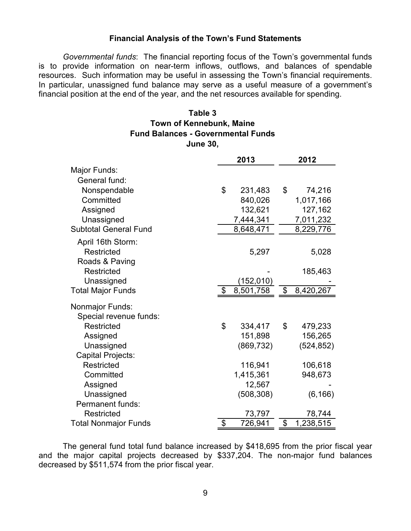### **Financial Analysis of the Town's Fund Statements**

*Governmental funds*: The financial reporting focus of the Town's governmental funds is to provide information on near-term inflows, outflows, and balances of spendable resources. Such information may be useful in assessing the Town's financial requirements. In particular, unassigned fund balance may serve as a useful measure of a government's financial position at the end of the year, and the net resources available for spending.

# **Table 3 Town of Kennebunk, Maine Fund Balances - Governmental Funds**

**June 30,**

|                              |                | 2013       |       | 2012       |
|------------------------------|----------------|------------|-------|------------|
| Major Funds:                 |                |            |       |            |
| General fund:                |                |            |       |            |
| Nonspendable                 | \$             | 231,483    | \$    | 74,216     |
| Committed                    |                | 840,026    |       | 1,017,166  |
| Assigned                     |                | 132,621    |       | 127,162    |
| Unassigned                   |                | 7,444,341  |       | 7,011,232  |
| <b>Subtotal General Fund</b> |                | 8,648,471  |       | 8,229,776  |
| April 16th Storm:            |                |            |       |            |
| Restricted                   |                | 5,297      |       | 5,028      |
| Roads & Paving               |                |            |       |            |
| Restricted                   |                |            |       | 185,463    |
| Unassigned                   |                | (152,010)  |       |            |
| <b>Total Major Funds</b>     | $\mathfrak{S}$ | 8,501,758  | $\$\$ | 8,420,267  |
| Nonmajor Funds:              |                |            |       |            |
| Special revenue funds:       |                |            |       |            |
| Restricted                   | \$             | 334,417    | \$    | 479,233    |
| Assigned                     |                | 151,898    |       | 156,265    |
| Unassigned                   |                | (869, 732) |       | (524, 852) |
| Capital Projects:            |                |            |       |            |
| Restricted                   |                | 116,941    |       | 106,618    |
| Committed                    |                | 1,415,361  |       | 948,673    |
| Assigned                     |                | 12,567     |       |            |
| Unassigned                   |                | (508, 308) |       | (6, 166)   |
| Permanent funds:             |                |            |       |            |
| Restricted                   |                | 73,797     |       | 78,744     |
| <b>Total Nonmajor Funds</b>  | \$             | 726,941    | \$    | 1,238,515  |

The general fund total fund balance increased by \$418,695 from the prior fiscal year and the major capital projects decreased by \$337,204. The non-major fund balances decreased by \$511,574 from the prior fiscal year.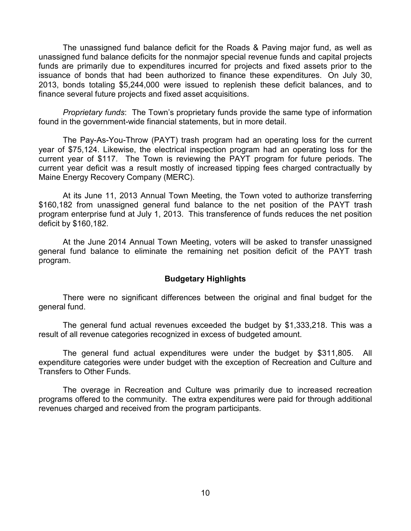The unassigned fund balance deficit for the Roads & Paving major fund, as well as unassigned fund balance deficits for the nonmajor special revenue funds and capital projects funds are primarily due to expenditures incurred for projects and fixed assets prior to the issuance of bonds that had been authorized to finance these expenditures. On July 30, 2013, bonds totaling \$5,244,000 were issued to replenish these deficit balances, and to finance several future projects and fixed asset acquisitions.

 *Proprietary funds*: The Town's proprietary funds provide the same type of information found in the government-wide financial statements, but in more detail.

The Pay-As-You-Throw (PAYT) trash program had an operating loss for the current year of \$75,124. Likewise, the electrical inspection program had an operating loss for the current year of \$117. The Town is reviewing the PAYT program for future periods. The current year deficit was a result mostly of increased tipping fees charged contractually by Maine Energy Recovery Company (MERC).

At its June 11, 2013 Annual Town Meeting, the Town voted to authorize transferring \$160,182 from unassigned general fund balance to the net position of the PAYT trash program enterprise fund at July 1, 2013. This transference of funds reduces the net position deficit by \$160,182.

At the June 2014 Annual Town Meeting, voters will be asked to transfer unassigned general fund balance to eliminate the remaining net position deficit of the PAYT trash program.

### **Budgetary Highlights**

There were no significant differences between the original and final budget for the general fund.

The general fund actual revenues exceeded the budget by \$1,333,218. This was a result of all revenue categories recognized in excess of budgeted amount.

The general fund actual expenditures were under the budget by \$311,805. All expenditure categories were under budget with the exception of Recreation and Culture and Transfers to Other Funds.

The overage in Recreation and Culture was primarily due to increased recreation programs offered to the community. The extra expenditures were paid for through additional revenues charged and received from the program participants.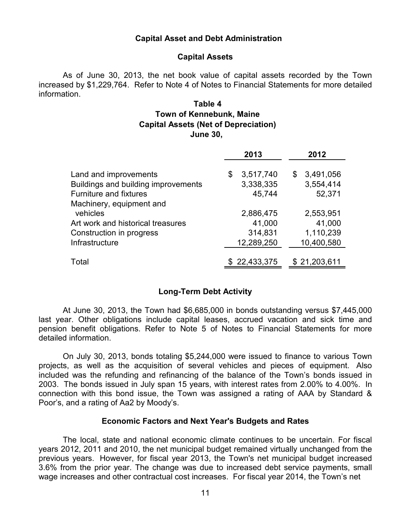### **Capital Asset and Debt Administration**

#### **Capital Assets**

As of June 30, 2013, the net book value of capital assets recorded by the Town increased by \$1,229,764. Refer to Note 4 of Notes to Financial Statements for more detailed information.

# **Table 4 Town of Kennebunk, Maine Capital Assets (Net of Depreciation) June 30,**

|                                                                                        | 2013                                   | 2012                               |
|----------------------------------------------------------------------------------------|----------------------------------------|------------------------------------|
| Land and improvements<br>Buildings and building improvements<br>Furniture and fixtures | 3,517,740<br>\$<br>3,338,335<br>45,744 | \$3,491,056<br>3,554,414<br>52,371 |
| Machinery, equipment and<br>vehicles                                                   | 2,886,475                              | 2,553,951                          |
| Art work and historical treasures                                                      | 41,000                                 | 41,000                             |
| Construction in progress<br>Infrastructure                                             | 314,831<br>12,289,250                  | 1,110,239<br>10,400,580            |
|                                                                                        |                                        |                                    |
| Total                                                                                  | \$22,433,375                           | \$21,203,611                       |

#### **Long-Term Debt Activity**

 At June 30, 2013, the Town had \$6,685,000 in bonds outstanding versus \$7,445,000 last year. Other obligations include capital leases, accrued vacation and sick time and pension benefit obligations. Refer to Note 5 of Notes to Financial Statements for more detailed information.

On July 30, 2013, bonds totaling \$5,244,000 were issued to finance to various Town projects, as well as the acquisition of several vehicles and pieces of equipment. Also included was the refunding and refinancing of the balance of the Town's bonds issued in 2003. The bonds issued in July span 15 years, with interest rates from 2.00% to 4.00%. In connection with this bond issue, the Town was assigned a rating of AAA by Standard & Poor's, and a rating of Aa2 by Moody's.

### **Economic Factors and Next Year's Budgets and Rates**

 The local, state and national economic climate continues to be uncertain. For fiscal years 2012, 2011 and 2010, the net municipal budget remained virtually unchanged from the previous years. However, for fiscal year 2013, the Town's net municipal budget increased 3.6% from the prior year. The change was due to increased debt service payments, small wage increases and other contractual cost increases. For fiscal year 2014, the Town's net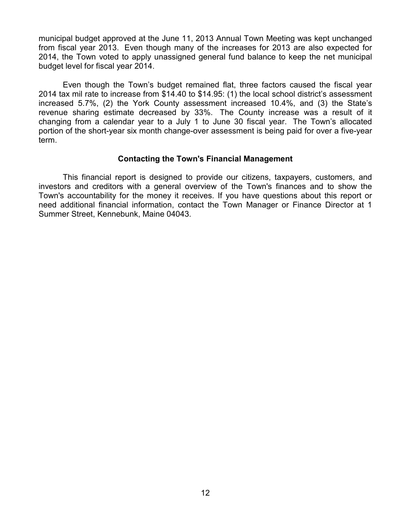municipal budget approved at the June 11, 2013 Annual Town Meeting was kept unchanged from fiscal year 2013. Even though many of the increases for 2013 are also expected for 2014, the Town voted to apply unassigned general fund balance to keep the net municipal budget level for fiscal year 2014.

Even though the Town's budget remained flat, three factors caused the fiscal year 2014 tax mil rate to increase from \$14.40 to \$14.95: (1) the local school district's assessment increased 5.7%, (2) the York County assessment increased 10.4%, and (3) the State's revenue sharing estimate decreased by 33%. The County increase was a result of it changing from a calendar year to a July 1 to June 30 fiscal year. The Town's allocated portion of the short-year six month change-over assessment is being paid for over a five-year term.

#### **Contacting the Town's Financial Management**

 This financial report is designed to provide our citizens, taxpayers, customers, and investors and creditors with a general overview of the Town's finances and to show the Town's accountability for the money it receives. If you have questions about this report or need additional financial information, contact the Town Manager or Finance Director at 1 Summer Street, Kennebunk, Maine 04043.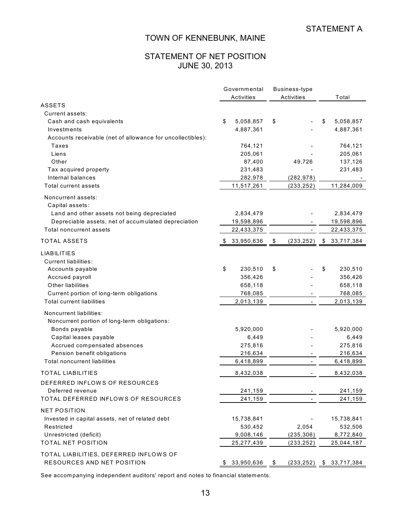# STATEMENT OF NET POSITION JUNE 30, 2013

|                                                                                                                                                                                                                          |     | Governmental                                          |    | Business-type                     |                                                             |
|--------------------------------------------------------------------------------------------------------------------------------------------------------------------------------------------------------------------------|-----|-------------------------------------------------------|----|-----------------------------------|-------------------------------------------------------------|
|                                                                                                                                                                                                                          |     | Activities                                            |    | Activities                        | Total                                                       |
| <b>ASSETS</b>                                                                                                                                                                                                            |     |                                                       |    |                                   |                                                             |
| Current assets:                                                                                                                                                                                                          |     |                                                       |    |                                   |                                                             |
| Cash and cash equivalents                                                                                                                                                                                                | \$  | 5,058,857                                             | \$ |                                   | \$<br>5,058,857                                             |
| Investments                                                                                                                                                                                                              |     | 4,887,361                                             |    |                                   | 4,887,361                                                   |
| Accounts receivable (net of allowance for uncollectibles):                                                                                                                                                               |     |                                                       |    |                                   |                                                             |
| Taxes                                                                                                                                                                                                                    |     | 764,121                                               |    |                                   | 764,121                                                     |
| Liens                                                                                                                                                                                                                    |     | 205,061                                               |    |                                   | 205,061                                                     |
| Other                                                                                                                                                                                                                    |     | 87,400                                                |    | 49,726                            | 137,126                                                     |
| Tax acquired property                                                                                                                                                                                                    |     | 231,483                                               |    |                                   | 231,483                                                     |
| Internal balances                                                                                                                                                                                                        |     | 282,978                                               |    | (282, 978)                        |                                                             |
| Total current assets                                                                                                                                                                                                     |     | 11,517,261                                            |    | (233, 252)                        | 11,284,009                                                  |
| Noncurrent assets:<br>Capital assets:<br>Land and other assets not being depreciated                                                                                                                                     |     | 2,834,479                                             |    |                                   | 2,834,479                                                   |
| Depreciable assets, net of accumulated depreciation                                                                                                                                                                      |     | 19,598,896                                            |    |                                   | 19,598,896                                                  |
| Total noncurrent assets                                                                                                                                                                                                  |     | 22,433,375                                            |    | $\overline{\phantom{a}}$          | 22,433,375                                                  |
| <b>TOTAL ASSETS</b>                                                                                                                                                                                                      | SS. | 33,950,636                                            | \$ | (233, 252)                        | \$<br>33,717,384                                            |
| LIABILITIES<br><b>Current liabilities:</b><br>Accounts payable<br>Accrued payroll<br>Other liabilities<br>Current portion of long-term obligations<br><b>Total current liabilities</b>                                   | \$  | 230,510<br>356,426<br>658,118<br>768,085<br>2,013,139 | \$ | $\overline{\phantom{a}}$          | \$<br>230,510<br>356,426<br>658,118<br>768,085<br>2,013,139 |
| Noncurrent liabilities:<br>Noncurrent portion of long-term obligations:<br>Bonds payable<br>Capital leases payable<br>Accrued compensated absences<br>Pension benefit obligations<br><b>Total noncurrent liabilities</b> |     | 5,920,000<br>6,449<br>275,816<br>216,634<br>6,418,899 |    | $\overline{\phantom{a}}$          | 5,920,000<br>6,449<br>275,816<br>216,634<br>6,418,899       |
| <b>TOTAL LIABILITIES</b>                                                                                                                                                                                                 |     | 8,432,038                                             |    |                                   | 8,432,038                                                   |
| DEFERRED INFLOWS OF RESOURCES                                                                                                                                                                                            |     |                                                       |    |                                   |                                                             |
| Deferred revenue                                                                                                                                                                                                         |     | 241,159                                               |    |                                   | 241,159                                                     |
| <b>TOTAL DEFERRED INFLOWS OF RESOURCES</b>                                                                                                                                                                               |     | 241,159                                               |    |                                   | 241,159                                                     |
| <b>NET POSITION</b><br>Invested in capital assets, net of related debt<br>Restricted<br>Unrestricted (deficit)<br><b>TOTAL NET POSITION</b>                                                                              |     | 15,738,841<br>530,452<br>9,008,146<br>25,277,439      |    | 2,054<br>(235, 306)<br>(233, 252) | 15,738,841<br>532,506<br>8,772,840<br>25,044,187            |
| TOTAL LIABILITIES, DEFERRED INFLOWS OF                                                                                                                                                                                   |     |                                                       |    |                                   |                                                             |
| RESOURCES AND NET POSITION                                                                                                                                                                                               |     | \$ 33,950,636                                         | \$ | (233, 252)                        | \$33,717,384                                                |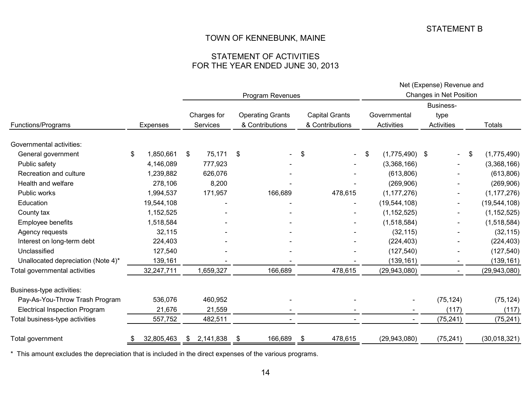# STATEMENT OF ACTIVITIES FOR THE YEAR ENDED JUNE 30, 2013

|                                      |                 |    |             | Program Revenues        |    |                          | Net (Expense) Revenue and<br>Changes in Net Position |                   |                    |                          |                           |                |
|--------------------------------------|-----------------|----|-------------|-------------------------|----|--------------------------|------------------------------------------------------|-------------------|--------------------|--------------------------|---------------------------|----------------|
|                                      |                 |    |             |                         |    |                          |                                                      |                   | Business-          |                          |                           |                |
|                                      |                 |    | Charges for | <b>Operating Grants</b> |    | <b>Capital Grants</b>    | Governmental                                         |                   | type<br>Activities |                          |                           |                |
| Functions/Programs                   | <b>Expenses</b> |    | Services    | & Contributions         |    | & Contributions          |                                                      | <b>Activities</b> |                    |                          |                           | <b>Totals</b>  |
| Governmental activities:             |                 |    |             |                         |    |                          |                                                      |                   |                    |                          |                           |                |
| General government                   | 1,850,661<br>\$ | \$ | 75,171      | \$                      | \$ | $\blacksquare$           | \$                                                   | $(1,775,490)$ \$  |                    | $\overline{\phantom{a}}$ | $\boldsymbol{\mathsf{s}}$ | (1,775,490)    |
| Public safety                        | 4,146,089       |    | 777,923     |                         |    |                          |                                                      | (3,368,166)       |                    |                          |                           | (3,368,166)    |
| Recreation and culture               | 1,239,882       |    | 626,076     |                         |    |                          |                                                      | (613, 806)        |                    |                          |                           | (613, 806)     |
| Health and welfare                   | 278,106         |    | 8,200       |                         |    |                          |                                                      | (269, 906)        |                    | $\overline{a}$           |                           | (269, 906)     |
| Public works                         | 1,994,537       |    | 171,957     | 166,689                 |    | 478,615                  |                                                      | (1, 177, 276)     |                    | $\overline{\phantom{a}}$ |                           | (1, 177, 276)  |
| Education                            | 19,544,108      |    |             |                         |    |                          |                                                      | (19, 544, 108)    |                    | $\blacksquare$           |                           | (19, 544, 108) |
| County tax                           | 1,152,525       |    |             |                         |    |                          |                                                      | (1, 152, 525)     |                    |                          |                           | (1, 152, 525)  |
| Employee benefits                    | 1,518,584       |    |             |                         |    |                          |                                                      | (1,518,584)       |                    |                          |                           | (1,518,584)    |
| Agency requests                      | 32,115          |    |             |                         |    |                          |                                                      | (32, 115)         |                    |                          |                           | (32, 115)      |
| Interest on long-term debt           | 224,403         |    |             |                         |    |                          |                                                      | (224, 403)        |                    |                          |                           | (224, 403)     |
| Unclassified                         | 127,540         |    |             |                         |    |                          |                                                      | (127, 540)        |                    |                          |                           | (127, 540)     |
| Unallocated depreciation (Note 4)*   | 139,161         |    |             |                         |    |                          |                                                      | (139, 161)        |                    |                          |                           | (139, 161)     |
| Total governmental activities        | 32,247,711      |    | 1,659,327   | 166,689                 |    | 478,615                  |                                                      | (29, 943, 080)    |                    |                          |                           | (29, 943, 080) |
| Business-type activities:            |                 |    |             |                         |    |                          |                                                      |                   |                    |                          |                           |                |
| Pay-As-You-Throw Trash Program       | 536,076         |    | 460,952     |                         |    |                          |                                                      |                   |                    | (75, 124)                |                           | (75, 124)      |
| <b>Electrical Inspection Program</b> | 21,676          |    | 21,559      |                         |    |                          |                                                      |                   |                    | (117)                    |                           | (117)          |
| Total business-type activities       | 557,752         |    | 482,511     |                         |    | $\overline{\phantom{a}}$ |                                                      |                   |                    | (75, 241)                |                           | (75, 241)      |
| Total government                     | 32,805,463      | S. | 2,141,838   | 166,689<br>\$           | \$ | 478,615                  |                                                      | (29, 943, 080)    |                    | (75, 241)                |                           | (30,018,321)   |

\* This amount excludes the depreciation that is included in the direct expenses of the various programs.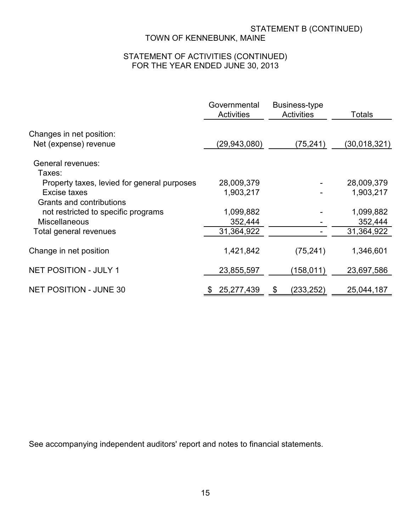# STATEMENT B (CONTINUED) TOWN OF KENNEBUNK, MAINE

# STATEMENT OF ACTIVITIES (CONTINUED) FOR THE YEAR ENDED JUNE 30, 2013

|                                             | Governmental<br><b>Activities</b> | Business-type<br><b>Activities</b> | Totals       |
|---------------------------------------------|-----------------------------------|------------------------------------|--------------|
| Changes in net position:                    |                                   |                                    |              |
| Net (expense) revenue                       | (29, 943, 080)                    | (75, 241)                          | (30,018,321) |
| General revenues:                           |                                   |                                    |              |
| Taxes:                                      |                                   |                                    |              |
| Property taxes, levied for general purposes | 28,009,379                        |                                    | 28,009,379   |
| Excise taxes                                | 1,903,217                         |                                    | 1,903,217    |
| Grants and contributions                    |                                   |                                    |              |
| not restricted to specific programs         | 1,099,882                         |                                    | 1,099,882    |
| <b>Miscellaneous</b>                        | 352,444                           |                                    | 352,444      |
| Total general revenues                      | 31,364,922                        |                                    | 31,364,922   |
| Change in net position                      | 1,421,842                         | (75, 241)                          | 1,346,601    |
| <b>NET POSITION - JULY 1</b>                | 23,855,597                        | (158, 011)                         | 23,697,586   |
| <b>NET POSITION - JUNE 30</b>               | 25,277,439                        | (233,252)<br>\$                    | 25,044,187   |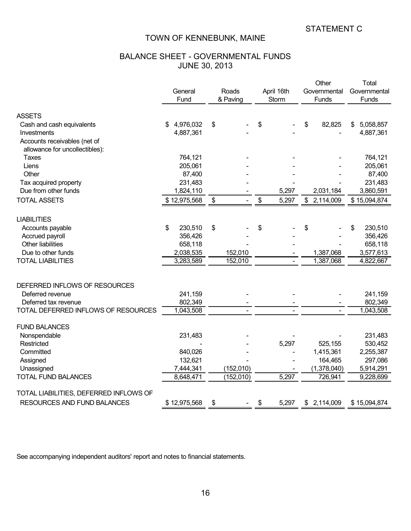# BALANCE SHEET - GOVERNMENTAL FUNDS JUNE 30, 2013

|                                        |     | General<br>Roads<br>Fund<br>& Paving |    | April 16th<br>Storm |             | Other<br>Governmental<br>Funds | Total<br>Governmental<br>Funds |                 |
|----------------------------------------|-----|--------------------------------------|----|---------------------|-------------|--------------------------------|--------------------------------|-----------------|
| <b>ASSETS</b>                          |     |                                      |    |                     |             |                                |                                |                 |
| Cash and cash equivalents              | \$. | 4,976,032                            | \$ |                     | \$          | \$                             | 82,825                         | \$<br>5,058,857 |
| Investments                            |     | 4,887,361                            |    |                     |             |                                |                                | 4,887,361       |
| Accounts receivables (net of           |     |                                      |    |                     |             |                                |                                |                 |
| allowance for uncollectibles):         |     |                                      |    |                     |             |                                |                                |                 |
| <b>Taxes</b>                           |     | 764,121                              |    |                     |             |                                |                                | 764,121         |
| Liens                                  |     | 205,061                              |    |                     |             |                                |                                | 205,061         |
| Other                                  |     | 87,400                               |    |                     |             |                                |                                | 87,400          |
| Tax acquired property                  |     | 231,483                              |    |                     |             |                                |                                | 231,483         |
| Due from other funds                   |     | 1,824,110                            |    |                     | 5,297       |                                | 2,031,184                      | 3,860,591       |
| <b>TOTAL ASSETS</b>                    |     | \$12,975,568                         | \$ |                     | \$<br>5,297 | $\frac{1}{2}$                  | 2,114,009                      | \$15,094,874    |
|                                        |     |                                      |    |                     |             |                                |                                |                 |
| <b>LIABILITIES</b>                     |     |                                      |    |                     |             |                                |                                |                 |
| Accounts payable                       | \$  | 230,510                              | \$ |                     | \$          | \$                             |                                | \$<br>230,510   |
| Accrued payroll                        |     | 356,426                              |    |                     |             |                                |                                | 356,426         |
| <b>Other liabilities</b>               |     | 658,118                              |    |                     |             |                                |                                | 658,118         |
| Due to other funds                     |     | 2,038,535                            |    | 152,010             |             |                                | 1,387,068                      | 3,577,613       |
| <b>TOTAL LIABILITIES</b>               |     | 3,283,589                            |    | 152,010             |             |                                | 1,387,068                      | 4,822,667       |
|                                        |     |                                      |    |                     |             |                                |                                |                 |
| DEFERRED INFLOWS OF RESOURCES          |     |                                      |    |                     |             |                                |                                |                 |
| Deferred revenue                       |     | 241,159                              |    |                     |             |                                |                                | 241,159         |
| Deferred tax revenue                   |     | 802,349                              |    |                     |             |                                |                                | 802,349         |
| TOTAL DEFERRED INFLOWS OF RESOURCES    |     | 1,043,508                            |    |                     |             |                                | $\overline{a}$                 | 1,043,508       |
|                                        |     |                                      |    |                     |             |                                |                                |                 |
| <b>FUND BALANCES</b>                   |     |                                      |    |                     |             |                                |                                |                 |
| Nonspendable                           |     | 231,483                              |    |                     |             |                                |                                | 231,483         |
| Restricted                             |     |                                      |    |                     | 5,297       |                                | 525,155                        | 530,452         |
| Committed                              |     | 840,026                              |    |                     |             |                                | 1,415,361                      | 2,255,387       |
| Assigned                               |     | 132,621                              |    |                     |             |                                | 164,465                        | 297,086         |
| Unassigned                             |     | 7,444,341                            |    | (152, 010)          |             |                                | (1,378,040)                    | 5,914,291       |
| <b>TOTAL FUND BALANCES</b>             |     | 8,648,471                            |    | (152, 010)          | 5,297       |                                | 726,941                        | 9,228,699       |
| TOTAL LIABILITIES, DEFERRED INFLOWS OF |     |                                      |    |                     |             |                                |                                |                 |
| RESOURCES AND FUND BALANCES            |     | \$12,975,568                         | \$ |                     | \$<br>5,297 | \$                             | 2,114,009                      | \$15,094,874    |
|                                        |     |                                      |    |                     |             |                                |                                |                 |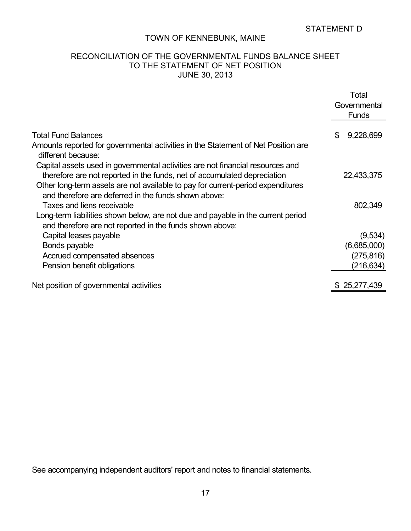# RECONCILIATION OF THE GOVERNMENTAL FUNDS BALANCE SHEET TO THE STATEMENT OF NET POSITION JUNE 30, 2013

|                                                                                                                                                                                                                                                                                                       | Total<br>Governmental<br><b>Funds</b> |
|-------------------------------------------------------------------------------------------------------------------------------------------------------------------------------------------------------------------------------------------------------------------------------------------------------|---------------------------------------|
| <b>Total Fund Balances</b><br>Amounts reported for governmental activities in the Statement of Net Position are                                                                                                                                                                                       | 9,228,699<br>\$                       |
| different because:                                                                                                                                                                                                                                                                                    |                                       |
| Capital assets used in governmental activities are not financial resources and<br>therefore are not reported in the funds, net of accumulated depreciation<br>Other long-term assets are not available to pay for current-period expenditures<br>and therefore are deferred in the funds shown above: | 22,433,375                            |
| Taxes and liens receivable                                                                                                                                                                                                                                                                            | 802,349                               |
| Long-term liabilities shown below, are not due and payable in the current period<br>and therefore are not reported in the funds shown above:                                                                                                                                                          |                                       |
| Capital leases payable                                                                                                                                                                                                                                                                                | (9,534)                               |
| Bonds payable                                                                                                                                                                                                                                                                                         | (6,685,000)                           |
| Accrued compensated absences                                                                                                                                                                                                                                                                          | (275, 816)                            |
| Pension benefit obligations                                                                                                                                                                                                                                                                           | (216,634)                             |
| Net position of governmental activities                                                                                                                                                                                                                                                               | \$25,277,439                          |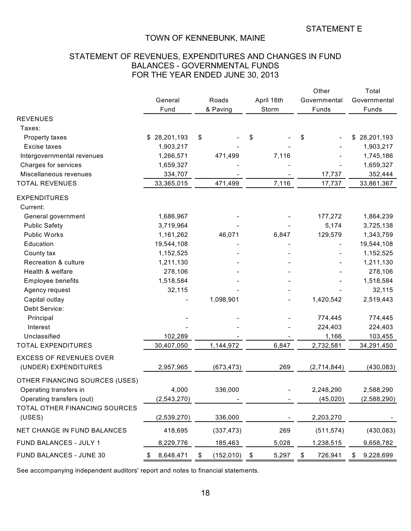# STATEMENT OF REVENUES, EXPENDITURES AND CHANGES IN FUND BALANCES - GOVERNMENTAL FUNDS FOR THE YEAR ENDED JUNE 30, 2013

|                                    |                  |                  |               | Other         | Total            |
|------------------------------------|------------------|------------------|---------------|---------------|------------------|
|                                    | General          | Roads            | April 16th    | Governmental  | Governmental     |
|                                    | Fund             | & Paving         | Storm         | Funds         | Funds            |
| <b>REVENUES</b>                    |                  |                  |               |               |                  |
| Taxes:                             |                  |                  |               |               |                  |
| Property taxes                     | 28,201,193<br>\$ | \$               | \$            | \$            | 28,201,193<br>\$ |
| Excise taxes                       | 1,903,217        |                  |               |               | 1,903,217        |
| Intergovernmental revenues         | 1,266,571        | 471,499          | 7,116         |               | 1,745,186        |
| Charges for services               | 1,659,327        |                  |               |               | 1,659,327        |
| Miscellaneous revenues             | 334,707          |                  |               | 17,737        | 352,444          |
| <b>TOTAL REVENUES</b>              | 33,365,015       | 471,499          | 7,116         | 17,737        | 33,861,367       |
| <b>EXPENDITURES</b>                |                  |                  |               |               |                  |
| Current:                           |                  |                  |               |               |                  |
| General government                 | 1,686,967        |                  |               | 177,272       | 1,864,239        |
| <b>Public Safety</b>               | 3,719,964        |                  |               | 5,174         | 3,725,138        |
| Public Works                       | 1,161,262        | 46,071           | 6,847         | 129,579       | 1,343,759        |
| Education                          | 19,544,108       |                  |               |               | 19,544,108       |
| County tax                         | 1,152,525        |                  |               |               | 1,152,525        |
| Recreation & culture               | 1,211,130        |                  |               |               | 1,211,130        |
| Health & welfare                   | 278,106          |                  |               |               | 278,106          |
| Employee benefits                  | 1,518,584        |                  |               |               | 1,518,584        |
| Agency request                     | 32,115           |                  |               |               | 32,115           |
| Capital outlay                     |                  | 1,098,901        |               | 1,420,542     | 2,519,443        |
| Debt Service:                      |                  |                  |               |               |                  |
| Principal                          |                  |                  |               | 774,445       | 774,445          |
| Interest                           |                  |                  |               | 224,403       | 224,403          |
| Unclassified                       | 102,289          |                  |               | 1,166         | 103,455          |
| <b>TOTAL EXPENDITURES</b>          | 30,407,050       | 1,144,972        | 6,847         | 2,732,581     | 34,291,450       |
| <b>EXCESS OF REVENUES OVER</b>     |                  |                  |               |               |                  |
| (UNDER) EXPENDITURES               | 2,957,965        | (673, 473)       | 269           | (2,714,844)   | (430, 083)       |
| OTHER FINANCING SOURCES (USES)     |                  |                  |               |               |                  |
| Operating transfers in             | 4,000            | 336,000          |               | 2,248,290     | 2,588,290        |
| Operating transfers (out)          | (2, 543, 270)    |                  |               | (45, 020)     | (2,588,290)      |
| TOTAL OTHER FINANCING SOURCES      |                  |                  |               |               |                  |
| (USES)                             | (2,539,270)      | 336,000          |               | 2,203,270     |                  |
| <b>NET CHANGE IN FUND BALANCES</b> | 418,695          | (337, 473)       | 269           | (511, 574)    | (430, 083)       |
| FUND BALANCES - JULY 1             | 8,229,776        | 185,463          | 5,028         | 1,238,515     | 9,658,782        |
| <b>FUND BALANCES - JUNE 30</b>     | 8,648,471<br>\$  | (152, 010)<br>\$ | 5,297<br>- \$ | 726,941<br>\$ | 9,228,699<br>\$  |
|                                    |                  |                  |               |               |                  |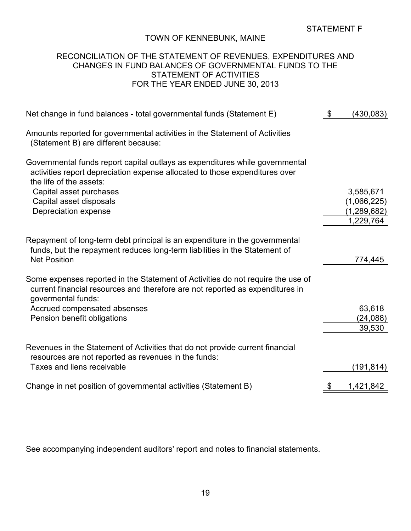# RECONCILIATION OF THE STATEMENT OF REVENUES, EXPENDITURES AND CHANGES IN FUND BALANCES OF GOVERNMENTAL FUNDS TO THE STATEMENT OF ACTIVITIES FOR THE YEAR ENDED JUNE 30, 2013

| Net change in fund balances - total governmental funds (Statement E)                                                                                                                   | $\boldsymbol{\mathsf{S}}$ | (430, 083)    |
|----------------------------------------------------------------------------------------------------------------------------------------------------------------------------------------|---------------------------|---------------|
| Amounts reported for governmental activities in the Statement of Activities<br>(Statement B) are different because:                                                                    |                           |               |
| Governmental funds report capital outlays as expenditures while governmental<br>activities report depreciation expense allocated to those expenditures over<br>the life of the assets: |                           |               |
| Capital asset purchases                                                                                                                                                                |                           | 3,585,671     |
| Capital asset disposals                                                                                                                                                                |                           | (1,066,225)   |
| Depreciation expense                                                                                                                                                                   |                           | (1, 289, 682) |
|                                                                                                                                                                                        |                           | 1,229,764     |
| Repayment of long-term debt principal is an expenditure in the governmental<br>funds, but the repayment reduces long-term liabilities in the Statement of                              |                           |               |
| <b>Net Position</b>                                                                                                                                                                    |                           | 774,445       |
| Some expenses reported in the Statement of Activities do not require the use of<br>current financial resources and therefore are not reported as expenditures in<br>govermental funds: |                           |               |
| Accrued compensated absenses                                                                                                                                                           |                           | 63,618        |
| Pension benefit obligations                                                                                                                                                            |                           | (24, 088)     |
|                                                                                                                                                                                        |                           | 39,530        |
| Revenues in the Statement of Activities that do not provide current financial<br>resources are not reported as revenues in the funds:                                                  |                           |               |
| Taxes and liens receivable                                                                                                                                                             |                           | (191, 814)    |
| Change in net position of governmental activities (Statement B)                                                                                                                        | 5                         | 1,421,842     |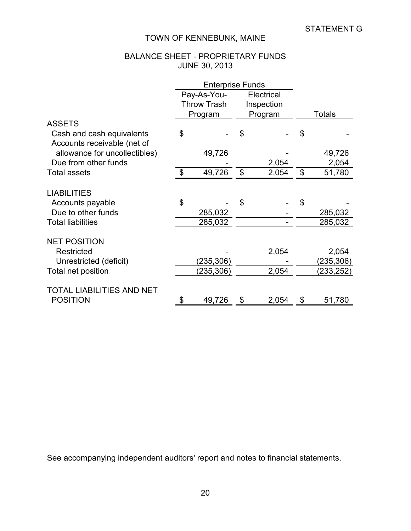# BALANCE SHEET - PROPRIETARY FUNDS JUNE 30, 2013

|                                                                                          | <b>Enterprise Funds</b> |                    |                           |            |               |                     |
|------------------------------------------------------------------------------------------|-------------------------|--------------------|---------------------------|------------|---------------|---------------------|
|                                                                                          |                         | Pay-As-You-        |                           | Electrical |               |                     |
|                                                                                          |                         | <b>Throw Trash</b> | Inspection                |            |               |                     |
|                                                                                          |                         | Program            | Program                   |            | <b>Totals</b> |                     |
| <b>ASSETS</b>                                                                            |                         |                    |                           |            |               |                     |
| Cash and cash equivalents<br>Accounts receivable (net of                                 | \$                      |                    | \$                        |            | \$            |                     |
| allowance for uncollectibles)                                                            |                         | 49,726             |                           |            |               | 49,726              |
| Due from other funds                                                                     |                         |                    |                           | 2,054      |               | 2,054               |
| <b>Total assets</b>                                                                      | \$                      | 49,726             | $\boldsymbol{\mathsf{S}}$ | 2,054      | \$            | 51,780              |
| <b>LIABILITIES</b><br>Accounts payable<br>Due to other funds<br><b>Total liabilities</b> | \$                      | 285,032<br>285,032 | \$                        |            | \$            | 285,032<br>285,032  |
| <b>NET POSITION</b><br>Restricted<br>Unrestricted (deficit)                              |                         | (235, 306)         |                           | 2,054      |               | 2,054<br>(235, 306) |
| Total net position                                                                       |                         | (235, 306)         |                           | 2,054      |               | (233, 252)          |
| TOTAL LIABILITIES AND NET<br><b>POSITION</b>                                             |                         | 49,726             |                           | 2,054      | \$            | 51,780              |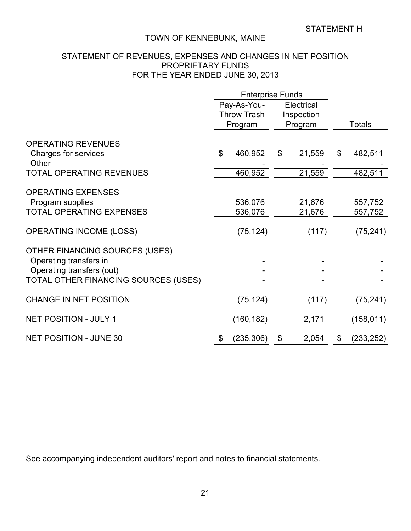# STATEMENT OF REVENUES, EXPENSES AND CHANGES IN NET POSITION PROPRIETARY FUNDS FOR THE YEAR ENDED JUNE 30, 2013

|                                                                                                                               | <b>Enterprise Funds</b> |                    |               |                  |               |                    |
|-------------------------------------------------------------------------------------------------------------------------------|-------------------------|--------------------|---------------|------------------|---------------|--------------------|
|                                                                                                                               |                         | Pay-As-You-        |               | Electrical       |               |                    |
|                                                                                                                               |                         | <b>Throw Trash</b> | Inspection    |                  |               |                    |
|                                                                                                                               |                         | Program            | Program       |                  | <b>Totals</b> |                    |
| <b>OPERATING REVENUES</b><br>Charges for services<br>Other                                                                    | \$                      | 460,952            | $\mathcal{S}$ | 21,559           | \$            | 482,511            |
| TOTAL OPERATING REVENUES                                                                                                      |                         | 460,952            |               | 21,559           |               | 482,511            |
| <b>OPERATING EXPENSES</b><br>Program supplies<br><b>TOTAL OPERATING EXPENSES</b>                                              |                         | 536,076<br>536,076 |               | 21,676<br>21,676 |               | 557,752<br>557,752 |
| <b>OPERATING INCOME (LOSS)</b>                                                                                                |                         | (75, 124)          |               | (117)            |               | (75,241)           |
| OTHER FINANCING SOURCES (USES)<br>Operating transfers in<br>Operating transfers (out)<br>TOTAL OTHER FINANCING SOURCES (USES) |                         |                    |               |                  |               |                    |
| <b>CHANGE IN NET POSITION</b>                                                                                                 |                         | (75, 124)          |               | (117)            |               | (75, 241)          |
| <b>NET POSITION - JULY 1</b>                                                                                                  |                         | (160, 182)         |               | 2,171            |               | (158,011)          |
| <b>NET POSITION - JUNE 30</b>                                                                                                 | \$                      | (235, 306)         | \$            | 2,054            | \$            | (233, 252)         |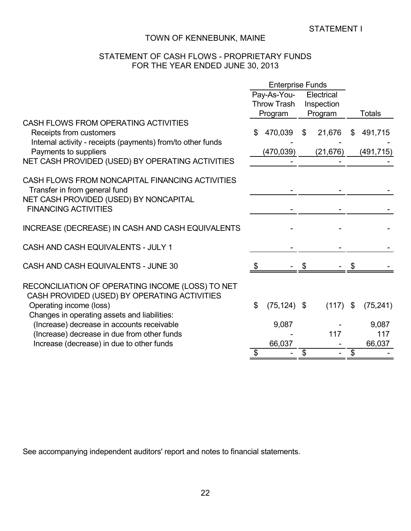# STATEMENT OF CASH FLOWS - PROPRIETARY FUNDS FOR THE YEAR ENDED JUNE 30, 2013

| <b>Enterprise Funds</b>   |         |                                                                              |                |                                                  |               |
|---------------------------|---------|------------------------------------------------------------------------------|----------------|--------------------------------------------------|---------------|
|                           |         |                                                                              |                |                                                  |               |
|                           |         |                                                                              |                |                                                  |               |
|                           |         |                                                                              |                |                                                  | <b>Totals</b> |
| \$                        | 470,039 | \$                                                                           | 21,676         | \$                                               | 491,715       |
|                           |         |                                                                              |                |                                                  |               |
|                           |         |                                                                              |                |                                                  | (491, 715)    |
|                           |         |                                                                              |                |                                                  |               |
|                           |         |                                                                              |                |                                                  |               |
|                           |         |                                                                              |                |                                                  |               |
|                           |         |                                                                              |                |                                                  |               |
|                           |         |                                                                              |                |                                                  |               |
|                           |         |                                                                              |                |                                                  |               |
|                           |         |                                                                              |                |                                                  |               |
| \$                        |         |                                                                              |                |                                                  | (75, 241)     |
|                           |         |                                                                              |                |                                                  | 9,087         |
|                           |         |                                                                              | 117            |                                                  | 117           |
|                           |         |                                                                              |                |                                                  | 66,037        |
| $\boldsymbol{\mathsf{S}}$ |         | \$                                                                           |                | \$                                               |               |
|                           |         | Pay-As-You-<br><b>Throw Trash</b><br>Program<br>(470,039)<br>9,087<br>66,037 | $(75, 124)$ \$ | Electrical<br>Inspection<br>Program<br>(21, 676) | $(117)$ \$    |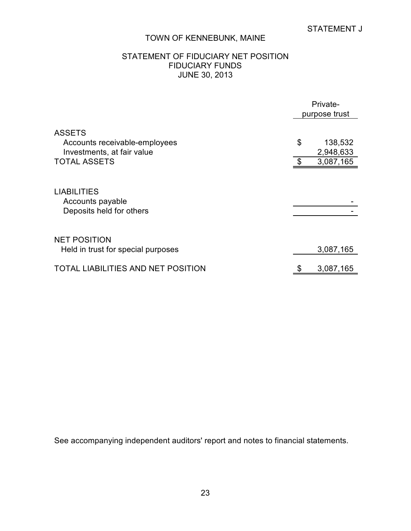# STATEMENT OF FIDUCIARY NET POSITION FIDUCIARY FUNDS JUNE 30, 2013

|                                                                                                     | Private-<br>purpose trust |                                   |  |
|-----------------------------------------------------------------------------------------------------|---------------------------|-----------------------------------|--|
| <b>ASSETS</b><br>Accounts receivable-employees<br>Investments, at fair value<br><b>TOTAL ASSETS</b> |                           | 138,532<br>2,948,633<br>3,087,165 |  |
|                                                                                                     | $\mathfrak{L}$            |                                   |  |
| <b>LIABILITIES</b><br>Accounts payable<br>Deposits held for others                                  |                           |                                   |  |
| <b>NET POSITION</b><br>Held in trust for special purposes                                           |                           | 3,087,165                         |  |
| TOTAL LIABILITIES AND NET POSITION                                                                  |                           | 3,087,165                         |  |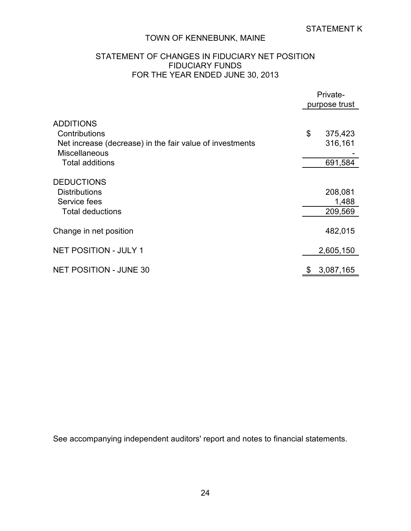# STATEMENT OF CHANGES IN FIDUCIARY NET POSITION FIDUCIARY FUNDS FOR THE YEAR ENDED JUNE 30, 2013

| <b>ADDITIONS</b><br>\$<br>Contributions<br>375,423<br>316,161<br>Net increase (decrease) in the fair value of investments<br>Miscellaneous<br>691,584<br><b>Total additions</b><br><b>DEDUCTIONS</b><br>208,081<br><b>Distributions</b><br>Service fees<br>1,488<br>209,569<br><b>Total deductions</b><br>482,015<br>Change in net position<br><b>NET POSITION - JULY 1</b><br>2,605,150<br><b>NET POSITION - JUNE 30</b><br>3,087,165 |  | Private-<br>purpose trust |
|----------------------------------------------------------------------------------------------------------------------------------------------------------------------------------------------------------------------------------------------------------------------------------------------------------------------------------------------------------------------------------------------------------------------------------------|--|---------------------------|
|                                                                                                                                                                                                                                                                                                                                                                                                                                        |  |                           |
|                                                                                                                                                                                                                                                                                                                                                                                                                                        |  |                           |
|                                                                                                                                                                                                                                                                                                                                                                                                                                        |  |                           |
|                                                                                                                                                                                                                                                                                                                                                                                                                                        |  |                           |
|                                                                                                                                                                                                                                                                                                                                                                                                                                        |  |                           |
|                                                                                                                                                                                                                                                                                                                                                                                                                                        |  |                           |
|                                                                                                                                                                                                                                                                                                                                                                                                                                        |  |                           |
|                                                                                                                                                                                                                                                                                                                                                                                                                                        |  |                           |
|                                                                                                                                                                                                                                                                                                                                                                                                                                        |  |                           |
|                                                                                                                                                                                                                                                                                                                                                                                                                                        |  |                           |
|                                                                                                                                                                                                                                                                                                                                                                                                                                        |  |                           |
|                                                                                                                                                                                                                                                                                                                                                                                                                                        |  |                           |
|                                                                                                                                                                                                                                                                                                                                                                                                                                        |  |                           |
|                                                                                                                                                                                                                                                                                                                                                                                                                                        |  |                           |
|                                                                                                                                                                                                                                                                                                                                                                                                                                        |  |                           |
|                                                                                                                                                                                                                                                                                                                                                                                                                                        |  |                           |
|                                                                                                                                                                                                                                                                                                                                                                                                                                        |  |                           |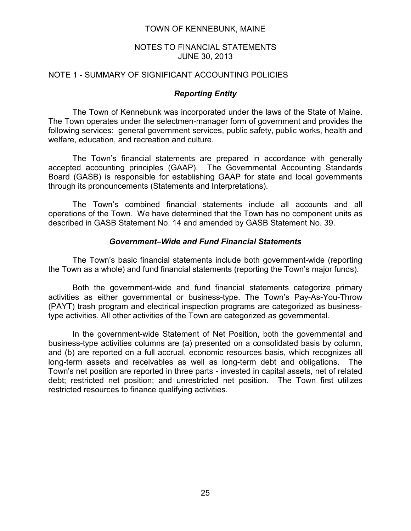### NOTES TO FINANCIAL STATEMENTS JUNE 30, 2013

### NOTE 1 - SUMMARY OF SIGNIFICANT ACCOUNTING POLICIES

# *Reporting Entity*

The Town of Kennebunk was incorporated under the laws of the State of Maine. The Town operates under the selectmen-manager form of government and provides the following services: general government services, public safety, public works, health and welfare, education, and recreation and culture.

 The Town's financial statements are prepared in accordance with generally accepted accounting principles (GAAP). The Governmental Accounting Standards Board (GASB) is responsible for establishing GAAP for state and local governments through its pronouncements (Statements and Interpretations).

The Town's combined financial statements include all accounts and all operations of the Town. We have determined that the Town has no component units as described in GASB Statement No. 14 and amended by GASB Statement No. 39.

### *Government–Wide and Fund Financial Statements*

 The Town's basic financial statements include both government-wide (reporting the Town as a whole) and fund financial statements (reporting the Town's major funds).

 Both the government-wide and fund financial statements categorize primary activities as either governmental or business-type. The Town's Pay-As-You-Throw (PAYT) trash program and electrical inspection programs are categorized as businesstype activities. All other activities of the Town are categorized as governmental.

 In the government-wide Statement of Net Position, both the governmental and business-type activities columns are (a) presented on a consolidated basis by column, and (b) are reported on a full accrual, economic resources basis, which recognizes all long-term assets and receivables as well as long-term debt and obligations. The Town's net position are reported in three parts - invested in capital assets, net of related debt; restricted net position; and unrestricted net position. The Town first utilizes restricted resources to finance qualifying activities.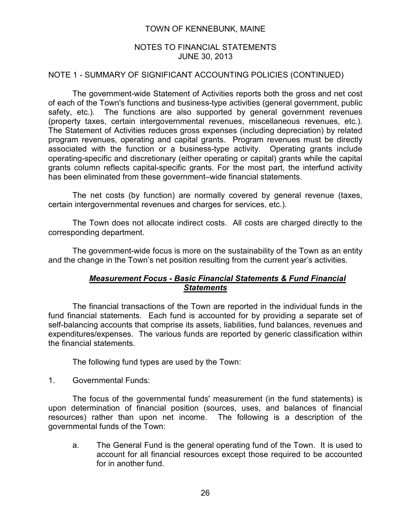### NOTES TO FINANCIAL STATEMENTS JUNE 30, 2013

### NOTE 1 - SUMMARY OF SIGNIFICANT ACCOUNTING POLICIES (CONTINUED)

The government-wide Statement of Activities reports both the gross and net cost of each of the Town's functions and business-type activities (general government, public safety, etc.). The functions are also supported by general government revenues (property taxes, certain intergovernmental revenues, miscellaneous revenues, etc.). The Statement of Activities reduces gross expenses (including depreciation) by related program revenues, operating and capital grants. Program revenues must be directly associated with the function or a business-type activity. Operating grants include operating-specific and discretionary (either operating or capital) grants while the capital grants column reflects capital-specific grants. For the most part, the interfund activity has been eliminated from these government–wide financial statements.

 The net costs (by function) are normally covered by general revenue (taxes, certain intergovernmental revenues and charges for services, etc.).

 The Town does not allocate indirect costs. All costs are charged directly to the corresponding department.

 The government-wide focus is more on the sustainability of the Town as an entity and the change in the Town's net position resulting from the current year's activities.

# *Measurement Focus - Basic Financial Statements & Fund Financial Statements*

 The financial transactions of the Town are reported in the individual funds in the fund financial statements. Each fund is accounted for by providing a separate set of self-balancing accounts that comprise its assets, liabilities, fund balances, revenues and expenditures/expenses. The various funds are reported by generic classification within the financial statements.

The following fund types are used by the Town:

1. Governmental Funds:

 The focus of the governmental funds' measurement (in the fund statements) is upon determination of financial position (sources, uses, and balances of financial resources) rather than upon net income. The following is a description of the governmental funds of the Town:

a. The General Fund is the general operating fund of the Town. It is used to account for all financial resources except those required to be accounted for in another fund.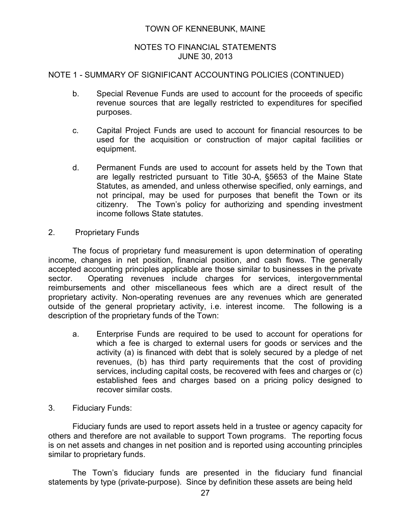# NOTES TO FINANCIAL STATEMENTS JUNE 30, 2013

# NOTE 1 - SUMMARY OF SIGNIFICANT ACCOUNTING POLICIES (CONTINUED)

- b. Special Revenue Funds are used to account for the proceeds of specific revenue sources that are legally restricted to expenditures for specified purposes.
- c. Capital Project Funds are used to account for financial resources to be used for the acquisition or construction of major capital facilities or equipment.
- d. Permanent Funds are used to account for assets held by the Town that are legally restricted pursuant to Title 30-A, §5653 of the Maine State Statutes, as amended, and unless otherwise specified, only earnings, and not principal, may be used for purposes that benefit the Town or its citizenry. The Town's policy for authorizing and spending investment income follows State statutes.
- 2. Proprietary Funds

 The focus of proprietary fund measurement is upon determination of operating income, changes in net position, financial position, and cash flows. The generally accepted accounting principles applicable are those similar to businesses in the private sector. Operating revenues include charges for services, intergovernmental reimbursements and other miscellaneous fees which are a direct result of the proprietary activity. Non-operating revenues are any revenues which are generated outside of the general proprietary activity, i.e. interest income. The following is a description of the proprietary funds of the Town:

- a. Enterprise Funds are required to be used to account for operations for which a fee is charged to external users for goods or services and the activity (a) is financed with debt that is solely secured by a pledge of net revenues, (b) has third party requirements that the cost of providing services, including capital costs, be recovered with fees and charges or (c) established fees and charges based on a pricing policy designed to recover similar costs.
- 3. Fiduciary Funds:

Fiduciary funds are used to report assets held in a trustee or agency capacity for others and therefore are not available to support Town programs. The reporting focus is on net assets and changes in net position and is reported using accounting principles similar to proprietary funds.

The Town's fiduciary funds are presented in the fiduciary fund financial statements by type (private-purpose). Since by definition these assets are being held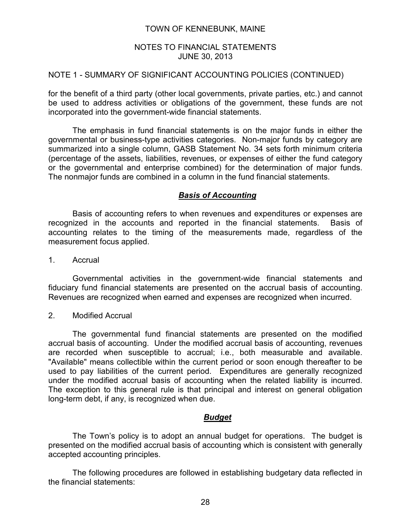### NOTES TO FINANCIAL STATEMENTS JUNE 30, 2013

### NOTE 1 - SUMMARY OF SIGNIFICANT ACCOUNTING POLICIES (CONTINUED)

for the benefit of a third party (other local governments, private parties, etc.) and cannot be used to address activities or obligations of the government, these funds are not incorporated into the government-wide financial statements.

The emphasis in fund financial statements is on the major funds in either the governmental or business-type activities categories. Non-major funds by category are summarized into a single column, GASB Statement No. 34 sets forth minimum criteria (percentage of the assets, liabilities, revenues, or expenses of either the fund category or the governmental and enterprise combined) for the determination of major funds. The nonmajor funds are combined in a column in the fund financial statements.

### *Basis of Accounting*

 Basis of accounting refers to when revenues and expenditures or expenses are recognized in the accounts and reported in the financial statements. Basis of accounting relates to the timing of the measurements made, regardless of the measurement focus applied.

1. Accrual

 Governmental activities in the government-wide financial statements and fiduciary fund financial statements are presented on the accrual basis of accounting. Revenues are recognized when earned and expenses are recognized when incurred.

2. Modified Accrual

 The governmental fund financial statements are presented on the modified accrual basis of accounting. Under the modified accrual basis of accounting, revenues are recorded when susceptible to accrual; i.e., both measurable and available. "Available" means collectible within the current period or soon enough thereafter to be used to pay liabilities of the current period. Expenditures are generally recognized under the modified accrual basis of accounting when the related liability is incurred. The exception to this general rule is that principal and interest on general obligation long-term debt, if any, is recognized when due.

# *Budget*

 The Town's policy is to adopt an annual budget for operations. The budget is presented on the modified accrual basis of accounting which is consistent with generally accepted accounting principles.

 The following procedures are followed in establishing budgetary data reflected in the financial statements: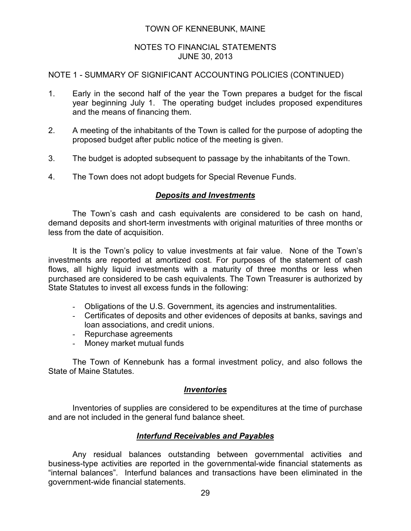# NOTES TO FINANCIAL STATEMENTS JUNE 30, 2013

# NOTE 1 - SUMMARY OF SIGNIFICANT ACCOUNTING POLICIES (CONTINUED)

- 1. Early in the second half of the year the Town prepares a budget for the fiscal year beginning July 1. The operating budget includes proposed expenditures and the means of financing them.
- 2. A meeting of the inhabitants of the Town is called for the purpose of adopting the proposed budget after public notice of the meeting is given.
- 3. The budget is adopted subsequent to passage by the inhabitants of the Town.
- 4. The Town does not adopt budgets for Special Revenue Funds.

# *Deposits and Investments*

 The Town's cash and cash equivalents are considered to be cash on hand, demand deposits and short-term investments with original maturities of three months or less from the date of acquisition.

 It is the Town's policy to value investments at fair value. None of the Town's investments are reported at amortized cost. For purposes of the statement of cash flows, all highly liquid investments with a maturity of three months or less when purchased are considered to be cash equivalents. The Town Treasurer is authorized by State Statutes to invest all excess funds in the following:

- Obligations of the U.S. Government, its agencies and instrumentalities.
- Certificates of deposits and other evidences of deposits at banks, savings and loan associations, and credit unions.
- Repurchase agreements
- Money market mutual funds

The Town of Kennebunk has a formal investment policy, and also follows the State of Maine Statutes.

# *Inventories*

Inventories of supplies are considered to be expenditures at the time of purchase and are not included in the general fund balance sheet.

# *Interfund Receivables and Payables*

Any residual balances outstanding between governmental activities and business-type activities are reported in the governmental-wide financial statements as "internal balances". Interfund balances and transactions have been eliminated in the government-wide financial statements.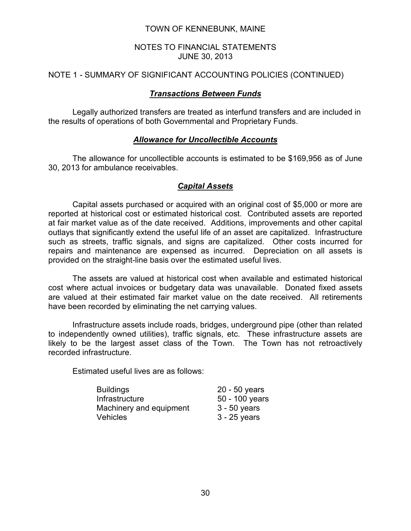### NOTES TO FINANCIAL STATEMENTS JUNE 30, 2013

### NOTE 1 - SUMMARY OF SIGNIFICANT ACCOUNTING POLICIES (CONTINUED)

# *Transactions Between Funds*

Legally authorized transfers are treated as interfund transfers and are included in the results of operations of both Governmental and Proprietary Funds.

### *Allowance for Uncollectible Accounts*

The allowance for uncollectible accounts is estimated to be \$169,956 as of June 30, 2013 for ambulance receivables.

# *Capital Assets*

Capital assets purchased or acquired with an original cost of \$5,000 or more are reported at historical cost or estimated historical cost. Contributed assets are reported at fair market value as of the date received. Additions, improvements and other capital outlays that significantly extend the useful life of an asset are capitalized. Infrastructure such as streets, traffic signals, and signs are capitalized. Other costs incurred for repairs and maintenance are expensed as incurred. Depreciation on all assets is provided on the straight-line basis over the estimated useful lives.

 The assets are valued at historical cost when available and estimated historical cost where actual invoices or budgetary data was unavailable. Donated fixed assets are valued at their estimated fair market value on the date received. All retirements have been recorded by eliminating the net carrying values.

Infrastructure assets include roads, bridges, underground pipe (other than related to independently owned utilities), traffic signals, etc. These infrastructure assets are likely to be the largest asset class of the Town. The Town has not retroactively recorded infrastructure.

Estimated useful lives are as follows:

| <b>Buildings</b>        | 20 - 50 years  |
|-------------------------|----------------|
| Infrastructure          | 50 - 100 years |
| Machinery and equipment | $3 - 50$ years |
| <b>Vehicles</b>         | $3 - 25$ years |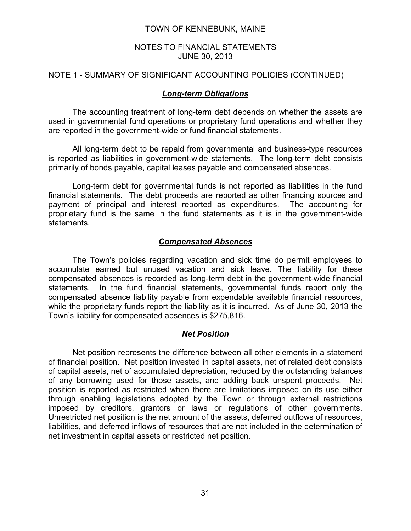### NOTES TO FINANCIAL STATEMENTS JUNE 30, 2013

### NOTE 1 - SUMMARY OF SIGNIFICANT ACCOUNTING POLICIES (CONTINUED)

### *Long-term Obligations*

The accounting treatment of long-term debt depends on whether the assets are used in governmental fund operations or proprietary fund operations and whether they are reported in the government-wide or fund financial statements.

All long-term debt to be repaid from governmental and business-type resources is reported as liabilities in government-wide statements. The long-term debt consists primarily of bonds payable, capital leases payable and compensated absences.

Long-term debt for governmental funds is not reported as liabilities in the fund financial statements. The debt proceeds are reported as other financing sources and payment of principal and interest reported as expenditures. The accounting for proprietary fund is the same in the fund statements as it is in the government-wide statements.

### *Compensated Absences*

The Town's policies regarding vacation and sick time do permit employees to accumulate earned but unused vacation and sick leave. The liability for these compensated absences is recorded as long-term debt in the government-wide financial statements. In the fund financial statements, governmental funds report only the compensated absence liability payable from expendable available financial resources, while the proprietary funds report the liability as it is incurred. As of June 30, 2013 the Town's liability for compensated absences is \$275,816.

# *Net Position*

Net position represents the difference between all other elements in a statement of financial position. Net position invested in capital assets, net of related debt consists of capital assets, net of accumulated depreciation, reduced by the outstanding balances of any borrowing used for those assets, and adding back unspent proceeds. Net position is reported as restricted when there are limitations imposed on its use either through enabling legislations adopted by the Town or through external restrictions imposed by creditors, grantors or laws or regulations of other governments. Unrestricted net position is the net amount of the assets, deferred outflows of resources, liabilities, and deferred inflows of resources that are not included in the determination of net investment in capital assets or restricted net position.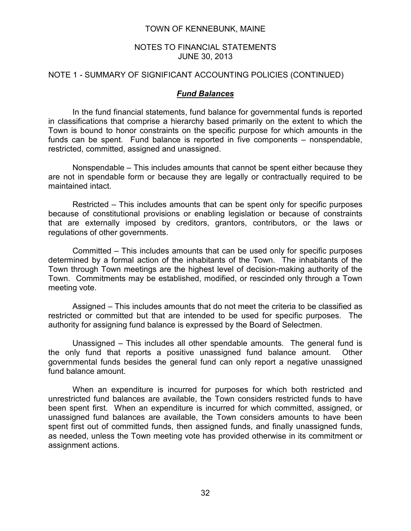### NOTES TO FINANCIAL STATEMENTS JUNE 30, 2013

### NOTE 1 - SUMMARY OF SIGNIFICANT ACCOUNTING POLICIES (CONTINUED)

# *Fund Balances*

 In the fund financial statements, fund balance for governmental funds is reported in classifications that comprise a hierarchy based primarily on the extent to which the Town is bound to honor constraints on the specific purpose for which amounts in the funds can be spent. Fund balance is reported in five components – nonspendable, restricted, committed, assigned and unassigned.

Nonspendable – This includes amounts that cannot be spent either because they are not in spendable form or because they are legally or contractually required to be maintained intact.

Restricted – This includes amounts that can be spent only for specific purposes because of constitutional provisions or enabling legislation or because of constraints that are externally imposed by creditors, grantors, contributors, or the laws or regulations of other governments.

Committed – This includes amounts that can be used only for specific purposes determined by a formal action of the inhabitants of the Town. The inhabitants of the Town through Town meetings are the highest level of decision-making authority of the Town. Commitments may be established, modified, or rescinded only through a Town meeting vote.

Assigned – This includes amounts that do not meet the criteria to be classified as restricted or committed but that are intended to be used for specific purposes. The authority for assigning fund balance is expressed by the Board of Selectmen.

Unassigned – This includes all other spendable amounts. The general fund is the only fund that reports a positive unassigned fund balance amount. Other governmental funds besides the general fund can only report a negative unassigned fund balance amount.

When an expenditure is incurred for purposes for which both restricted and unrestricted fund balances are available, the Town considers restricted funds to have been spent first. When an expenditure is incurred for which committed, assigned, or unassigned fund balances are available, the Town considers amounts to have been spent first out of committed funds, then assigned funds, and finally unassigned funds, as needed, unless the Town meeting vote has provided otherwise in its commitment or assignment actions.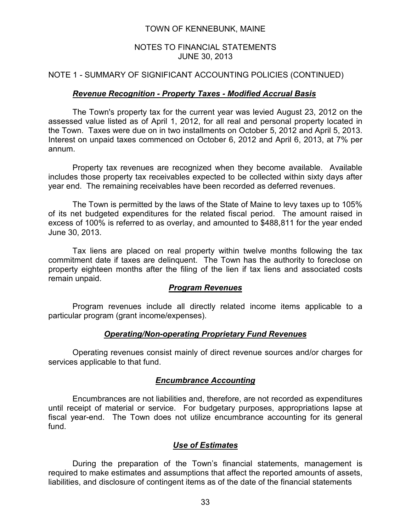## NOTES TO FINANCIAL STATEMENTS JUNE 30, 2013

### NOTE 1 - SUMMARY OF SIGNIFICANT ACCOUNTING POLICIES (CONTINUED)

# *Revenue Recognition - Property Taxes - Modified Accrual Basis*

 The Town's property tax for the current year was levied August 23, 2012 on the assessed value listed as of April 1, 2012, for all real and personal property located in the Town. Taxes were due on in two installments on October 5, 2012 and April 5, 2013. Interest on unpaid taxes commenced on October 6, 2012 and April 6, 2013, at 7% per annum.

 Property tax revenues are recognized when they become available. Available includes those property tax receivables expected to be collected within sixty days after year end. The remaining receivables have been recorded as deferred revenues.

The Town is permitted by the laws of the State of Maine to levy taxes up to 105% of its net budgeted expenditures for the related fiscal period. The amount raised in excess of 100% is referred to as overlay, and amounted to \$488,811 for the year ended June 30, 2013.

Tax liens are placed on real property within twelve months following the tax commitment date if taxes are delinquent. The Town has the authority to foreclose on property eighteen months after the filing of the lien if tax liens and associated costs remain unpaid.

#### *Program Revenues*

Program revenues include all directly related income items applicable to a particular program (grant income/expenses).

#### *Operating/Non-operating Proprietary Fund Revenues*

Operating revenues consist mainly of direct revenue sources and/or charges for services applicable to that fund.

# *Encumbrance Accounting*

 Encumbrances are not liabilities and, therefore, are not recorded as expenditures until receipt of material or service. For budgetary purposes, appropriations lapse at fiscal year-end. The Town does not utilize encumbrance accounting for its general fund.

#### *Use of Estimates*

During the preparation of the Town's financial statements, management is required to make estimates and assumptions that affect the reported amounts of assets, liabilities, and disclosure of contingent items as of the date of the financial statements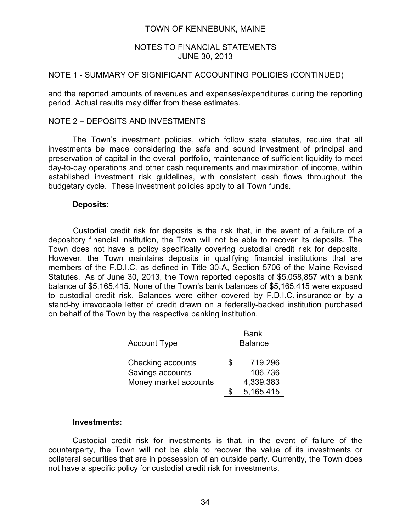### NOTES TO FINANCIAL STATEMENTS JUNE 30, 2013

## NOTE 1 - SUMMARY OF SIGNIFICANT ACCOUNTING POLICIES (CONTINUED)

and the reported amounts of revenues and expenses/expenditures during the reporting period. Actual results may differ from these estimates.

### NOTE 2 – DEPOSITS AND INVESTMENTS

The Town's investment policies, which follow state statutes, require that all investments be made considering the safe and sound investment of principal and preservation of capital in the overall portfolio, maintenance of sufficient liquidity to meet day-to-day operations and other cash requirements and maximization of income, within established investment risk guidelines, with consistent cash flows throughout the budgetary cycle. These investment policies apply to all Town funds.

#### **Deposits:**

 Custodial credit risk for deposits is the risk that, in the event of a failure of a depository financial institution, the Town will not be able to recover its deposits. The Town does not have a policy specifically covering custodial credit risk for deposits. However, the Town maintains deposits in qualifying financial institutions that are members of the F.D.I.C. as defined in Title 30-A, Section 5706 of the Maine Revised Statutes. As of June 30, 2013, the Town reported deposits of \$5,058,857 with a bank balance of \$5,165,415. None of the Town's bank balances of \$5,165,415 were exposed to custodial credit risk. Balances were either covered by F.D.I.C. insurance or by a stand-by irrevocable letter of credit drawn on a federally-backed institution purchased on behalf of the Town by the respective banking institution.

| <b>Account Type</b>                                            |   | <b>Bank</b><br><b>Balance</b>   |  |  |
|----------------------------------------------------------------|---|---------------------------------|--|--|
| Checking accounts<br>Savings accounts<br>Money market accounts | S | 719,296<br>106,736<br>4,339,383 |  |  |
|                                                                |   | 5,165,415                       |  |  |

#### **Investments:**

Custodial credit risk for investments is that, in the event of failure of the counterparty, the Town will not be able to recover the value of its investments or collateral securities that are in possession of an outside party. Currently, the Town does not have a specific policy for custodial credit risk for investments.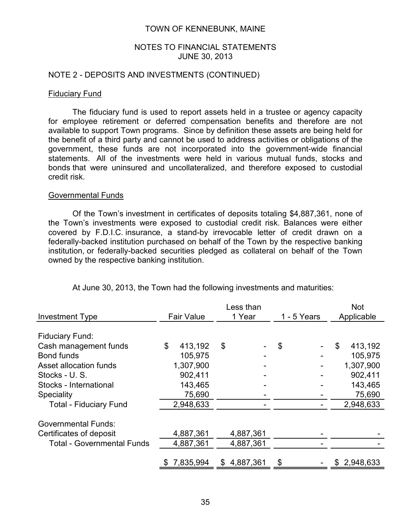#### NOTES TO FINANCIAL STATEMENTS JUNE 30, 2013

#### NOTE 2 - DEPOSITS AND INVESTMENTS (CONTINUED)

#### Fiduciary Fund

The fiduciary fund is used to report assets held in a trustee or agency capacity for employee retirement or deferred compensation benefits and therefore are not available to support Town programs. Since by definition these assets are being held for the benefit of a third party and cannot be used to address activities or obligations of the government, these funds are not incorporated into the government-wide financial statements. All of the investments were held in various mutual funds, stocks and bonds that were uninsured and uncollateralized, and therefore exposed to custodial credit risk.

#### Governmental Funds

Of the Town's investment in certificates of deposits totaling \$4,887,361, none of the Town's investments were exposed to custodial credit risk. Balances were either covered by F.D.I.C. insurance, a stand-by irrevocable letter of credit drawn on a federally-backed institution purchased on behalf of the Town by the respective banking institution, or federally-backed securities pledged as collateral on behalf of the Town owned by the respective banking institution.

| <b>Investment Type</b>            | <b>Fair Value</b> | Less than<br>1 Year | $1 - 5$ Years | <b>Not</b><br>Applicable |
|-----------------------------------|-------------------|---------------------|---------------|--------------------------|
|                                   |                   |                     |               |                          |
| Fiduciary Fund:                   |                   |                     |               |                          |
| Cash management funds             | \$<br>413,192     | \$                  | \$            | 413,192<br>\$            |
| <b>Bond funds</b>                 | 105,975           |                     |               | 105,975                  |
| Asset allocation funds            | 1,307,900         |                     |               | 1,307,900                |
| Stocks - U.S.                     | 902,411           |                     |               | 902,411                  |
| Stocks - International            | 143,465           |                     |               | 143,465                  |
| <b>Speciality</b>                 | 75,690            |                     |               | 75,690                   |
| <b>Total - Fiduciary Fund</b>     | 2,948,633         |                     |               | 2,948,633                |
|                                   |                   |                     |               |                          |
| <b>Governmental Funds:</b>        |                   |                     |               |                          |
| Certificates of deposit           | 4,887,361         | 4,887,361           |               |                          |
| <b>Total - Governmental Funds</b> | 4,887,361         | 4,887,361           |               |                          |
|                                   |                   |                     |               |                          |
|                                   | \$7,835,994       | \$4,887,361         | \$            | \$2,948,633              |

At June 30, 2013, the Town had the following investments and maturities: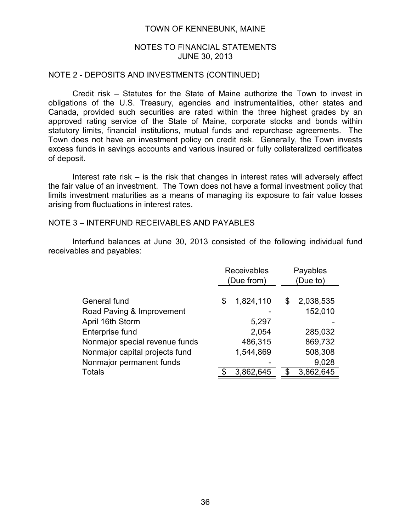#### NOTES TO FINANCIAL STATEMENTS JUNE 30, 2013

#### NOTE 2 - DEPOSITS AND INVESTMENTS (CONTINUED)

Credit risk – Statutes for the State of Maine authorize the Town to invest in obligations of the U.S. Treasury, agencies and instrumentalities, other states and Canada, provided such securities are rated within the three highest grades by an approved rating service of the State of Maine, corporate stocks and bonds within statutory limits, financial institutions, mutual funds and repurchase agreements. The Town does not have an investment policy on credit risk. Generally, the Town invests excess funds in savings accounts and various insured or fully collateralized certificates of deposit.

Interest rate risk – is the risk that changes in interest rates will adversely affect the fair value of an investment. The Town does not have a formal investment policy that limits investment maturities as a means of managing its exposure to fair value losses arising from fluctuations in interest rates.

#### NOTE 3 – INTERFUND RECEIVABLES AND PAYABLES

 Interfund balances at June 30, 2013 consisted of the following individual fund receivables and payables:

|                                | <b>Receivables</b> |            |    | Payables  |  |  |
|--------------------------------|--------------------|------------|----|-----------|--|--|
|                                |                    | (Due from) |    | (Due to)  |  |  |
|                                |                    |            |    |           |  |  |
| General fund                   | \$                 | 1,824,110  | \$ | 2,038,535 |  |  |
| Road Paving & Improvement      |                    |            |    | 152,010   |  |  |
| April 16th Storm               |                    | 5,297      |    |           |  |  |
| Enterprise fund                |                    | 2,054      |    | 285,032   |  |  |
| Nonmajor special revenue funds |                    | 486,315    |    | 869,732   |  |  |
| Nonmajor capital projects fund |                    | 1,544,869  |    | 508,308   |  |  |
| Nonmajor permanent funds       |                    |            |    | 9,028     |  |  |
| <b>Totals</b>                  |                    | 3,862,645  | œ  | 3,862,645 |  |  |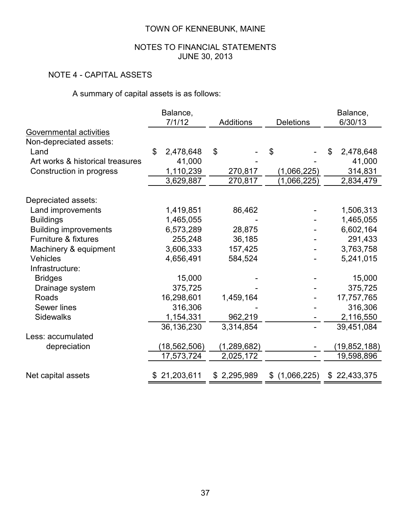# NOTES TO FINANCIAL STATEMENTS JUNE 30, 2013

# NOTE 4 - CAPITAL ASSETS

A summary of capital assets is as follows:

|                                  |                | Balance,<br>7/1/12 | <b>Additions</b> | <b>Deletions</b>  | Balance,<br>6/30/13 |
|----------------------------------|----------------|--------------------|------------------|-------------------|---------------------|
| Governmental activities          |                |                    |                  |                   |                     |
| Non-depreciated assets:          |                |                    |                  |                   |                     |
| Land                             | $\mathfrak{L}$ | 2,478,648          | \$               | \$                | \$<br>2,478,648     |
| Art works & historical treasures |                | 41,000             |                  |                   | 41,000              |
| Construction in progress         |                | 1,110,239          | 270,817          | (1,066,225)       | 314,831             |
|                                  |                | 3,629,887          | 270,817          | (1,066,225)       | 2,834,479           |
| Depreciated assets:              |                |                    |                  |                   |                     |
| Land improvements                |                | 1,419,851          | 86,462           |                   | 1,506,313           |
| <b>Buildings</b>                 |                | 1,465,055          |                  |                   | 1,465,055           |
| <b>Building improvements</b>     |                | 6,573,289          | 28,875           |                   | 6,602,164           |
| Furniture & fixtures             |                | 255,248            | 36,185           |                   | 291,433             |
| Machinery & equipment            |                | 3,606,333          | 157,425          |                   | 3,763,758           |
| Vehicles                         |                | 4,656,491          | 584,524          |                   | 5,241,015           |
| Infrastructure:                  |                |                    |                  |                   |                     |
| <b>Bridges</b>                   |                | 15,000             |                  |                   | 15,000              |
| Drainage system                  |                | 375,725            |                  |                   | 375,725             |
| Roads                            |                | 16,298,601         | 1,459,164        |                   | 17,757,765          |
| Sewer lines                      |                | 316,306            |                  |                   | 316,306             |
| <b>Sidewalks</b>                 |                | 1,154,331          | 962,219          |                   | 2,116,550           |
|                                  |                | 36,136,230         | 3,314,854        |                   | 39,451,084          |
| Less: accumulated                |                |                    |                  |                   |                     |
| depreciation                     |                | (18, 562, 506)     | (1, 289, 682)    |                   | (19, 852, 188)      |
|                                  |                | 17,573,724         | 2,025,172        |                   | 19,598,896          |
| Net capital assets               |                | \$21,203,611       | \$2,295,989      | \$<br>(1,066,225) | \$22,433,375        |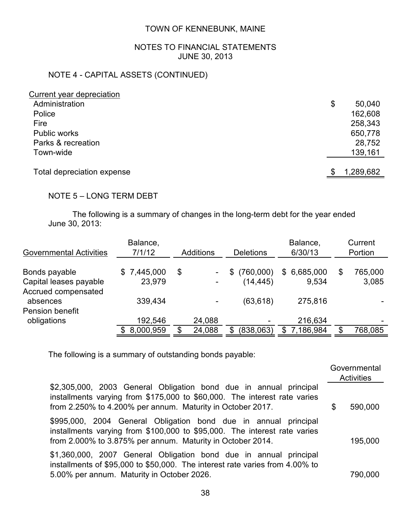# NOTES TO FINANCIAL STATEMENTS JUNE 30, 2013

# NOTE 4 - CAPITAL ASSETS (CONTINUED)

# Current year depreciation

| Administration             | \$<br>50,040 |
|----------------------------|--------------|
| Police                     | 162,608      |
| Fire                       | 258,343      |
| Public works               | 650,778      |
| Parks & recreation         | 28,752       |
| Town-wide                  | 139,161      |
|                            |              |
| Total depreciation expense | 1,289,682    |

### NOTE 5 – LONG TERM DEBT

The following is a summary of changes in the long-term debt for the year ended June 30, 2013:

| <b>Governmental Activities</b>          | Balance,<br>7/1/12        |    | <b>Additions</b> | <b>Deletions</b>         | Balance,<br>6/30/13      |    | Current<br>Portion |
|-----------------------------------------|---------------------------|----|------------------|--------------------------|--------------------------|----|--------------------|
| Bonds payable<br>Capital leases payable | 7,445,000<br>S.<br>23,979 | \$ | Ξ.               | (760,000)<br>(14, 445)   | 6,685,000<br>\$<br>9.534 | æ. | 765,000<br>3,085   |
| Accrued compensated<br>absences         | 339,434                   |    |                  | (63, 618)                | 275,816                  |    |                    |
| Pension benefit<br>obligations          | 192,546                   |    | 24,088           | $\overline{\phantom{a}}$ | 216,634                  |    |                    |
|                                         | 8,000,959                 | S  | 24,088           | (838,063)                | 7,186,984<br>S           |    | 768,085            |

The following is a summary of outstanding bonds payable:

|                                                                                                                                                                                                              |   | Governmental<br><b>Activities</b> |
|--------------------------------------------------------------------------------------------------------------------------------------------------------------------------------------------------------------|---|-----------------------------------|
| \$2,305,000, 2003 General Obligation bond due in annual principal<br>installments varying from \$175,000 to \$60,000. The interest rate varies<br>from 2.250% to 4.200% per annum. Maturity in October 2017. | S | 590,000                           |
| \$995,000, 2004 General Obligation bond due in annual principal<br>installments varying from \$100,000 to \$95,000. The interest rate varies<br>from 2.000% to 3.875% per annum. Maturity in October 2014.   |   | 195,000                           |
| \$1,360,000, 2007 General Obligation bond due in annual principal<br>installments of \$95,000 to \$50,000. The interest rate varies from 4.00% to<br>5.00% per annum. Maturity in October 2026.              |   | 790,000                           |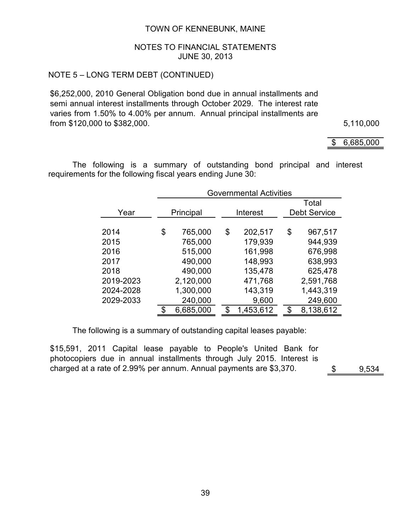#### NOTES TO FINANCIAL STATEMENTS JUNE 30, 2013

## NOTE 5 – LONG TERM DEBT (CONTINUED)

\$6,252,000, 2010 General Obligation bond due in annual installments and semi annual interest installments through October 2029. The interest rate varies from 1.50% to 4.00% per annum. Annual principal installments are from \$120,000 to \$382,000. 5,110,000

\$ 6,685,000

The following is a summary of outstanding bond principal and interest requirements for the following fiscal years ending June 30:

|           | <b>Governmental Activities</b> |    |           |    |                     |  |
|-----------|--------------------------------|----|-----------|----|---------------------|--|
|           |                                |    |           |    | Total               |  |
| Year      | Principal                      |    | Interest  |    | <b>Debt Service</b> |  |
|           |                                |    |           |    |                     |  |
| 2014      | \$<br>765,000                  | \$ | 202,517   | \$ | 967,517             |  |
| 2015      | 765,000                        |    | 179,939   |    | 944,939             |  |
| 2016      | 515,000                        |    | 161,998   |    | 676,998             |  |
| 2017      | 490,000                        |    | 148,993   |    | 638,993             |  |
| 2018      | 490,000                        |    | 135,478   |    | 625,478             |  |
| 2019-2023 | 2,120,000                      |    | 471,768   |    | 2,591,768           |  |
| 2024-2028 | 1,300,000                      |    | 143,319   |    | 1,443,319           |  |
| 2029-2033 | 240,000                        |    | 9,600     |    | 249,600             |  |
|           | \$<br>6,685,000                |    | 1,453,612 | \$ | 8,138,612           |  |

The following is a summary of outstanding capital leases payable:

\$15,591, 2011 Capital lease payable to People's United Bank for photocopiers due in annual installments through July 2015. Interest is charged at a rate of 2.99% per annum. Annual payments are  $$3,370$ .  $$8$   $$9,534$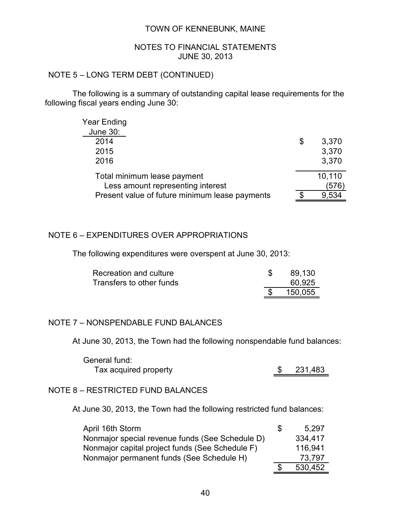#### NOTES TO FINANCIAL STATEMENTS JUNE 30, 2013

# NOTE 5 – LONG TERM DEBT (CONTINUED)

The following is a summary of outstanding capital lease requirements for the following fiscal years ending June 30:

| Year Ending                                    |             |
|------------------------------------------------|-------------|
| June 30:                                       |             |
| 2014                                           | \$<br>3,370 |
| 2015                                           | 3,370       |
| 2016                                           | 3,370       |
| Total minimum lease payment                    | 10,110      |
| Less amount representing interest              | (576)       |
| Present value of future minimum lease payments | 9,534       |

# NOTE 6 – EXPENDITURES OVER APPROPRIATIONS

The following expenditures were overspent at June 30, 2013:

| Recreation and culture   | 89.130  |
|--------------------------|---------|
| Transfers to other funds | 60,925  |
|                          | 150.055 |

# NOTE 7 – NONSPENDABLE FUND BALANCES

At June 30, 2013, the Town had the following nonspendable fund balances:

| General fund:         |         |
|-----------------------|---------|
| Tax acquired property | 231,483 |

# NOTE 8 – RESTRICTED FUND BALANCES

At June 30, 2013, the Town had the following restricted fund balances:

| April 16th Storm                                | Ъ. | 5.297   |
|-------------------------------------------------|----|---------|
| Nonmajor special revenue funds (See Schedule D) |    | 334,417 |
| Nonmajor capital project funds (See Schedule F) |    | 116,941 |
| Nonmajor permanent funds (See Schedule H)       |    | 73.797  |
|                                                 |    | 530,452 |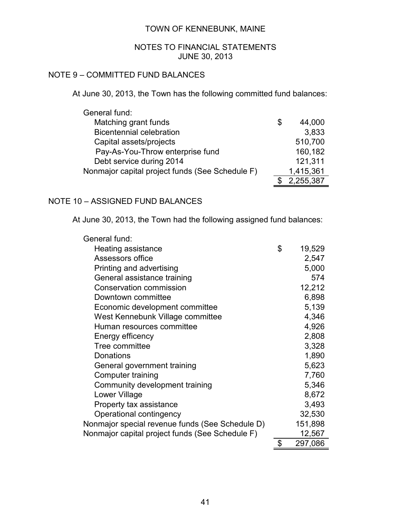# NOTES TO FINANCIAL STATEMENTS JUNE 30, 2013

# NOTE 9 – COMMITTED FUND BALANCES

At June 30, 2013, the Town has the following committed fund balances:

| General fund:                                   |              |
|-------------------------------------------------|--------------|
| Matching grant funds                            | \$<br>44,000 |
| <b>Bicentennial celebration</b>                 | 3,833        |
| Capital assets/projects                         | 510,700      |
| Pay-As-You-Throw enterprise fund                | 160,182      |
| Debt service during 2014                        | 121,311      |
| Nonmajor capital project funds (See Schedule F) | 1,415,361    |
|                                                 | 2,255,387    |

# NOTE 10 – ASSIGNED FUND BALANCES

At June 30, 2013, the Town had the following assigned fund balances:

| General fund:                                   |               |
|-------------------------------------------------|---------------|
| Heating assistance                              | \$<br>19,529  |
| Assessors office                                | 2,547         |
| Printing and advertising                        | 5,000         |
| General assistance training                     | 574           |
| <b>Conservation commission</b>                  | 12,212        |
| Downtown committee                              | 6,898         |
| Economic development committee                  | 5,139         |
| West Kennebunk Village committee                | 4,346         |
| Human resources committee                       | 4,926         |
| Energy efficency                                | 2,808         |
| Tree committee                                  | 3,328         |
| Donations                                       | 1,890         |
| General government training                     | 5,623         |
| Computer training                               | 7,760         |
| Community development training                  | 5,346         |
| Lower Village                                   | 8,672         |
| Property tax assistance                         | 3,493         |
| Operational contingency                         | 32,530        |
| Nonmajor special revenue funds (See Schedule D) | 151,898       |
| Nonmajor capital project funds (See Schedule F) | 12,567        |
|                                                 | \$<br>297,086 |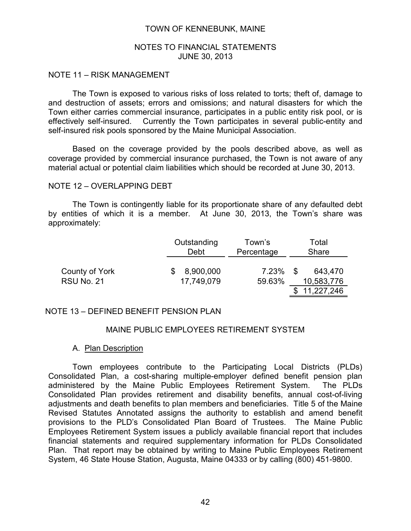### NOTES TO FINANCIAL STATEMENTS JUNE 30, 2013

#### NOTE 11 – RISK MANAGEMENT

 The Town is exposed to various risks of loss related to torts; theft of, damage to and destruction of assets; errors and omissions; and natural disasters for which the Town either carries commercial insurance, participates in a public entity risk pool, or is effectively self-insured. Currently the Town participates in several public-entity and self-insured risk pools sponsored by the Maine Municipal Association.

 Based on the coverage provided by the pools described above, as well as coverage provided by commercial insurance purchased, the Town is not aware of any material actual or potential claim liabilities which should be recorded at June 30, 2013.

### NOTE 12 – OVERLAPPING DEBT

 The Town is contingently liable for its proportionate share of any defaulted debt by entities of which it is a member. At June 30, 2013, the Town's share was approximately:

|                                     | Outstanding<br>Debt     | Town's<br>Percentage | Total<br>Share              |
|-------------------------------------|-------------------------|----------------------|-----------------------------|
| County of York<br><b>RSU No. 21</b> | 8,900,000<br>17,749,079 | 7.23%<br>59.63%      | \$<br>643,470<br>10,583,776 |
|                                     |                         |                      | 11,227,246                  |

# NOTE 13 – DEFINED BENEFIT PENSION PLAN

#### MAINE PUBLIC EMPLOYEES RETIREMENT SYSTEM

#### A. Plan Description

 Town employees contribute to the Participating Local Districts (PLDs) Consolidated Plan, a cost-sharing multiple-employer defined benefit pension plan administered by the Maine Public Employees Retirement System. The PLDs Consolidated Plan provides retirement and disability benefits, annual cost-of-living adjustments and death benefits to plan members and beneficiaries. Title 5 of the Maine Revised Statutes Annotated assigns the authority to establish and amend benefit provisions to the PLD's Consolidated Plan Board of Trustees. The Maine Public Employees Retirement System issues a publicly available financial report that includes financial statements and required supplementary information for PLDs Consolidated Plan. That report may be obtained by writing to Maine Public Employees Retirement System, 46 State House Station, Augusta, Maine 04333 or by calling (800) 451-9800.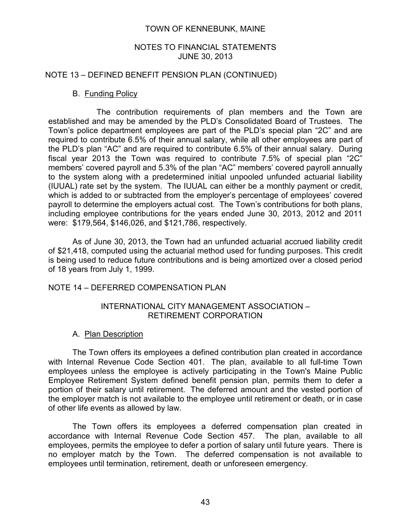### NOTES TO FINANCIAL STATEMENTS JUNE 30, 2013

### NOTE 13 – DEFINED BENEFIT PENSION PLAN (CONTINUED)

### B. Funding Policy

 The contribution requirements of plan members and the Town are established and may be amended by the PLD's Consolidated Board of Trustees. The Town's police department employees are part of the PLD's special plan "2C" and are required to contribute 6.5% of their annual salary, while all other employees are part of the PLD's plan "AC" and are required to contribute 6.5% of their annual salary. During fiscal year 2013 the Town was required to contribute 7.5% of special plan "2C" members' covered payroll and 5.3% of the plan "AC" members' covered payroll annually to the system along with a predetermined initial unpooled unfunded actuarial liability (IUUAL) rate set by the system. The IUUAL can either be a monthly payment or credit, which is added to or subtracted from the employer's percentage of employees' covered payroll to determine the employers actual cost. The Town's contributions for both plans, including employee contributions for the years ended June 30, 2013, 2012 and 2011 were: \$179,564, \$146,026, and \$121,786, respectively.

As of June 30, 2013, the Town had an unfunded actuarial accrued liability credit of \$21,418, computed using the actuarial method used for funding purposes. This credit is being used to reduce future contributions and is being amortized over a closed period of 18 years from July 1, 1999.

# NOTE 14 – DEFERRED COMPENSATION PLAN

#### INTERNATIONAL CITY MANAGEMENT ASSOCIATION – RETIREMENT CORPORATION

# A. Plan Description

The Town offers its employees a defined contribution plan created in accordance with Internal Revenue Code Section 401. The plan, available to all full-time Town employees unless the employee is actively participating in the Town's Maine Public Employee Retirement System defined benefit pension plan, permits them to defer a portion of their salary until retirement. The deferred amount and the vested portion of the employer match is not available to the employee until retirement or death, or in case of other life events as allowed by law.

The Town offers its employees a deferred compensation plan created in accordance with Internal Revenue Code Section 457. The plan, available to all employees, permits the employee to defer a portion of salary until future years. There is no employer match by the Town. The deferred compensation is not available to employees until termination, retirement, death or unforeseen emergency.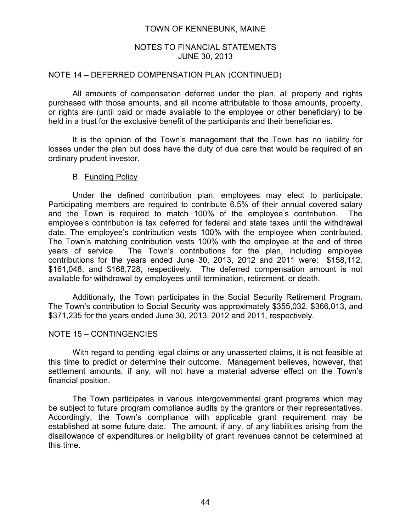### NOTES TO FINANCIAL STATEMENTS JUNE 30, 2013

### NOTE 14 – DEFERRED COMPENSATION PLAN (CONTINUED)

All amounts of compensation deferred under the plan, all property and rights purchased with those amounts, and all income attributable to those amounts, property, or rights are (until paid or made available to the employee or other beneficiary) to be held in a trust for the exclusive benefit of the participants and their beneficiaries.

It is the opinion of the Town's management that the Town has no liability for losses under the plan but does have the duty of due care that would be required of an ordinary prudent investor.

#### B. Funding Policy

Under the defined contribution plan, employees may elect to participate. Participating members are required to contribute 6.5% of their annual covered salary and the Town is required to match 100% of the employee's contribution. The employee's contribution is tax deferred for federal and state taxes until the withdrawal date. The employee's contribution vests 100% with the employee when contributed. The Town's matching contribution vests 100% with the employee at the end of three years of service. The Town's contributions for the plan, including employee contributions for the years ended June 30, 2013, 2012 and 2011 were: \$158,112, \$161,048, and \$168,728, respectively. The deferred compensation amount is not available for withdrawal by employees until termination, retirement, or death.

Additionally, the Town participates in the Social Security Retirement Program. The Town's contribution to Social Security was approximately \$355,032, \$366,013, and \$371,235 for the years ended June 30, 2013, 2012 and 2011, respectively.

#### NOTE 15 – CONTINGENCIES

 With regard to pending legal claims or any unasserted claims, it is not feasible at this time to predict or determine their outcome. Management believes, however, that settlement amounts, if any, will not have a material adverse effect on the Town's financial position.

 The Town participates in various intergovernmental grant programs which may be subject to future program compliance audits by the grantors or their representatives. Accordingly, the Town's compliance with applicable grant requirement may be established at some future date. The amount, if any, of any liabilities arising from the disallowance of expenditures or ineligibility of grant revenues cannot be determined at this time.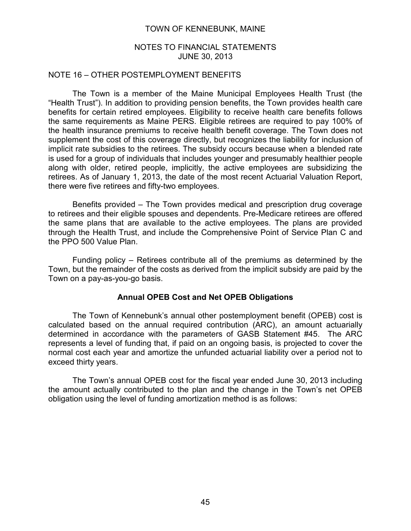#### NOTES TO FINANCIAL STATEMENTS JUNE 30, 2013

#### NOTE 16 – OTHER POSTEMPLOYMENT BENEFITS

 The Town is a member of the Maine Municipal Employees Health Trust (the "Health Trust"). In addition to providing pension benefits, the Town provides health care benefits for certain retired employees. Eligibility to receive health care benefits follows the same requirements as Maine PERS. Eligible retirees are required to pay 100% of the health insurance premiums to receive health benefit coverage. The Town does not supplement the cost of this coverage directly, but recognizes the liability for inclusion of implicit rate subsidies to the retirees. The subsidy occurs because when a blended rate is used for a group of individuals that includes younger and presumably healthier people along with older, retired people, implicitly, the active employees are subsidizing the retirees. As of January 1, 2013, the date of the most recent Actuarial Valuation Report, there were five retirees and fifty-two employees.

 Benefits provided – The Town provides medical and prescription drug coverage to retirees and their eligible spouses and dependents. Pre-Medicare retirees are offered the same plans that are available to the active employees. The plans are provided through the Health Trust, and include the Comprehensive Point of Service Plan C and the PPO 500 Value Plan.

Funding policy – Retirees contribute all of the premiums as determined by the Town, but the remainder of the costs as derived from the implicit subsidy are paid by the Town on a pay-as-you-go basis.

#### **Annual OPEB Cost and Net OPEB Obligations**

The Town of Kennebunk's annual other postemployment benefit (OPEB) cost is calculated based on the annual required contribution (ARC), an amount actuarially determined in accordance with the parameters of GASB Statement #45. The ARC represents a level of funding that, if paid on an ongoing basis, is projected to cover the normal cost each year and amortize the unfunded actuarial liability over a period not to exceed thirty years.

 The Town's annual OPEB cost for the fiscal year ended June 30, 2013 including the amount actually contributed to the plan and the change in the Town's net OPEB obligation using the level of funding amortization method is as follows: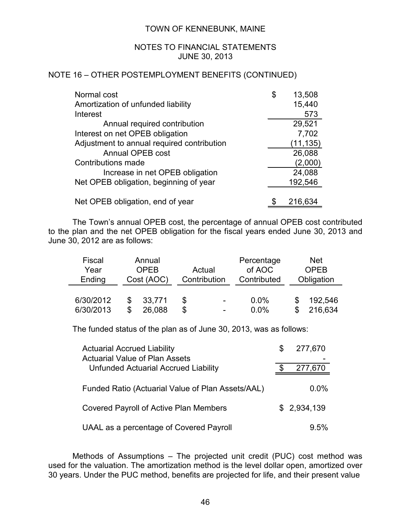### NOTES TO FINANCIAL STATEMENTS JUNE 30, 2013

## NOTE 16 – OTHER POSTEMPLOYMENT BENEFITS (CONTINUED)

| Normal cost                                | \$<br>13,508  |
|--------------------------------------------|---------------|
| Amortization of unfunded liability         | 15,440        |
| Interest                                   | 573           |
| Annual required contribution               | 29,521        |
| Interest on net OPEB obligation            | 7,702         |
| Adjustment to annual required contribution | (11, 135)     |
| <b>Annual OPEB cost</b>                    | 26,088        |
| Contributions made                         | (2,000)       |
| Increase in net OPEB obligation            | 24,088        |
| Net OPEB obligation, beginning of year     | 192,546       |
|                                            |               |
| Net OPEB obligation, end of year           | \$<br>216,634 |

 The Town's annual OPEB cost, the percentage of annual OPEB cost contributed to the plan and the net OPEB obligation for the fiscal years ended June 30, 2013 and June 30, 2012 are as follows:

| Fiscal<br>Year | Annual<br><b>OPEB</b> |              | Actual                   | Percentage<br>of AOC |  |            | <b>Net</b><br><b>OPEB</b> |  |
|----------------|-----------------------|--------------|--------------------------|----------------------|--|------------|---------------------------|--|
| Ending         | Cost (AOC)            | Contribution |                          | Contributed          |  | Obligation |                           |  |
|                |                       |              |                          |                      |  |            |                           |  |
| 6/30/2012      | 33,771                | \$           | $\overline{\phantom{0}}$ | 0.0%                 |  |            | 192,546                   |  |
| 6/30/2013      | 26,088                | \$           | $\overline{\phantom{0}}$ | 0.0%                 |  |            | 216,634                   |  |

The funded status of the plan as of June 30, 2013, was as follows:

| <b>Actuarial Accrued Liability</b><br><b>Actuarial Value of Plan Assets</b> | S | 277,670     |
|-----------------------------------------------------------------------------|---|-------------|
| <b>Unfunded Actuarial Accrued Liability</b>                                 |   | 277,670     |
| Funded Ratio (Actuarial Value of Plan Assets/AAL)                           |   | $0.0\%$     |
| <b>Covered Payroll of Active Plan Members</b>                               |   | \$2,934,139 |
| UAAL as a percentage of Covered Payroll                                     |   | $9.5\%$     |

Methods of Assumptions – The projected unit credit (PUC) cost method was used for the valuation. The amortization method is the level dollar open, amortized over 30 years. Under the PUC method, benefits are projected for life, and their present value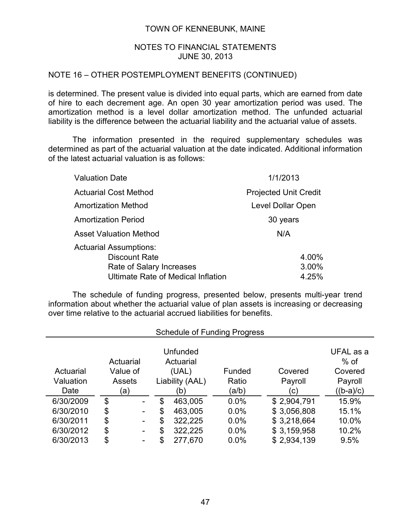### NOTES TO FINANCIAL STATEMENTS JUNE 30, 2013

### NOTE 16 – OTHER POSTEMPLOYMENT BENEFITS (CONTINUED)

is determined. The present value is divided into equal parts, which are earned from date of hire to each decrement age. An open 30 year amortization period was used. The amortization method is a level dollar amortization method. The unfunded actuarial liability is the difference between the actuarial liability and the actuarial value of assets.

The information presented in the required supplementary schedules was determined as part of the actuarial valuation at the date indicated. Additional information of the latest actuarial valuation is as follows:

| <b>Valuation Date</b>                     | 1/1/2013                     |
|-------------------------------------------|------------------------------|
| <b>Actuarial Cost Method</b>              | <b>Projected Unit Credit</b> |
| <b>Amortization Method</b>                | Level Dollar Open            |
| <b>Amortization Period</b>                | 30 years                     |
| <b>Asset Valuation Method</b>             | N/A                          |
| <b>Actuarial Assumptions:</b>             |                              |
| <b>Discount Rate</b>                      | 4.00%                        |
| Rate of Salary Increases                  | 3.00%                        |
| <b>Ultimate Rate of Medical Inflation</b> | 4.25%                        |

The schedule of funding progress, presented below, presents multi-year trend information about whether the actuarial value of plan assets is increasing or decreasing over time relative to the actuarial accrued liabilities for benefits.

| <b>Schedule of Funding Progress</b> |           |               |                     |                 |         |             |             |  |  |
|-------------------------------------|-----------|---------------|---------------------|-----------------|---------|-------------|-------------|--|--|
|                                     | Actuarial |               | UFAL as a<br>$%$ of |                 |         |             |             |  |  |
| Actuarial                           |           | Value of      |                     | (UAL)           | Funded  | Covered     | Covered     |  |  |
| Valuation                           |           | <b>Assets</b> |                     | Liability (AAL) | Ratio   | Payroll     | Payroll     |  |  |
| Date                                |           | (a)           |                     | (b)             | (a/b)   | (c)         | $((b-a)/c)$ |  |  |
| 6/30/2009                           | \$        |               | \$                  | 463,005         | 0.0%    | \$2,904,791 | 15.9%       |  |  |
| 6/30/2010                           | \$        | -             | \$                  | 463,005         | $0.0\%$ | \$3,056,808 | 15.1%       |  |  |
| 6/30/2011                           | \$        | -             | \$                  | 322,225         | 0.0%    | \$3,218,664 | 10.0%       |  |  |
| 6/30/2012                           | \$        | -             | \$                  | 322,225         | $0.0\%$ | \$3,159,958 | 10.2%       |  |  |
| 6/30/2013                           | \$        | -             | \$                  | 277,670         | 0.0%    | \$2,934,139 | 9.5%        |  |  |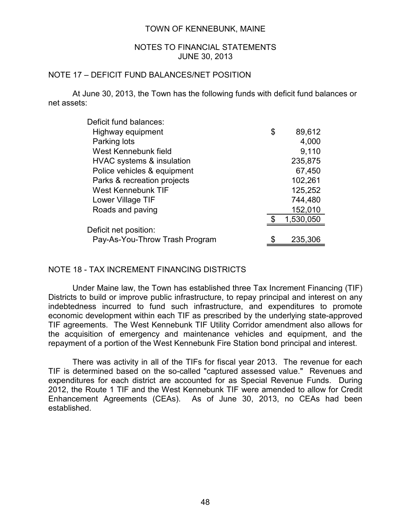#### NOTES TO FINANCIAL STATEMENTS JUNE 30, 2013

## NOTE 17 – DEFICIT FUND BALANCES/NET POSITION

 At June 30, 2013, the Town has the following funds with deficit fund balances or net assets:

| Deficit fund balances:         |               |
|--------------------------------|---------------|
| Highway equipment              | \$<br>89,612  |
| Parking lots                   | 4,000         |
| West Kennebunk field           | 9,110         |
| HVAC systems & insulation      | 235,875       |
| Police vehicles & equipment    | 67,450        |
| Parks & recreation projects    | 102,261       |
| <b>West Kennebunk TIF</b>      | 125,252       |
| Lower Village TIF              | 744,480       |
| Roads and paving               | 152,010       |
|                                | 1,530,050     |
| Deficit net position:          |               |
| Pay-As-You-Throw Trash Program | \$<br>235,306 |

# NOTE 18 - TAX INCREMENT FINANCING DISTRICTS

Under Maine law, the Town has established three Tax Increment Financing (TIF) Districts to build or improve public infrastructure, to repay principal and interest on any indebtedness incurred to fund such infrastructure, and expenditures to promote economic development within each TIF as prescribed by the underlying state-approved TIF agreements. The West Kennebunk TIF Utility Corridor amendment also allows for the acquisition of emergency and maintenance vehicles and equipment, and the repayment of a portion of the West Kennebunk Fire Station bond principal and interest.

There was activity in all of the TIFs for fiscal year 2013. The revenue for each TIF is determined based on the so-called "captured assessed value." Revenues and expenditures for each district are accounted for as Special Revenue Funds. During 2012, the Route 1 TIF and the West Kennebunk TIF were amended to allow for Credit Enhancement Agreements (CEAs). As of June 30, 2013, no CEAs had been established.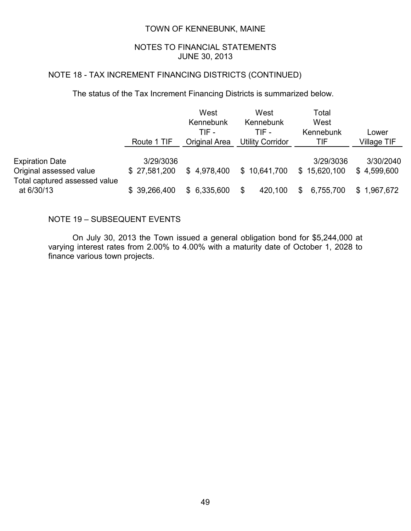### NOTES TO FINANCIAL STATEMENTS JUNE 30, 2013

# NOTE 18 - TAX INCREMENT FINANCING DISTRICTS (CONTINUED)

The status of the Tax Increment Financing Districts is summarized below.

|                                                   | Route 1 TIF               | West<br>Kennebunk<br>TIF -<br><b>Original Area</b> | West<br>Kennebunk<br>TIF -<br>Utility Corridor | Total<br>West<br>Kennebunk<br>TIF. | Lower<br>Village TIF     |
|---------------------------------------------------|---------------------------|----------------------------------------------------|------------------------------------------------|------------------------------------|--------------------------|
| <b>Expiration Date</b><br>Original assessed value | 3/29/3036<br>\$27,581,200 | \$4,978,400                                        | \$10,641,700                                   | 3/29/3036<br>\$15,620,100          | 3/30/2040<br>\$4,599,600 |
| Total captured assessed value<br>at 6/30/13       | \$ 39,266,400             | 6,335,600<br>SS.                                   | \$<br>420,100                                  | 6,755,700                          | \$1,967,672              |

# NOTE 19 – SUBSEQUENT EVENTS

 On July 30, 2013 the Town issued a general obligation bond for \$5,244,000 at varying interest rates from 2.00% to 4.00% with a maturity date of October 1, 2028 to finance various town projects.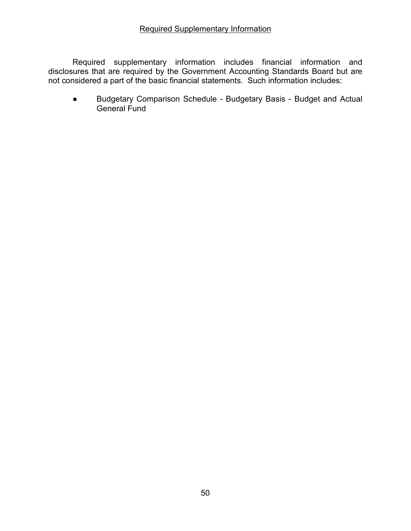Required supplementary information includes financial information and disclosures that are required by the Government Accounting Standards Board but are not considered a part of the basic financial statements. Such information includes:

● Budgetary Comparison Schedule - Budgetary Basis - Budget and Actual General Fund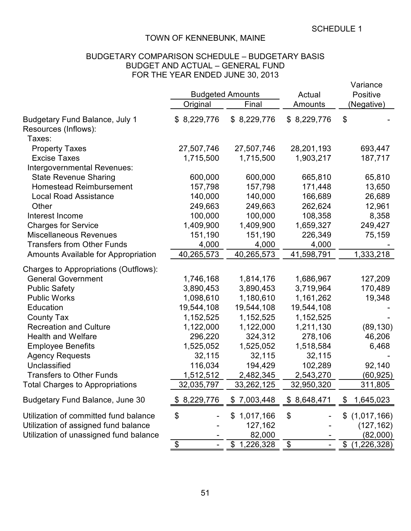# BUDGETARY COMPARISON SCHEDULE – BUDGETARY BASIS BUDGET AND ACTUAL – GENERAL FUND FOR THE YEAR ENDED JUNE 30, 2013

|                                                               |             |                         |             | Variance                  |
|---------------------------------------------------------------|-------------|-------------------------|-------------|---------------------------|
|                                                               |             | <b>Budgeted Amounts</b> | Actual      | Positive                  |
|                                                               | Original    | Final                   | Amounts     | (Negative)                |
| <b>Budgetary Fund Balance, July 1</b><br>Resources (Inflows): | \$8,229,776 | \$8,229,776             | \$8,229,776 | $\boldsymbol{\mathsf{S}}$ |
| Taxes:                                                        |             |                         |             |                           |
| <b>Property Taxes</b>                                         | 27,507,746  | 27,507,746              | 28,201,193  | 693,447                   |
| <b>Excise Taxes</b>                                           | 1,715,500   | 1,715,500               | 1,903,217   | 187,717                   |
| Intergovernmental Revenues:                                   |             |                         |             |                           |
| <b>State Revenue Sharing</b>                                  | 600,000     | 600,000                 | 665,810     | 65,810                    |
| <b>Homestead Reimbursement</b>                                | 157,798     | 157,798                 | 171,448     | 13,650                    |
| <b>Local Road Assistance</b>                                  | 140,000     | 140,000                 | 166,689     | 26,689                    |
| Other                                                         | 249,663     | 249,663                 | 262,624     | 12,961                    |
| Interest Income                                               | 100,000     | 100,000                 | 108,358     | 8,358                     |
| <b>Charges for Service</b>                                    | 1,409,900   | 1,409,900               | 1,659,327   | 249,427                   |
| <b>Miscellaneous Revenues</b>                                 | 151,190     | 151,190                 | 226,349     | 75,159                    |
| <b>Transfers from Other Funds</b>                             | 4,000       | 4,000                   | 4,000       |                           |
| <b>Amounts Available for Appropriation</b>                    | 40,265,573  | 40,265,573              | 41,598,791  | 1,333,218                 |
| Charges to Appropriations (Outflows):                         |             |                         |             |                           |
| <b>General Government</b>                                     | 1,746,168   | 1,814,176               | 1,686,967   | 127,209                   |
| <b>Public Safety</b>                                          | 3,890,453   | 3,890,453               | 3,719,964   | 170,489                   |
| <b>Public Works</b>                                           | 1,098,610   | 1,180,610               | 1,161,262   | 19,348                    |
| Education                                                     | 19,544,108  | 19,544,108              | 19,544,108  |                           |
| <b>County Tax</b>                                             | 1,152,525   | 1,152,525               | 1,152,525   |                           |
| <b>Recreation and Culture</b>                                 | 1,122,000   | 1,122,000               | 1,211,130   | (89, 130)                 |
| <b>Health and Welfare</b>                                     | 296,220     | 324,312                 | 278,106     | 46,206                    |
| <b>Employee Benefits</b>                                      | 1,525,052   | 1,525,052               | 1,518,584   | 6,468                     |
| <b>Agency Requests</b>                                        | 32,115      | 32,115                  | 32,115      |                           |
| Unclassified                                                  | 116,034     | 194,429                 | 102,289     | 92,140                    |
| <b>Transfers to Other Funds</b>                               | 1,512,512   | 2,482,345               | 2,543,270   | (60,925)                  |
| Total Charges to Appropriations                               | 32,035,797  | 33,262,125              | 32,950,320  | 311,805                   |
| Budgetary Fund Balance, June 30                               | \$8,229,776 | \$7,003,448             | \$8,648,471 | 1,645,023<br>\$           |
| Utilization of committed fund balance                         | \$          | \$1,017,166             | \$          | (1,017,166)<br>\$         |
| Utilization of assigned fund balance                          |             | 127,162                 |             | (127, 162)                |
| Utilization of unassigned fund balance                        |             | 82,000                  |             | (82,000)                  |
|                                                               | \$          | 1,226,328<br>\$         | \$          | (1, 226, 328)<br>\$       |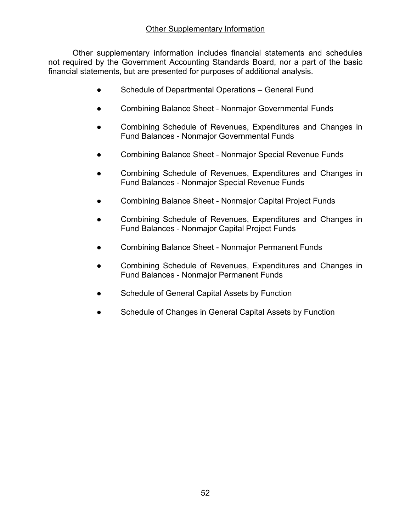# Other Supplementary Information

 Other supplementary information includes financial statements and schedules not required by the Government Accounting Standards Board, nor a part of the basic financial statements, but are presented for purposes of additional analysis.

- Schedule of Departmental Operations General Fund
- Combining Balance Sheet Nonmajor Governmental Funds
- Combining Schedule of Revenues, Expenditures and Changes in Fund Balances - Nonmajor Governmental Funds
- Combining Balance Sheet Nonmajor Special Revenue Funds
- Combining Schedule of Revenues, Expenditures and Changes in Fund Balances - Nonmajor Special Revenue Funds
- Combining Balance Sheet Nonmajor Capital Project Funds
- Combining Schedule of Revenues, Expenditures and Changes in Fund Balances - Nonmajor Capital Project Funds
- Combining Balance Sheet Nonmajor Permanent Funds
- Combining Schedule of Revenues, Expenditures and Changes in Fund Balances - Nonmajor Permanent Funds
- Schedule of General Capital Assets by Function
- Schedule of Changes in General Capital Assets by Function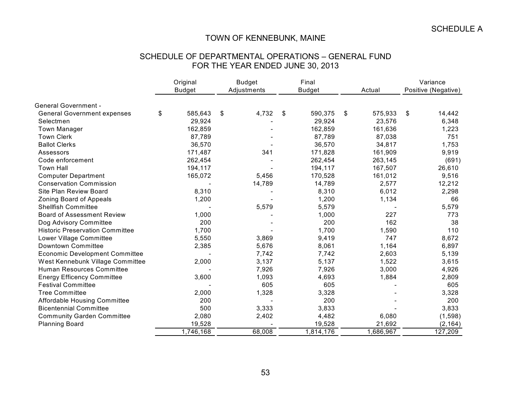# SCHEDULE OF DEPARTMENTAL OPERATIONS – GENERAL FUND FOR THE YEAR ENDED JUNE 30, 2013

|                                        | Original |               | <b>Budget</b> |    | Final         |    |           | Variance            |          |
|----------------------------------------|----------|---------------|---------------|----|---------------|----|-----------|---------------------|----------|
|                                        |          | <b>Budget</b> | Adjustments   |    | <b>Budget</b> |    | Actual    | Positive (Negative) |          |
| <b>General Government -</b>            |          |               |               |    |               |    |           |                     |          |
| <b>General Government expenses</b>     | \$       | 585,643       | \$<br>4,732   | \$ | 590,375       | \$ | 575,933   | \$                  | 14,442   |
| Selectmen                              |          | 29,924        |               |    | 29,924        |    | 23,576    |                     | 6,348    |
| <b>Town Manager</b>                    |          | 162,859       |               |    | 162,859       |    | 161,636   |                     | 1,223    |
| <b>Town Clerk</b>                      |          | 87,789        |               |    | 87,789        |    | 87,038    |                     | 751      |
| <b>Ballot Clerks</b>                   |          | 36,570        |               |    | 36,570        |    | 34,817    |                     | 1,753    |
| Assessors                              |          | 171,487       | 341           |    | 171,828       |    | 161,909   |                     | 9,919    |
| Code enforcement                       |          | 262,454       |               |    | 262,454       |    | 263,145   |                     | (691)    |
| <b>Town Hall</b>                       |          | 194,117       |               |    | 194,117       |    | 167,507   |                     | 26,610   |
| <b>Computer Department</b>             |          | 165,072       | 5,456         |    | 170,528       |    | 161,012   |                     | 9,516    |
| <b>Conservation Commission</b>         |          |               | 14,789        |    | 14,789        |    | 2,577     |                     | 12,212   |
| Site Plan Review Board                 |          | 8,310         |               |    | 8,310         |    | 6,012     |                     | 2,298    |
| Zoning Board of Appeals                |          | 1,200         |               |    | 1,200         |    | 1,134     |                     | 66       |
| <b>Shellfish Committee</b>             |          |               | 5,579         |    | 5,579         |    |           |                     | 5,579    |
| Board of Assessment Review             |          | 1,000         |               |    | 1,000         |    | 227       |                     | 773      |
| Dog Advisory Committee                 |          | 200           |               |    | 200           |    | 162       |                     | 38       |
| <b>Historic Preservation Committee</b> |          | 1,700         |               |    | 1,700         |    | 1,590     |                     | 110      |
| Lower Village Committee                |          | 5,550         | 3,869         |    | 9,419         |    | 747       |                     | 8,672    |
| Downtown Committee                     |          | 2,385         | 5,676         |    | 8,061         |    | 1,164     |                     | 6,897    |
| <b>Economic Development Committee</b>  |          |               | 7,742         |    | 7,742         |    | 2,603     |                     | 5,139    |
| West Kennebunk Village Committee       |          | 2,000         | 3,137         |    | 5,137         |    | 1,522     |                     | 3,615    |
| Human Resources Committee              |          |               | 7,926         |    | 7,926         |    | 3,000     |                     | 4,926    |
| <b>Energy Efficency Committee</b>      |          | 3,600         | 1,093         |    | 4,693         |    | 1,884     |                     | 2,809    |
| <b>Festival Committee</b>              |          |               | 605           |    | 605           |    |           |                     | 605      |
| <b>Tree Committee</b>                  |          | 2,000         | 1,328         |    | 3,328         |    |           |                     | 3,328    |
| <b>Affordable Housing Committee</b>    |          | 200           |               |    | 200           |    |           |                     | 200      |
| <b>Bicentennial Committee</b>          |          | 500           | 3,333         |    | 3,833         |    |           |                     | 3,833    |
| <b>Community Garden Committee</b>      |          | 2,080         | 2,402         |    | 4,482         |    | 6,080     |                     | (1, 598) |
| <b>Planning Board</b>                  |          | 19,528        |               |    | 19,528        |    | 21,692    |                     | (2, 164) |
|                                        |          | 1,746,168     | 68,008        |    | 1,814,176     |    | 1,686,967 |                     | 127,209  |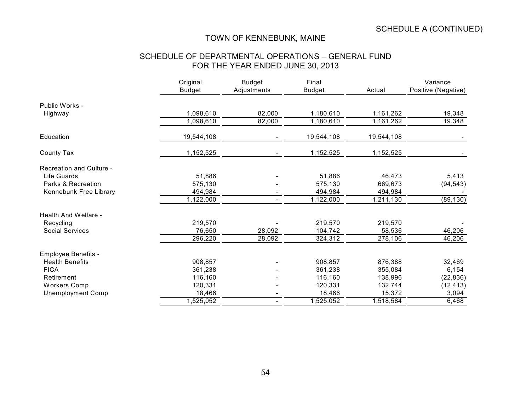# SCHEDULE OF DEPARTMENTAL OPERATIONS – GENERAL FUND FOR THE YEAR ENDED JUNE 30, 2013

|                            | Original<br><b>Budget</b> | <b>Budget</b><br>Adjustments | Final<br>Budget | Actual     | Variance<br>Positive (Negative) |
|----------------------------|---------------------------|------------------------------|-----------------|------------|---------------------------------|
|                            |                           |                              |                 |            |                                 |
| Public Works -             |                           |                              |                 |            |                                 |
| Highway                    | 1,098,610                 | 82,000                       | 1,180,610       | 1,161,262  | 19,348                          |
|                            | 1,098,610                 | 82,000                       | 1,180,610       | 1,161,262  | 19,348                          |
| Education                  | 19,544,108                |                              | 19,544,108      | 19,544,108 |                                 |
| County Tax                 | 1,152,525                 |                              | 1,152,525       | 1,152,525  |                                 |
| Recreation and Culture -   |                           |                              |                 |            |                                 |
| Life Guards                | 51,886                    |                              | 51,886          | 46,473     | 5,413                           |
| Parks & Recreation         | 575,130                   |                              | 575,130         | 669,673    | (94, 543)                       |
| Kennebunk Free Library     | 494,984                   |                              | 494,984         | 494,984    |                                 |
|                            | 1,122,000                 |                              | 1,122,000       | 1,211,130  | (89, 130)                       |
| Health And Welfare -       |                           |                              |                 |            |                                 |
| Recycling                  | 219,570                   |                              | 219,570         | 219,570    |                                 |
| <b>Social Services</b>     | 76,650                    | 28,092                       | 104,742         | 58,536     | 46,206                          |
|                            | 296,220                   | 28,092                       | 324,312         | 278,106    | 46,206                          |
| <b>Employee Benefits -</b> |                           |                              |                 |            |                                 |
| <b>Health Benefits</b>     | 908,857                   |                              | 908,857         | 876,388    | 32,469                          |
| <b>FICA</b>                | 361,238                   |                              | 361,238         | 355,084    | 6,154                           |
| Retirement                 | 116,160                   |                              | 116,160         | 138,996    | (22, 836)                       |
| <b>Workers Comp</b>        | 120,331                   |                              | 120,331         | 132,744    | (12, 413)                       |
| <b>Unemployment Comp</b>   | 18,466                    |                              | 18,466          | 15,372     | 3,094                           |
|                            | 1,525,052                 |                              | 1,525,052       | 1,518,584  | 6,468                           |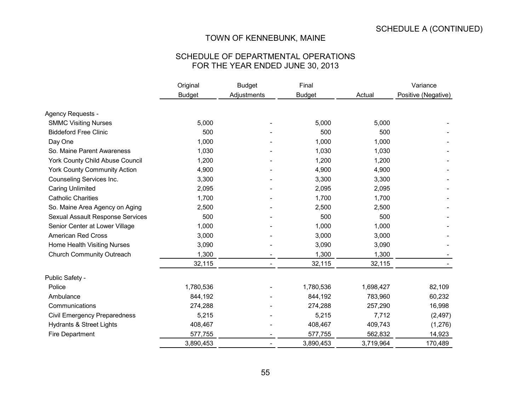# TOWN OF KENNEBUNK, MAINE

# SCHEDULE OF DEPARTMENTAL OPERATIONS FOR THE YEAR ENDED JUNE 30, 2013

|                                  | Original      | <b>Budget</b>            | Final         |           | Variance            |
|----------------------------------|---------------|--------------------------|---------------|-----------|---------------------|
|                                  | <b>Budget</b> | Adjustments              | <b>Budget</b> | Actual    | Positive (Negative) |
| Agency Requests -                |               |                          |               |           |                     |
| <b>SMMC Visiting Nurses</b>      | 5,000         |                          | 5,000         | 5,000     |                     |
| <b>Biddeford Free Clinic</b>     | 500           |                          | 500           | 500       |                     |
| Day One                          | 1,000         |                          | 1,000         | 1,000     |                     |
| So. Maine Parent Awareness       | 1,030         |                          | 1,030         | 1,030     |                     |
| York County Child Abuse Council  | 1,200         |                          | 1,200         | 1,200     |                     |
| York County Community Action     | 4,900         |                          | 4,900         | 4,900     |                     |
| Counseling Services Inc.         | 3,300         |                          | 3,300         | 3,300     |                     |
| <b>Caring Unlimited</b>          | 2,095         |                          | 2,095         | 2,095     |                     |
| <b>Catholic Charities</b>        | 1,700         |                          | 1,700         | 1,700     |                     |
| So. Maine Area Agency on Aging   | 2,500         |                          | 2,500         | 2,500     |                     |
| Sexual Assault Response Services | 500           |                          | 500           | 500       |                     |
| Senior Center at Lower Village   | 1,000         |                          | 1,000         | 1,000     |                     |
| <b>American Red Cross</b>        | 3,000         |                          | 3,000         | 3,000     |                     |
| Home Health Visiting Nurses      | 3,090         |                          | 3,090         | 3,090     |                     |
| Church Community Outreach        | 1,300         |                          | 1,300         | 1,300     |                     |
|                                  | 32,115        | $\overline{\phantom{a}}$ | 32,115        | 32,115    |                     |
| Public Safety -                  |               |                          |               |           |                     |
| Police                           | 1,780,536     |                          | 1,780,536     | 1,698,427 | 82,109              |
| Ambulance                        | 844,192       |                          | 844,192       | 783,960   | 60,232              |
| Communications                   | 274,288       |                          | 274,288       | 257,290   | 16,998              |
| Civil Emergency Preparedness     | 5,215         |                          | 5,215         | 7,712     | (2, 497)            |
| Hydrants & Street Lights         | 408,467       |                          | 408,467       | 409,743   | (1,276)             |
| Fire Department                  | 577,755       |                          | 577,755       | 562,832   | 14,923              |
|                                  | 3,890,453     |                          | 3,890,453     | 3,719,964 | 170,489             |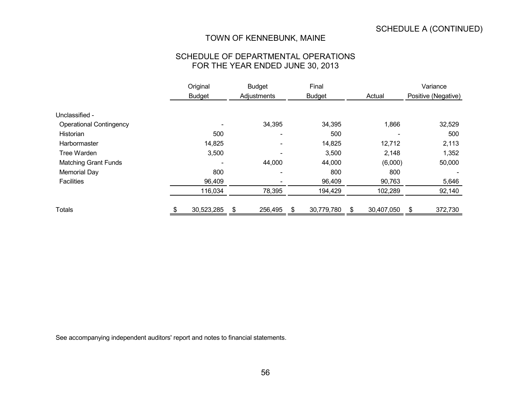# TOWN OF KENNEBUNK, MAINE

# SCHEDULE OF DEPARTMENTAL OPERATIONS FOR THE YEAR ENDED JUNE 30, 2013

|                                | Original |               | <b>Budget</b> |                          |    | Final         |                  | Variance |                     |  |
|--------------------------------|----------|---------------|---------------|--------------------------|----|---------------|------------------|----------|---------------------|--|
|                                |          | <b>Budget</b> |               | Adjustments              |    | <b>Budget</b> | Actual           |          | Positive (Negative) |  |
|                                |          |               |               |                          |    |               |                  |          |                     |  |
| Unclassified -                 |          |               |               |                          |    |               |                  |          |                     |  |
| <b>Operational Contingency</b> |          |               |               | 34,395                   |    | 34,395        | 1,866            |          | 32,529              |  |
| Historian                      |          | 500           |               | -                        |    | 500           |                  |          | 500                 |  |
| Harbormaster                   |          | 14,825        |               |                          |    | 14,825        | 12,712           |          | 2,113               |  |
| Tree Warden                    |          | 3,500         |               | $\overline{\phantom{0}}$ |    | 3,500         | 2,148            |          | 1,352               |  |
| <b>Matching Grant Funds</b>    |          |               |               | 44,000                   |    | 44,000        | (6,000)          |          | 50,000              |  |
| Memorial Day                   |          | 800           |               | -                        |    | 800           | 800              |          |                     |  |
| <b>Facilities</b>              |          | 96,409        |               |                          |    | 96,409        | 90,763           |          | 5,646               |  |
|                                |          | 116,034       |               | 78,395                   |    | 194,429       | 102,289          |          | 92,140              |  |
|                                |          |               |               |                          |    |               |                  |          |                     |  |
| Totals                         | S        | 30,523,285    | S             | 256,495                  | \$ | 30,779,780    | \$<br>30,407,050 | \$       | 372,730             |  |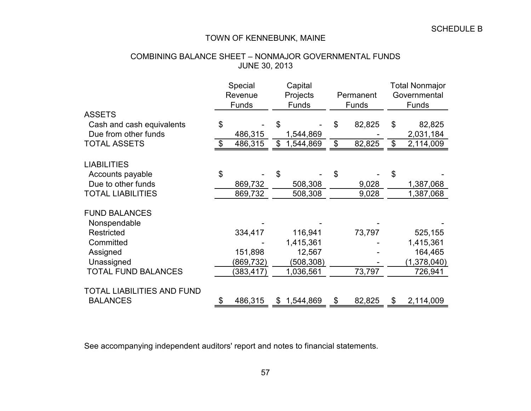# COMBINING BALANCE SHEET – NONMAJOR GOVERNMENTAL FUNDS JUNE 30, 2013

|                                                      | Special<br>Revenue |              |    | Capital      |                       |              | <b>Total Nonmajor</b> |              |  |  |
|------------------------------------------------------|--------------------|--------------|----|--------------|-----------------------|--------------|-----------------------|--------------|--|--|
|                                                      |                    |              |    | Projects     |                       | Permanent    |                       | Governmental |  |  |
|                                                      |                    | <b>Funds</b> |    | <b>Funds</b> |                       | <b>Funds</b> |                       | <b>Funds</b> |  |  |
| <b>ASSETS</b>                                        |                    |              |    |              |                       |              |                       |              |  |  |
| Cash and cash equivalents                            | \$                 |              | \$ |              | \$                    | 82,825       | \$                    | 82,825       |  |  |
| Due from other funds                                 |                    | 486,315      |    | 1,544,869    |                       |              |                       | 2,031,184    |  |  |
| <b>TOTAL ASSETS</b>                                  |                    | 486,315      | \$ | 1,544,869    | $\boldsymbol{\theta}$ | 82,825       | \$                    | 2,114,009    |  |  |
| <b>LIABILITIES</b>                                   |                    |              |    |              |                       |              |                       |              |  |  |
| Accounts payable                                     | \$                 |              | \$ |              | \$                    |              | \$                    |              |  |  |
| Due to other funds                                   |                    | 869,732      |    | 508,308      |                       | 9,028        |                       | 1,387,068    |  |  |
| <b>TOTAL LIABILITIES</b>                             |                    | 869,732      |    | 508,308      |                       | 9,028        |                       | 1,387,068    |  |  |
| <b>FUND BALANCES</b>                                 |                    |              |    |              |                       |              |                       |              |  |  |
|                                                      |                    |              |    |              |                       |              |                       |              |  |  |
| Nonspendable                                         |                    |              |    |              |                       |              |                       |              |  |  |
| <b>Restricted</b>                                    |                    | 334,417      |    | 116,941      |                       | 73,797       |                       | 525,155      |  |  |
| Committed                                            |                    |              |    | 1,415,361    |                       |              |                       | 1,415,361    |  |  |
| Assigned                                             |                    | 151,898      |    | 12,567       |                       |              |                       | 164,465      |  |  |
| Unassigned                                           |                    | (869, 732)   |    | (508, 308)   |                       |              |                       | (1,378,040)  |  |  |
| <b>TOTAL FUND BALANCES</b>                           |                    | (383, 417)   |    | 1,036,561    |                       | 73,797       |                       | 726,941      |  |  |
|                                                      |                    |              |    |              |                       |              |                       |              |  |  |
| <b>TOTAL LIABILITIES AND FUND</b><br><b>BALANCES</b> |                    | 486,315      | \$ | 1,544,869    | $\$\$                 | 82,825       | \$                    | 2,114,009    |  |  |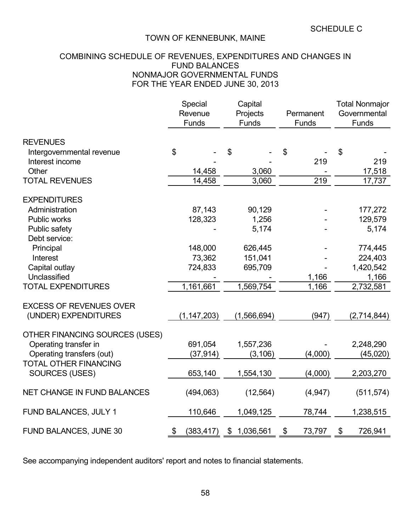# COMBINING SCHEDULE OF REVENUES, EXPENDITURES AND CHANGES IN FUND BALANCES NONMAJOR GOVERNMENTAL FUNDS FOR THE YEAR ENDED JUNE 30, 2013

|                                    | Special          | Capital         |              | <b>Total Nonmajor</b>     |
|------------------------------------|------------------|-----------------|--------------|---------------------------|
|                                    | Revenue          | Projects        | Permanent    | Governmental              |
|                                    | Funds            | Funds           | Funds        | Funds                     |
|                                    |                  |                 |              |                           |
| <b>REVENUES</b>                    |                  |                 |              |                           |
| Intergovernmental revenue          | \$               | \$              | \$           | $\boldsymbol{\mathsf{S}}$ |
| Interest income                    |                  |                 | 219          | 219                       |
| Other                              | 14,458           | 3,060           |              | 17,518                    |
| <b>TOTAL REVENUES</b>              | 14,458           | 3,060           | 219          | 17,737                    |
| <b>EXPENDITURES</b>                |                  |                 |              |                           |
| Administration                     | 87,143           | 90,129          |              | 177,272                   |
| <b>Public works</b>                | 128,323          | 1,256           |              | 129,579                   |
| Public safety                      |                  | 5,174           |              | 5,174                     |
| Debt service:                      |                  |                 |              |                           |
| Principal                          | 148,000          | 626,445         |              | 774,445                   |
| Interest                           | 73,362           | 151,041         |              | 224,403                   |
| Capital outlay                     | 724,833          | 695,709         |              | 1,420,542                 |
| Unclassified                       |                  |                 | 1,166        | 1,166                     |
| <b>TOTAL EXPENDITURES</b>          | 1,161,661        | 1,569,754       | 1,166        | 2,732,581                 |
| <b>EXCESS OF REVENUES OVER</b>     |                  |                 |              |                           |
|                                    |                  |                 |              |                           |
| (UNDER) EXPENDITURES               | (1, 147, 203)    | (1,566,694)     | (947)        | (2,714,844)               |
| OTHER FINANCING SOURCES (USES)     |                  |                 |              |                           |
| Operating transfer in              | 691,054          | 1,557,236       |              | 2,248,290                 |
| Operating transfers (out)          | (37, 914)        | (3, 106)        | (4,000)      | (45, 020)                 |
| <b>TOTAL OTHER FINANCING</b>       |                  |                 |              |                           |
| SOURCES (USES)                     | 653,140          | 1,554,130       | (4,000)      | 2,203,270                 |
| <b>NET CHANGE IN FUND BALANCES</b> | (494, 063)       | (12, 564)       | (4,947)      | (511, 574)                |
| FUND BALANCES, JULY 1              | 110,646          | 1,049,125       | 78,744       | 1,238,515                 |
|                                    |                  |                 |              |                           |
| FUND BALANCES, JUNE 30             | (383, 417)<br>\$ | 1,036,561<br>\$ | 73,797<br>\$ | 726,941<br>\$             |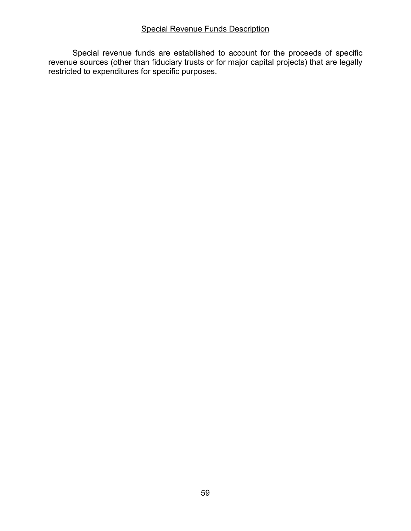# Special Revenue Funds Description

Special revenue funds are established to account for the proceeds of specific revenue sources (other than fiduciary trusts or for major capital projects) that are legally restricted to expenditures for specific purposes.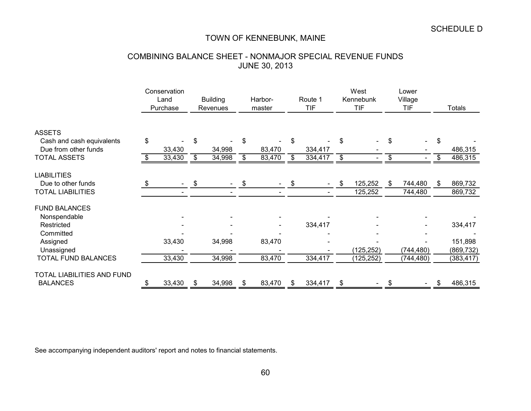# COMBINING BALANCE SHEET - NONMAJOR SPECIAL REVENUE FUNDS JUNE 30, 2013

|                                                                      |    | Conservation<br>Land<br>Purchase |    | <b>Building</b><br>Revenues | Harbor-<br>master |        | Route 1<br><b>TIF</b> |         | West<br>Kennebunk<br>TIF |                    | Lower<br>Village<br><b>TIF</b> |                    | <b>Totals</b>            |
|----------------------------------------------------------------------|----|----------------------------------|----|-----------------------------|-------------------|--------|-----------------------|---------|--------------------------|--------------------|--------------------------------|--------------------|--------------------------|
| <b>ASSETS</b><br>Cash and cash equivalents                           | \$ |                                  | \$ |                             | \$                |        | S                     |         | \$                       |                    | \$                             |                    | \$                       |
| Due from other funds                                                 |    | 33,430                           |    | 34,998                      |                   | 83,470 |                       | 334,417 |                          |                    |                                |                    | 486,315                  |
| <b>TOTAL ASSETS</b>                                                  | S  | 33,430                           |    | 34,998                      | \$                | 83,470 | S                     | 334,417 | \$                       |                    | \$                             |                    | 486,315                  |
| <b>LIABILITIES</b><br>Due to other funds<br><b>TOTAL LIABILITIES</b> | \$ |                                  | \$ |                             | \$                |        | \$                    |         | \$                       | 125,252<br>125,252 | -\$                            | 744,480<br>744,480 | \$<br>869,732<br>869,732 |
| <b>FUND BALANCES</b><br>Nonspendable<br>Restricted                   |    |                                  |    |                             |                   |        |                       | 334,417 |                          |                    |                                |                    | 334,417                  |
| Committed<br>Assigned<br>Unassigned                                  |    | 33,430                           |    | 34,998                      |                   | 83,470 |                       |         |                          | (125, 252)         |                                | (744, 480)         | 151,898<br>(869, 732)    |
| <b>TOTAL FUND BALANCES</b>                                           |    | 33,430                           |    | 34,998                      |                   | 83,470 |                       | 334,417 |                          | (125, 252)         |                                | (744, 480)         | (383, 417)               |
| TOTAL LIABILITIES AND FUND<br><b>BALANCES</b>                        |    | 33,430                           | -S | 34,998                      | S.                | 83,470 | S.                    | 334,417 | \$                       |                    |                                |                    | 486,315                  |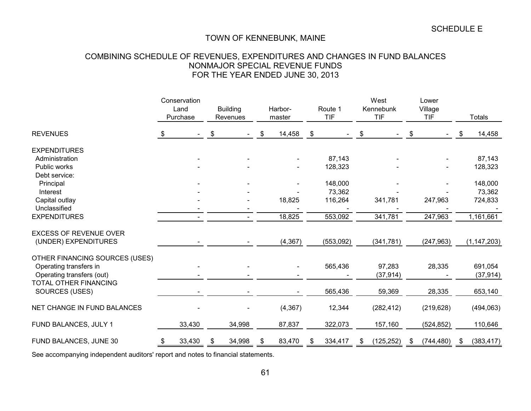## COMBINING SCHEDULE OF REVENUES, EXPENDITURES AND CHANGES IN FUND BALANCES NONMAJOR SPECIAL REVENUE FUNDS FOR THE YEAR ENDED JUNE 30, 2013

|                                                | Conservation<br>Land<br>Purchase |    | <b>Building</b><br>Revenues |    | Harbor-<br>master |            | Route 1<br><b>TIF</b> |    | West<br>Kennebunk<br><b>TIF</b> | Lower<br>Village<br><b>TIF</b> | <b>Totals</b>    |
|------------------------------------------------|----------------------------------|----|-----------------------------|----|-------------------|------------|-----------------------|----|---------------------------------|--------------------------------|------------------|
| <b>REVENUES</b>                                | \$                               | \$ |                             | \$ | 14,458            | $\sqrt{3}$ |                       | \$ |                                 | \$                             | \$<br>14,458     |
| <b>EXPENDITURES</b>                            |                                  |    |                             |    |                   |            |                       |    |                                 |                                |                  |
| Administration                                 |                                  |    |                             |    |                   |            | 87,143                |    |                                 |                                | 87,143           |
| Public works                                   |                                  |    |                             |    |                   |            | 128,323               |    |                                 |                                | 128,323          |
| Debt service:                                  |                                  |    |                             |    |                   |            |                       |    |                                 |                                |                  |
| Principal                                      |                                  |    |                             |    |                   |            | 148,000               |    |                                 |                                | 148,000          |
| Interest                                       |                                  |    |                             |    |                   |            | 73,362                |    |                                 |                                | 73,362           |
| Capital outlay                                 |                                  |    |                             |    | 18,825            |            | 116,264               |    | 341,781                         | 247,963                        | 724,833          |
| Unclassified                                   |                                  |    |                             |    |                   |            |                       |    |                                 |                                |                  |
| <b>EXPENDITURES</b>                            |                                  |    |                             |    | 18,825            |            | 553,092               |    | 341,781                         | 247,963                        | 1,161,661        |
| <b>EXCESS OF REVENUE OVER</b>                  |                                  |    |                             |    |                   |            |                       |    |                                 |                                |                  |
| (UNDER) EXPENDITURES                           |                                  |    |                             |    | (4, 367)          |            | (553,092)             |    | (341, 781)                      | (247, 963)                     | (1, 147, 203)    |
| OTHER FINANCING SOURCES (USES)                 |                                  |    |                             |    |                   |            |                       |    |                                 |                                |                  |
| Operating transfers in                         |                                  |    |                             |    |                   |            | 565,436               |    | 97,283                          | 28,335                         | 691,054          |
| Operating transfers (out)                      |                                  |    |                             |    |                   |            |                       |    | (37, 914)                       |                                | (37, 914)        |
| <b>TOTAL OTHER FINANCING</b><br>SOURCES (USES) |                                  |    |                             |    |                   |            | 565,436               |    | 59,369                          | 28,335                         | 653,140          |
| NET CHANGE IN FUND BALANCES                    |                                  |    |                             |    | (4, 367)          |            | 12,344                |    | (282, 412)                      | (219, 628)                     | (494, 063)       |
| FUND BALANCES, JULY 1                          | 33,430                           |    | 34,998                      |    | 87,837            |            | 322,073               |    | 157,160                         | (524, 852)                     | 110,646          |
| FUND BALANCES, JUNE 30                         | 33,430<br>\$                     | S. | 34,998                      | S. | 83,470            | S.         | 334,417               | S  | (125, 252)                      | \$<br>(744, 480)               | \$<br>(383, 417) |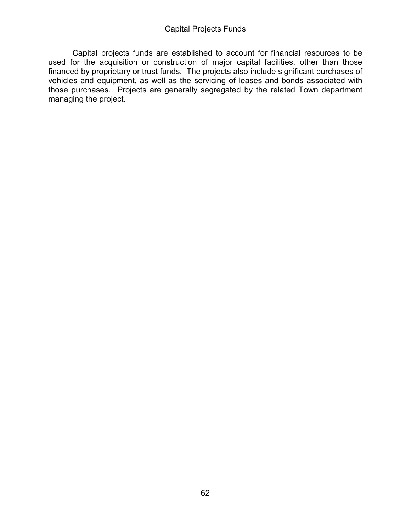# Capital Projects Funds

 Capital projects funds are established to account for financial resources to be used for the acquisition or construction of major capital facilities, other than those financed by proprietary or trust funds. The projects also include significant purchases of vehicles and equipment, as well as the servicing of leases and bonds associated with those purchases. Projects are generally segregated by the related Town department managing the project.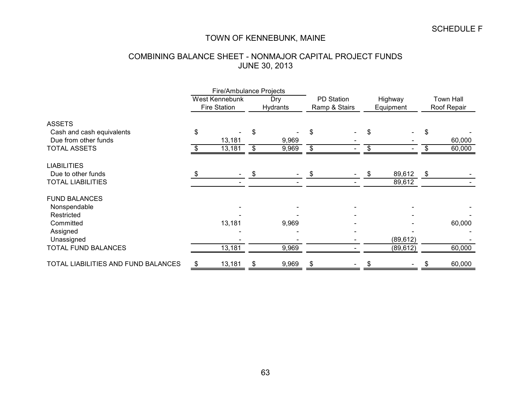|                                                   | Fire/Ambulance Projects |                                       |    |                        |    |                             |     |                      |                                 |        |
|---------------------------------------------------|-------------------------|---------------------------------------|----|------------------------|----|-----------------------------|-----|----------------------|---------------------------------|--------|
|                                                   |                         | West Kennebunk<br><b>Fire Station</b> |    | Dry<br><b>Hydrants</b> |    | PD Station<br>Ramp & Stairs |     | Highway<br>Equipment | <b>Town Hall</b><br>Roof Repair |        |
| <b>ASSETS</b>                                     | \$                      |                                       |    |                        |    |                             |     |                      |                                 |        |
| Cash and cash equivalents<br>Due from other funds |                         | 13,181                                |    | 9,969                  |    |                             |     |                      |                                 | 60,000 |
| <b>TOTAL ASSETS</b>                               |                         | 13,181                                | \$ | 9,969                  | \$ |                             | \$. |                      |                                 | 60,000 |
| <b>LIABILITIES</b>                                |                         |                                       |    |                        |    |                             |     |                      |                                 |        |
| Due to other funds                                | \$                      |                                       | \$ |                        | \$ |                             | \$  | 89,612               | \$                              |        |
| <b>TOTAL LIABILITIES</b>                          |                         |                                       |    |                        |    |                             |     | 89,612               |                                 |        |
| <b>FUND BALANCES</b>                              |                         |                                       |    |                        |    |                             |     |                      |                                 |        |
| Nonspendable                                      |                         |                                       |    |                        |    |                             |     |                      |                                 |        |
| Restricted                                        |                         |                                       |    |                        |    |                             |     |                      |                                 |        |
| Committed                                         |                         | 13,181                                |    | 9,969                  |    |                             |     |                      |                                 | 60,000 |
| Assigned                                          |                         |                                       |    |                        |    |                             |     |                      |                                 |        |
| Unassigned                                        |                         |                                       |    |                        |    |                             |     | (89, 612)            |                                 |        |
| <b>TOTAL FUND BALANCES</b>                        |                         | 13,181                                |    | 9,969                  |    |                             |     | (89, 612)            |                                 | 60,000 |
| TOTAL LIABILITIES AND FUND BALANCES               | \$                      | 13,181                                | \$ | 9,969                  |    |                             |     |                      |                                 | 60,000 |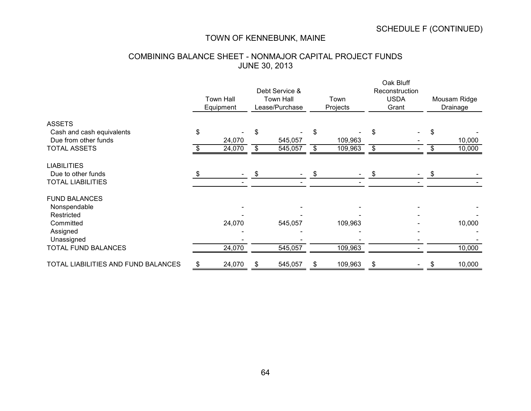# TOWN OF KENNEBUNK, MAINE

|                                     |                  |                  |    |          |    | Oak Bluff      |              |
|-------------------------------------|------------------|------------------|----|----------|----|----------------|--------------|
|                                     |                  | Debt Service &   |    |          |    | Reconstruction |              |
|                                     | <b>Town Hall</b> | <b>Town Hall</b> |    | Town     |    | <b>USDA</b>    | Mousam Ridge |
|                                     | Equipment        | Lease/Purchase   |    | Projects |    | Grant          | Drainage     |
| <b>ASSETS</b>                       |                  |                  |    |          |    |                |              |
| Cash and cash equivalents           | \$               | \$               | S  |          | S  |                | \$           |
| Due from other funds                | 24,070           | 545,057          |    | 109,963  |    |                | 10,000       |
| <b>TOTAL ASSETS</b>                 | 24,070           | 545,057          |    | 109,963  | \$ |                | 10,000       |
|                                     |                  |                  |    |          |    |                |              |
| <b>LIABILITIES</b>                  |                  |                  |    |          |    |                |              |
| Due to other funds                  |                  | \$               | \$ |          | \$ |                | \$           |
| <b>TOTAL LIABILITIES</b>            |                  |                  |    |          |    |                |              |
| <b>FUND BALANCES</b>                |                  |                  |    |          |    |                |              |
| Nonspendable                        |                  |                  |    |          |    |                |              |
| Restricted                          |                  |                  |    |          |    |                |              |
| Committed                           | 24,070           | 545,057          |    | 109,963  |    |                | 10,000       |
| Assigned                            |                  |                  |    |          |    |                |              |
| Unassigned                          |                  |                  |    |          |    |                |              |
| TOTAL FUND BALANCES                 | 24,070           | 545,057          |    | 109,963  |    |                | 10,000       |
|                                     |                  |                  |    |          |    |                |              |
| TOTAL LIABILITIES AND FUND BALANCES | \$<br>24,070     | 545,057          | S  | 109,963  | S  |                | 10,000       |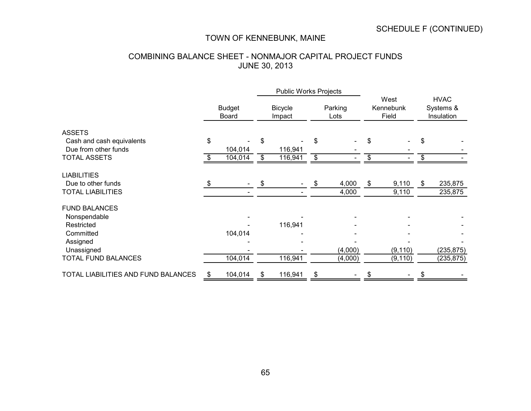# TOWN OF KENNEBUNK, MAINE

|                                                   |    |                        |                          | <b>Public Works Projects</b> |                 |                |                            |                                        |            |
|---------------------------------------------------|----|------------------------|--------------------------|------------------------------|-----------------|----------------|----------------------------|----------------------------------------|------------|
|                                                   |    | <b>Budget</b><br>Board | <b>Bicycle</b><br>Impact |                              | Parking<br>Lots |                | West<br>Kennebunk<br>Field | <b>HVAC</b><br>Systems &<br>Insulation |            |
| <b>ASSETS</b>                                     |    |                        |                          |                              | \$              |                |                            |                                        |            |
| Cash and cash equivalents<br>Due from other funds | \$ | 104,014                | SS                       | 116,941                      |                 | \$.            |                            | \$                                     |            |
| <b>TOTAL ASSETS</b>                               |    | 104,014                | S                        | 116,941                      | \$              | \$             |                            | \$                                     |            |
| <b>LIABILITIES</b>                                |    |                        |                          |                              |                 |                |                            |                                        |            |
| Due to other funds                                | \$ |                        | \$                       |                              | \$<br>4,000     | $\mathfrak{F}$ | 9,110                      | $\boldsymbol{\mathcal{S}}$             | 235,875    |
| <b>TOTAL LIABILITIES</b>                          |    |                        |                          |                              | 4,000           |                | 9,110                      |                                        | 235,875    |
| <b>FUND BALANCES</b>                              |    |                        |                          |                              |                 |                |                            |                                        |            |
| Nonspendable                                      |    |                        |                          |                              |                 |                |                            |                                        |            |
| Restricted                                        |    |                        |                          | 116,941                      |                 |                |                            |                                        |            |
| Committed                                         |    | 104,014                |                          |                              |                 |                |                            |                                        |            |
| Assigned<br>Unassigned                            |    |                        |                          |                              | (4,000)         |                | (9, 110)                   |                                        | (235, 875) |
| TOTAL FUND BALANCES                               |    | 104,014                |                          | 116,941                      | (4,000)         |                | (9, 110)                   |                                        | (235, 875) |
| TOTAL LIABILITIES AND FUND BALANCES               | 8  | 104,014                |                          | 116,941                      |                 |                |                            |                                        |            |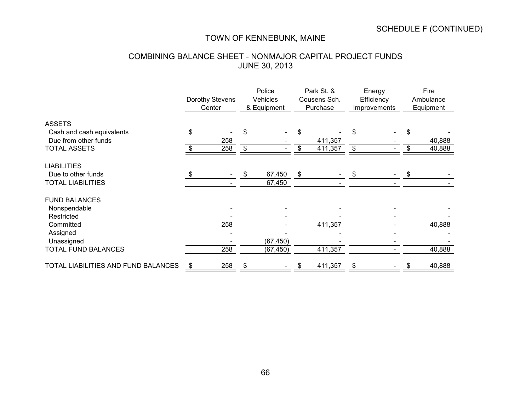# TOWN OF KENNEBUNK, MAINE

|                                     | Dorothy Stevens<br>Center |     |     | Police<br>Vehicles<br>& Equipment | Park St. &<br>Cousens Sch.<br>Purchase |    | Energy<br>Efficiency<br>Improvements | Fire<br>Ambulance<br>Equipment |        |
|-------------------------------------|---------------------------|-----|-----|-----------------------------------|----------------------------------------|----|--------------------------------------|--------------------------------|--------|
| <b>ASSETS</b>                       |                           |     |     |                                   |                                        |    |                                      |                                |        |
| Cash and cash equivalents           | \$                        |     |     |                                   |                                        | S  |                                      |                                |        |
| Due from other funds                |                           | 258 |     |                                   | 411,357                                |    |                                      |                                | 40,888 |
| <b>TOTAL ASSETS</b>                 |                           | 258 | \$  |                                   | 411,357                                | \$ |                                      | \$.                            | 40,888 |
| <b>LIABILITIES</b>                  |                           |     |     |                                   |                                        |    |                                      |                                |        |
| Due to other funds                  |                           |     | -\$ | 67,450                            | \$                                     | \$ |                                      | \$                             |        |
| <b>TOTAL LIABILITIES</b>            |                           |     |     | 67,450                            |                                        |    |                                      |                                |        |
| <b>FUND BALANCES</b>                |                           |     |     |                                   |                                        |    |                                      |                                |        |
| Nonspendable                        |                           |     |     |                                   |                                        |    |                                      |                                |        |
| Restricted                          |                           |     |     |                                   |                                        |    |                                      |                                |        |
| Committed                           |                           | 258 |     |                                   | 411,357                                |    |                                      |                                | 40,888 |
| Assigned                            |                           |     |     |                                   |                                        |    |                                      |                                |        |
| Unassigned                          |                           |     |     | (67, 450)                         |                                        |    |                                      |                                |        |
| TOTAL FUND BALANCES                 |                           | 258 |     | (67, 450)                         | 411,357                                |    |                                      |                                | 40,888 |
| TOTAL LIABILITIES AND FUND BALANCES | \$                        | 258 |     |                                   | 411,357                                | \$ |                                      |                                | 40,888 |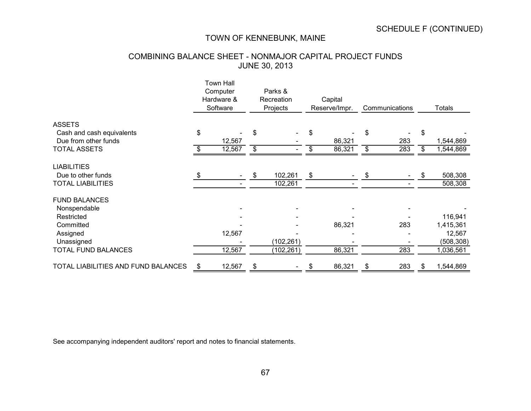# TOWN OF KENNEBUNK, MAINE

# COMBINING BALANCE SHEET - NONMAJOR CAPITAL PROJECT FUNDS JUNE 30, 2013

|                                     | Town Hall<br>Computer<br>Hardware &<br>Software |        |    | Parks &<br>Recreation<br>Projects |    | Capital<br>Reserve/Impr. | Communications | <b>Totals</b> |            |  |
|-------------------------------------|-------------------------------------------------|--------|----|-----------------------------------|----|--------------------------|----------------|---------------|------------|--|
| <b>ASSETS</b>                       |                                                 |        |    |                                   |    |                          |                |               |            |  |
| Cash and cash equivalents           | \$                                              |        | \$ |                                   |    |                          | \$             | \$            |            |  |
| Due from other funds                |                                                 | 12,567 |    |                                   |    | 86,321                   | 283            |               | 1,544,869  |  |
| <b>TOTAL ASSETS</b>                 |                                                 | 12,567 | \$ |                                   | \$ | 86,321                   | \$<br>283      | \$            | 1,544,869  |  |
| <b>LIABILITIES</b>                  |                                                 |        |    |                                   |    |                          |                |               |            |  |
| Due to other funds                  | \$                                              |        | \$ | 102,261                           | \$ |                          | \$             | \$            | 508,308    |  |
| <b>TOTAL LIABILITIES</b>            |                                                 |        |    | 102,261                           |    |                          |                |               | 508,308    |  |
| <b>FUND BALANCES</b>                |                                                 |        |    |                                   |    |                          |                |               |            |  |
| Nonspendable                        |                                                 |        |    |                                   |    |                          |                |               |            |  |
| Restricted                          |                                                 |        |    |                                   |    |                          |                |               | 116,941    |  |
| Committed                           |                                                 |        |    |                                   |    | 86,321                   | 283            |               | 1,415,361  |  |
| Assigned                            |                                                 | 12,567 |    |                                   |    |                          |                |               | 12,567     |  |
| Unassigned                          |                                                 |        |    | (102, 261)                        |    |                          |                |               | (508, 308) |  |
| TOTAL FUND BALANCES                 |                                                 | 12,567 |    | (102, 261)                        |    | 86,321                   | 283            |               | 1,036,561  |  |
| TOTAL LIABILITIES AND FUND BALANCES | \$                                              | 12,567 | S  |                                   |    | 86,321                   | \$<br>283      | S             | 1,544,869  |  |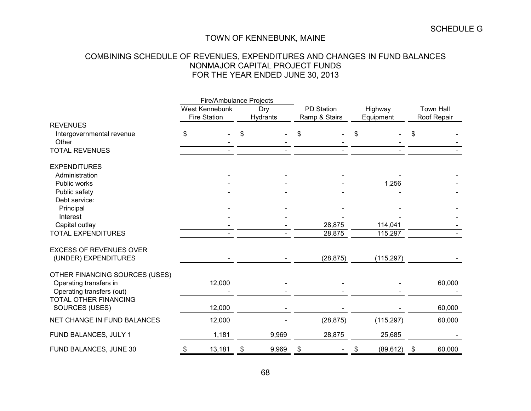### COMBINING SCHEDULE OF REVENUES, EXPENDITURES AND CHANGES IN FUND BALANCES NONMAJOR CAPITAL PROJECT FUNDS FOR THE YEAR ENDED JUNE 30, 2013

|                                    | Fire/Ambulance Projects |                                       |    |                        |    |                                    |    |                      |    |                                 |  |
|------------------------------------|-------------------------|---------------------------------------|----|------------------------|----|------------------------------------|----|----------------------|----|---------------------------------|--|
|                                    |                         | West Kennebunk<br><b>Fire Station</b> |    | Dry<br><b>Hydrants</b> |    | <b>PD Station</b><br>Ramp & Stairs |    | Highway<br>Equipment |    | <b>Town Hall</b><br>Roof Repair |  |
|                                    |                         |                                       |    |                        |    |                                    |    |                      |    |                                 |  |
| Intergovernmental revenue<br>Other |                         |                                       |    |                        | \$ |                                    | \$ |                      | \$ |                                 |  |
| <b>TOTAL REVENUES</b>              |                         |                                       |    |                        |    |                                    |    |                      |    |                                 |  |
|                                    |                         |                                       |    |                        |    |                                    |    |                      |    |                                 |  |
| <b>EXPENDITURES</b>                |                         |                                       |    |                        |    |                                    |    |                      |    |                                 |  |
| Administration                     |                         |                                       |    |                        |    |                                    |    |                      |    |                                 |  |
| Public works                       |                         |                                       |    |                        |    |                                    |    | 1,256                |    |                                 |  |
| Public safety                      |                         |                                       |    |                        |    |                                    |    |                      |    |                                 |  |
| Debt service:                      |                         |                                       |    |                        |    |                                    |    |                      |    |                                 |  |
| Principal                          |                         |                                       |    |                        |    |                                    |    |                      |    |                                 |  |
| Interest                           |                         |                                       |    |                        |    |                                    |    |                      |    |                                 |  |
| Capital outlay                     |                         |                                       |    |                        |    | 28,875                             |    | 114,041              |    |                                 |  |
| <b>TOTAL EXPENDITURES</b>          |                         |                                       |    |                        |    | 28,875                             |    | 115,297              |    |                                 |  |
| <b>EXCESS OF REVENUES OVER</b>     |                         |                                       |    |                        |    |                                    |    |                      |    |                                 |  |
| (UNDER) EXPENDITURES               |                         |                                       |    |                        |    | (28, 875)                          |    | (115, 297)           |    |                                 |  |
|                                    |                         |                                       |    |                        |    |                                    |    |                      |    |                                 |  |
| OTHER FINANCING SOURCES (USES)     |                         |                                       |    |                        |    |                                    |    |                      |    |                                 |  |
| Operating transfers in             |                         | 12,000                                |    |                        |    |                                    |    |                      |    | 60,000                          |  |
| Operating transfers (out)          |                         |                                       |    |                        |    |                                    |    |                      |    |                                 |  |
| <b>TOTAL OTHER FINANCING</b>       |                         |                                       |    |                        |    |                                    |    |                      |    |                                 |  |
| SOURCES (USES)                     |                         | 12,000                                |    |                        |    |                                    |    |                      |    | 60,000                          |  |
| NET CHANGE IN FUND BALANCES        |                         | 12,000                                |    |                        |    | (28, 875)                          |    | (115, 297)           |    | 60,000                          |  |
| FUND BALANCES, JULY 1              |                         | 1,181                                 |    | 9,969                  |    | 28,875                             |    | 25,685               |    |                                 |  |
| FUND BALANCES, JUNE 30             | \$                      | 13,181                                | \$ | 9,969                  | \$ |                                    | \$ | (89, 612)            | \$ | 60,000                          |  |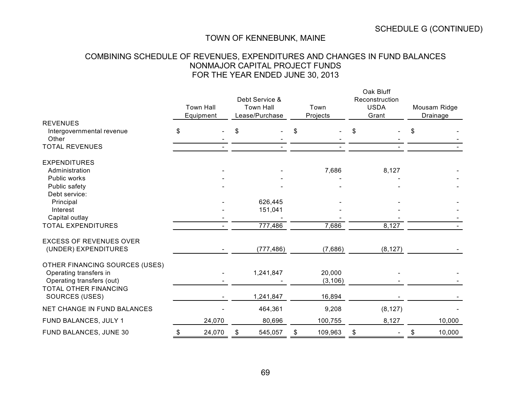### COMBINING SCHEDULE OF REVENUES, EXPENDITURES AND CHANGES IN FUND BALANCES NONMAJOR CAPITAL PROJECT FUNDS FOR THE YEAR ENDED JUNE 30, 2013

|                                         | <b>Town Hall</b><br>Equipment | Debt Service &<br><b>Town Hall</b><br>Lease/Purchase | Town<br>Projects |          | Oak Bluff<br>Reconstruction<br><b>USDA</b><br>Grant |          | Mousam Ridge<br>Drainage |        |
|-----------------------------------------|-------------------------------|------------------------------------------------------|------------------|----------|-----------------------------------------------------|----------|--------------------------|--------|
| <b>REVENUES</b>                         |                               |                                                      |                  |          |                                                     |          |                          |        |
| Intergovernmental revenue<br>Other      | \$                            | \$                                                   | \$               |          | \$                                                  |          | \$                       |        |
| <b>TOTAL REVENUES</b>                   |                               |                                                      |                  |          |                                                     |          |                          |        |
| <b>EXPENDITURES</b>                     |                               |                                                      |                  |          |                                                     |          |                          |        |
| Administration                          |                               |                                                      |                  | 7,686    |                                                     | 8,127    |                          |        |
| Public works<br>Public safety           |                               |                                                      |                  |          |                                                     |          |                          |        |
| Debt service:                           |                               |                                                      |                  |          |                                                     |          |                          |        |
| Principal                               |                               | 626,445                                              |                  |          |                                                     |          |                          |        |
| Interest                                |                               | 151,041                                              |                  |          |                                                     |          |                          |        |
| Capital outlay                          |                               |                                                      |                  |          |                                                     |          |                          |        |
| <b>TOTAL EXPENDITURES</b>               |                               | 777,486                                              |                  | 7,686    |                                                     | 8,127    |                          |        |
| <b>EXCESS OF REVENUES OVER</b>          |                               |                                                      |                  |          |                                                     |          |                          |        |
| (UNDER) EXPENDITURES                    |                               | (777, 486)                                           |                  | (7,686)  |                                                     | (8, 127) |                          |        |
| OTHER FINANCING SOURCES (USES)          |                               |                                                      |                  |          |                                                     |          |                          |        |
| Operating transfers in                  |                               | 1,241,847                                            |                  | 20,000   |                                                     |          |                          |        |
| Operating transfers (out)               |                               |                                                      |                  | (3, 106) |                                                     |          |                          |        |
| TOTAL OTHER FINANCING<br>SOURCES (USES) |                               | 1,241,847                                            |                  | 16,894   |                                                     |          |                          |        |
| NET CHANGE IN FUND BALANCES             |                               | 464,361                                              |                  | 9,208    |                                                     | (8, 127) |                          |        |
| FUND BALANCES, JULY 1                   | 24,070                        | 80,696                                               |                  | 100,755  |                                                     | 8,127    |                          | 10,000 |
| FUND BALANCES, JUNE 30                  | \$<br>24,070                  | \$<br>545,057                                        | \$               | 109,963  | \$                                                  |          | \$                       | 10,000 |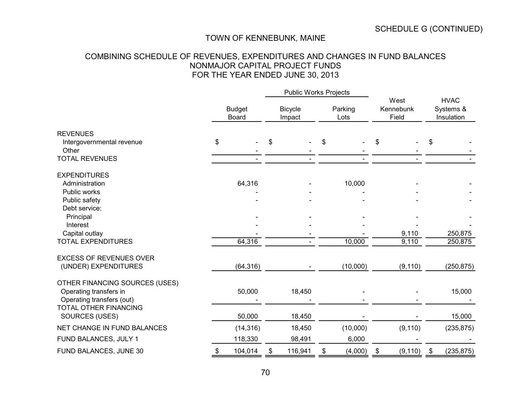### COMBINING SCHEDULE OF REVENUES, EXPENDITURES AND CHANGES IN FUND BALANCES NONMAJOR CAPITAL PROJECT FUNDS FOR THE YEAR ENDED JUNE 30, 2013

|                                         | <b>Board</b> | <b>Budget</b> | <b>Bicycle</b><br>Impact | Parking<br>Lots | West<br>Kennebunk<br>Field | <b>HVAC</b><br>Systems &<br>Insulation |
|-----------------------------------------|--------------|---------------|--------------------------|-----------------|----------------------------|----------------------------------------|
| <b>REVENUES</b>                         |              |               |                          |                 |                            |                                        |
| Intergovernmental revenue               | \$           |               | \$                       | \$              | \$                         | \$                                     |
| Other<br><b>TOTAL REVENUES</b>          |              |               |                          |                 |                            |                                        |
|                                         |              |               |                          |                 |                            |                                        |
| <b>EXPENDITURES</b>                     |              |               |                          |                 |                            |                                        |
| Administration                          |              | 64,316        |                          | 10,000          |                            |                                        |
| Public works                            |              |               |                          |                 |                            |                                        |
| Public safety<br>Debt service:          |              |               |                          |                 |                            |                                        |
| Principal                               |              |               |                          |                 |                            |                                        |
| Interest                                |              |               |                          |                 |                            |                                        |
| Capital outlay                          |              |               |                          |                 | 9,110                      | 250,875                                |
| <b>TOTAL EXPENDITURES</b>               |              | 64,316        |                          | 10,000          | 9,110                      | 250,875                                |
| <b>EXCESS OF REVENUES OVER</b>          |              |               |                          |                 |                            |                                        |
| (UNDER) EXPENDITURES                    |              | (64, 316)     |                          | (10,000)        | (9, 110)                   | (250, 875)                             |
| OTHER FINANCING SOURCES (USES)          |              |               |                          |                 |                            |                                        |
| Operating transfers in                  |              | 50,000        | 18,450                   |                 |                            | 15,000                                 |
| Operating transfers (out)               |              |               |                          |                 |                            |                                        |
| TOTAL OTHER FINANCING<br>SOURCES (USES) |              | 50,000        | 18,450                   |                 |                            | 15,000                                 |
|                                         |              |               |                          |                 |                            |                                        |
| NET CHANGE IN FUND BALANCES             |              | (14, 316)     | 18,450                   | (10,000)        | (9, 110)                   | (235, 875)                             |
| FUND BALANCES, JULY 1                   |              | 118,330       | 98,491                   | 6,000           |                            |                                        |
| FUND BALANCES, JUNE 30                  | \$           | 104,014       | 116,941<br>\$            | \$<br>(4,000)   | (9, 110)<br>\$             | \$<br>(235, 875)                       |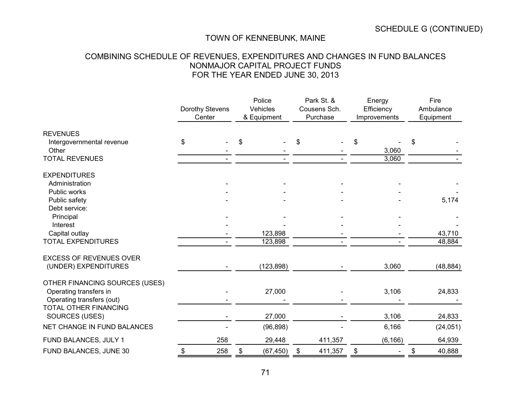### COMBINING SCHEDULE OF REVENUES, EXPENDITURES AND CHANGES IN FUND BALANCES NONMAJOR CAPITAL PROJECT FUNDS FOR THE YEAR ENDED JUNE 30, 2013

|                                                                                                                | Dorothy Stevens<br>Center         | Police<br>Vehicles<br>& Equipment | Park St. &<br>Cousens Sch.<br>Purchase | Energy<br>Efficiency<br>Improvements | Fire<br>Ambulance<br>Equipment       |
|----------------------------------------------------------------------------------------------------------------|-----------------------------------|-----------------------------------|----------------------------------------|--------------------------------------|--------------------------------------|
| <b>REVENUES</b><br>Intergovernmental revenue<br>Other<br><b>TOTAL REVENUES</b>                                 | \$                                | \$                                | \$                                     | \$<br>3,060<br>3,060                 | \$                                   |
| <b>EXPENDITURES</b><br>Administration<br>Public works<br>Public safety                                         |                                   |                                   |                                        |                                      | 5,174                                |
| Debt service:<br>Principal<br>Interest<br>Capital outlay<br><b>TOTAL EXPENDITURES</b>                          |                                   | 123,898<br>123,898                |                                        |                                      | 43,710<br>48,884                     |
| <b>EXCESS OF REVENUES OVER</b><br>(UNDER) EXPENDITURES                                                         |                                   | (123, 898)                        |                                        | 3,060                                | (48, 884)                            |
| OTHER FINANCING SOURCES (USES)<br>Operating transfers in<br>Operating transfers (out)<br>TOTAL OTHER FINANCING |                                   | 27,000                            |                                        | 3,106                                | 24,833                               |
| SOURCES (USES)                                                                                                 |                                   | 27,000                            |                                        | 3,106                                | 24,833                               |
| NET CHANGE IN FUND BALANCES                                                                                    |                                   | (96, 898)                         |                                        | 6,166                                | (24, 051)                            |
| FUND BALANCES, JULY 1                                                                                          | 258                               | 29,448                            | 411,357                                | (6, 166)                             | 64,939                               |
| FUND BALANCES, JUNE 30                                                                                         | $\boldsymbol{\mathsf{\$}}$<br>258 | \$<br>(67, 450)                   | 411,357<br>\$                          | \$                                   | 40,888<br>$\boldsymbol{\mathsf{\$}}$ |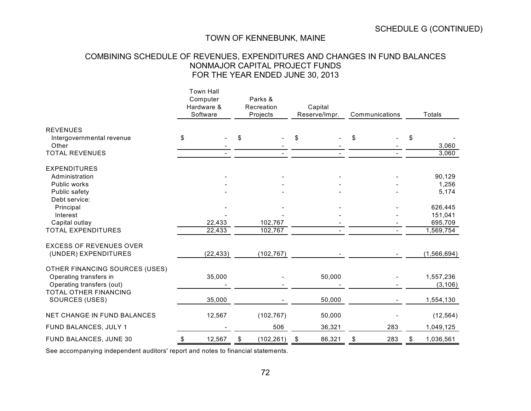### COMBINING SCHEDULE OF REVENUES, EXPENDITURES AND CHANGES IN FUND BALANCES NONMAJOR CAPITAL PROJECT FUNDS FOR THE YEAR ENDED JUNE 30, 2013

|                                         | <b>Town Hall</b><br>Computer<br>Hardware &<br>Software | Parks &<br>Recreation<br>Projects | Capital<br>Reserve/Impr. | Communications |    | Totals         |
|-----------------------------------------|--------------------------------------------------------|-----------------------------------|--------------------------|----------------|----|----------------|
| <b>REVENUES</b>                         |                                                        |                                   |                          |                |    |                |
| Intergovernmental revenue               | \$                                                     | \$                                | \$                       | \$             | S  |                |
| Other<br><b>TOTAL REVENUES</b>          |                                                        |                                   |                          |                |    | 3,060<br>3,060 |
| <b>EXPENDITURES</b>                     |                                                        |                                   |                          |                |    |                |
| Administration                          |                                                        |                                   |                          |                |    | 90,129         |
| Public works                            |                                                        |                                   |                          |                |    | 1,256          |
| Public safety                           |                                                        |                                   |                          |                |    | 5,174          |
| Debt service:                           |                                                        |                                   |                          |                |    |                |
| Principal                               |                                                        |                                   |                          |                |    | 626,445        |
| Interest                                |                                                        |                                   |                          |                |    | 151,041        |
| Capital outlay                          | 22,433                                                 | 102,767                           |                          |                |    | 695,709        |
| <b>TOTAL EXPENDITURES</b>               | 22,433                                                 | 102,767                           |                          |                |    | 1,569,754      |
| <b>EXCESS OF REVENUES OVER</b>          |                                                        |                                   |                          |                |    |                |
| (UNDER) EXPENDITURES                    | (22, 433)                                              | (102, 767)                        |                          |                |    | (1,566,694)    |
| OTHER FINANCING SOURCES (USES)          |                                                        |                                   |                          |                |    |                |
| Operating transfers in                  | 35,000                                                 |                                   | 50,000                   |                |    | 1,557,236      |
| Operating transfers (out)               |                                                        |                                   |                          |                |    | (3, 106)       |
| TOTAL OTHER FINANCING<br>SOURCES (USES) | 35,000                                                 |                                   | 50,000                   |                |    | 1,554,130      |
| <b>NET CHANGE IN FUND BALANCES</b>      | 12,567                                                 | (102, 767)                        | 50,000                   |                |    | (12, 564)      |
|                                         |                                                        |                                   |                          |                |    |                |
| FUND BALANCES, JULY 1                   |                                                        | 506                               | 36,321                   | 283            |    | 1,049,125      |
| FUND BALANCES, JUNE 30                  | \$<br>12,567                                           | \$<br>(102, 261)                  | \$<br>86,321             | \$<br>283      | \$ | 1,036,561      |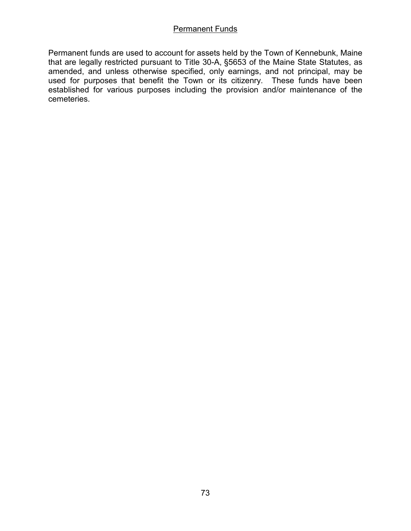## Permanent Funds

Permanent funds are used to account for assets held by the Town of Kennebunk, Maine that are legally restricted pursuant to Title 30-A, §5653 of the Maine State Statutes, as amended, and unless otherwise specified, only earnings, and not principal, may be used for purposes that benefit the Town or its citizenry. These funds have been established for various purposes including the provision and/or maintenance of the cemeteries.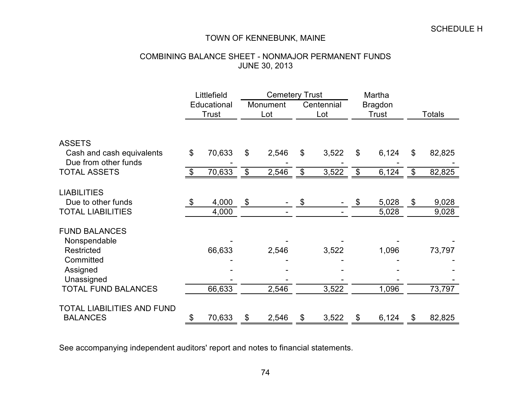## COMBINING BALANCE SHEET - NONMAJOR PERMANENT FUNDS JUNE 30, 2013

|                                                                                                                         |                | Littlefield<br>Educational<br>Trust |               | <b>Cemetery Trust</b><br>Monument<br>Lot |                       | Centennial<br>Lot |                            | Martha<br><b>Bragdon</b><br>Trust |                            | <b>Totals</b>    |
|-------------------------------------------------------------------------------------------------------------------------|----------------|-------------------------------------|---------------|------------------------------------------|-----------------------|-------------------|----------------------------|-----------------------------------|----------------------------|------------------|
| <b>ASSETS</b><br>Cash and cash equivalents                                                                              | \$             | 70,633                              | $\mathcal{L}$ | 2,546                                    | $\mathfrak{S}$        | 3,522             | $\mathbb{S}$               | 6,124                             | $\mathcal{L}$              | 82,825           |
| Due from other funds<br><b>TOTAL ASSETS</b>                                                                             | $\mathfrak{F}$ | 70,633                              | $\$\$         | 2,546                                    | $\boldsymbol{\theta}$ | 3,522             | $\boldsymbol{\mathsf{\$}}$ | 6,124                             | \$                         | 82,825           |
| <b>LIABILITIES</b><br>Due to other funds<br><b>TOTAL LIABILITIES</b>                                                    | \$             | 4,000<br>4,000                      | \$            |                                          | \$                    |                   | \$                         | 5,028<br>5,028                    | \$                         | 9,028<br>9,028   |
| <b>FUND BALANCES</b><br>Nonspendable<br>Restricted<br>Committed<br>Assigned<br>Unassigned<br><b>TOTAL FUND BALANCES</b> |                | 66,633<br>66,633                    |               | 2,546<br>2,546                           |                       | 3,522<br>3,522    |                            | 1,096<br>1,096                    |                            | 73,797<br>73,797 |
| TOTAL LIABILITIES AND FUND<br><b>BALANCES</b>                                                                           | \$             | 70,633                              | \$            | 2,546                                    | \$                    | 3,522             | \$                         | 6,124                             | $\boldsymbol{\mathcal{S}}$ | 82,825           |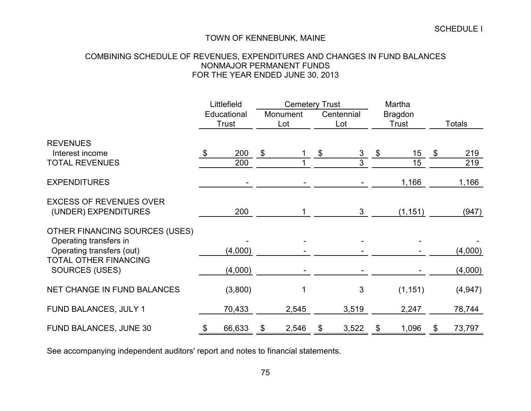## COMBINING SCHEDULE OF REVENUES, EXPENDITURES AND CHANGES IN FUND BALANCES NONMAJOR PERMANENT FUNDS FOR THE YEAR ENDED JUNE 30, 2013

|                                                                                                                                                |                | Littlefield<br>Educational<br>Trust |                            | <b>Cemetery Trust</b><br>Monument<br>Lot |                            | Centennial<br>Lot   |               | Martha<br><b>Bragdon</b><br>Trust |              | Totals             |
|------------------------------------------------------------------------------------------------------------------------------------------------|----------------|-------------------------------------|----------------------------|------------------------------------------|----------------------------|---------------------|---------------|-----------------------------------|--------------|--------------------|
| <b>REVENUES</b><br>Interest income<br><b>TOTAL REVENUES</b>                                                                                    | $\mathfrak{F}$ | 200<br>200                          | $\sqrt[6]{3}$              |                                          | $\boldsymbol{\mathcal{L}}$ | 3 <sup>1</sup><br>3 | $\mathcal{S}$ | 15 <sub>15</sub><br>15            | $\mathbb{S}$ | 219<br>219         |
| <b>EXPENDITURES</b>                                                                                                                            |                |                                     |                            |                                          |                            |                     |               | 1,166                             |              | 1,166              |
| <b>EXCESS OF REVENUES OVER</b><br>(UNDER) EXPENDITURES                                                                                         |                | 200                                 |                            |                                          |                            | 3                   |               | (1, 151)                          |              | (947)              |
| OTHER FINANCING SOURCES (USES)<br>Operating transfers in<br>Operating transfers (out)<br><b>TOTAL OTHER FINANCING</b><br><b>SOURCES (USES)</b> |                | (4,000)<br>(4,000)                  |                            |                                          |                            |                     |               |                                   |              | (4,000)<br>(4,000) |
| NET CHANGE IN FUND BALANCES                                                                                                                    |                | (3,800)                             |                            |                                          |                            | 3                   |               | (1, 151)                          |              | (4, 947)           |
| FUND BALANCES, JULY 1                                                                                                                          |                | 70,433                              |                            | 2,545                                    |                            | 3,519               |               | 2,247                             |              | 78,744             |
| FUND BALANCES, JUNE 30                                                                                                                         |                | 66,633                              | $\boldsymbol{\mathcal{S}}$ | 2,546                                    | \$                         | 3,522               | \$            | 1,096                             | \$           | 73,797             |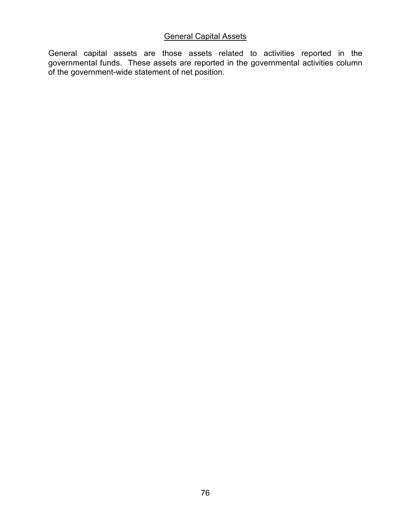# General Capital Assets

General capital assets are those assets related to activities reported in the governmental funds. These assets are reported in the governmental activities column of the government-wide statement of net position.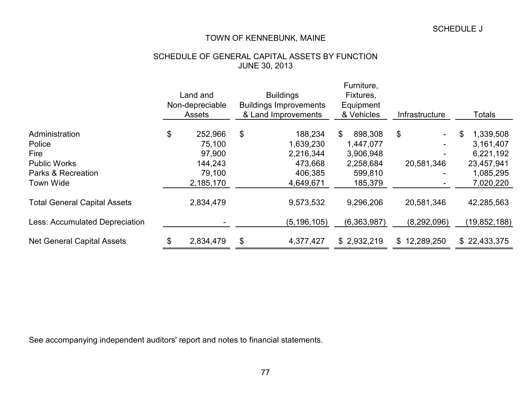## SCHEDULE OF GENERAL CAPITAL ASSETS BY FUNCTION JUNE 30, 2013

|                                     | Land and<br><b>Buildings</b><br>Non-depreciable<br><b>Buildings Improvements</b><br>& Land Improvements<br><b>Assets</b> |           | Furniture,<br>Fixtures,<br>Equipment<br>& Vehicles | Infrastructure | <b>Totals</b> |               |                  |                 |
|-------------------------------------|--------------------------------------------------------------------------------------------------------------------------|-----------|----------------------------------------------------|----------------|---------------|---------------|------------------|-----------------|
| Administration                      | \$                                                                                                                       | 252,966   | $\$\$                                              | 188,234        | \$            | 898,308       | \$               | \$<br>1,339,508 |
| Police                              |                                                                                                                          | 75,100    |                                                    | 1,639,230      |               | 1,447,077     |                  | 3,161,407       |
| Fire                                |                                                                                                                          | 97,900    |                                                    | 2,216,344      |               | 3,906,948     |                  | 6,221,192       |
| <b>Public Works</b>                 |                                                                                                                          | 144,243   |                                                    | 473,668        |               | 2,258,684     | 20,581,346       | 23,457,941      |
| Parks & Recreation                  |                                                                                                                          | 79,100    |                                                    | 406,385        |               | 599,810       |                  | 1,085,295       |
| Town Wide                           |                                                                                                                          | 2,185,170 |                                                    | 4,649,671      |               | 185,379       |                  | 7,020,220       |
| <b>Total General Capital Assets</b> |                                                                                                                          | 2,834,479 |                                                    | 9,573,532      |               | 9,296,206     | 20,581,346       | 42,285,563      |
| Less: Accumulated Depreciation      |                                                                                                                          |           |                                                    | (5, 196, 105)  |               | (6, 363, 987) | (8, 292, 096)    | (19, 852, 188)  |
| <b>Net General Capital Assets</b>   |                                                                                                                          | 2,834,479 | \$                                                 | 4,377,427      |               | \$2,932,219   | 12,289,250<br>\$ | \$22,433,375    |